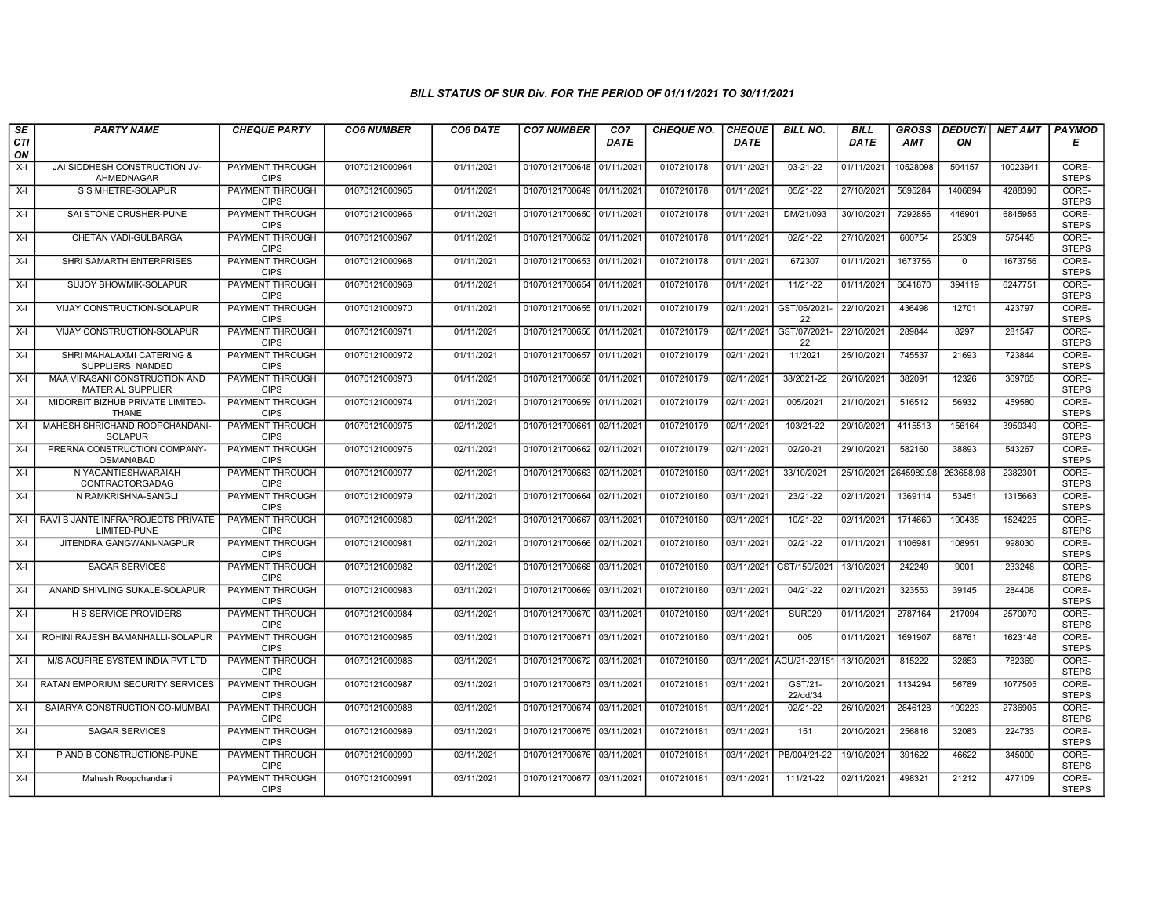| SE        | <b>PARTY NAME</b>                                         | <b>CHEQUE PARTY</b>                   | <b>CO6 NUMBER</b> | CO6 DATE   | <b>CO7 NUMBER</b>         | CO <sub>7</sub> | <b>CHEQUE NO.</b> | <b>CHEQUE</b> | <b>BILL NO.</b>          | <b>BILL</b>           | <b>GROSS</b> |             | DEDUCTI NET AMT | <b>PAYMOD</b>         |
|-----------|-----------------------------------------------------------|---------------------------------------|-------------------|------------|---------------------------|-----------------|-------------------|---------------|--------------------------|-----------------------|--------------|-------------|-----------------|-----------------------|
| CTI<br>ON |                                                           |                                       |                   |            |                           | <b>DATE</b>     |                   | <b>DATE</b>   |                          | <b>DATE</b>           | <b>AMT</b>   | ON          |                 | Е                     |
| $X-I$     | JAI SIDDHESH CONSTRUCTION JV-<br>AHMEDNAGAR               | <b>PAYMENT THROUGH</b><br><b>CIPS</b> | 01070121000964    | 01/11/2021 | 01070121700648            | 01/11/2021      | 0107210178        | 01/11/2021    | $03 - 21 - 22$           | 01/11/2021            | 10528098     | 504157      | 10023941        | CORE-<br><b>STEPS</b> |
| $X-I$     | S S MHETRE-SOLAPUR                                        | <b>PAYMENT THROUGH</b><br><b>CIPS</b> | 01070121000965    | 01/11/2021 | 01070121700649 01/11/2021 |                 | 0107210178        | 01/11/2021    | $05/21-22$               | 27/10/2021            | 5695284      | 1406894     | 4288390         | CORE-<br><b>STEPS</b> |
| $X-I$     | SAI STONE CRUSHER-PUNE                                    | PAYMENT THROUGH<br><b>CIPS</b>        | 01070121000966    | 01/11/2021 | 01070121700650 01/11/2021 |                 | 0107210178        | 01/11/2021    | DM/21/093                | 30/10/2021            | 7292856      | 446901      | 6845955         | CORE-<br><b>STEPS</b> |
| $X-I$     | CHETAN VADI-GULBARGA                                      | PAYMENT THROUGH<br><b>CIPS</b>        | 01070121000967    | 01/11/2021 | 01070121700652 01/11/2021 |                 | 0107210178        | 01/11/2021    | 02/21-22                 | 27/10/2021            | 600754       | 25309       | 575445          | CORE-<br><b>STEPS</b> |
| $X-I$     | SHRI SAMARTH ENTERPRISES                                  | <b>PAYMENT THROUGH</b><br><b>CIPS</b> | 01070121000968    | 01/11/2021 | 01070121700653 01/11/2021 |                 | 0107210178        | 01/11/2021    | 672307                   | 01/11/2021            | 1673756      | $\mathbf 0$ | 1673756         | CORE-<br><b>STEPS</b> |
| $X-I$     | <b>SUJOY BHOWMIK-SOLAPUR</b>                              | <b>PAYMENT THROUGH</b><br><b>CIPS</b> | 01070121000969    | 01/11/2021 | 01070121700654 01/11/2021 |                 | 0107210178        | 01/11/2021    | $11/21 - 22$             | 01/11/2021            | 6641870      | 394119      | 6247751         | CORE-<br><b>STEPS</b> |
| $X-I$     | VIJAY CONSTRUCTION-SOLAPUR                                | PAYMENT THROUGH<br><b>CIPS</b>        | 01070121000970    | 01/11/2021 | 01070121700655 01/11/2021 |                 | 0107210179        | 02/11/2021    | GST/06/2021-<br>22       | 22/10/2021            | 436498       | 12701       | 423797          | CORE-<br><b>STEPS</b> |
| $X-I$     | VIJAY CONSTRUCTION-SOLAPUR                                | <b>PAYMENT THROUGH</b><br><b>CIPS</b> | 01070121000971    | 01/11/2021 | 01070121700656 01/11/2021 |                 | 0107210179        | 02/11/2021    | GST/07/2021-<br>22       | 22/10/2021            | 289844       | 8297        | 281547          | CORE-<br><b>STEPS</b> |
| $X-I$     | SHRI MAHALAXMI CATERING &<br>SUPPLIERS, NANDED            | <b>PAYMENT THROUGH</b><br><b>CIPS</b> | 01070121000972    | 01/11/2021 | 01070121700657            | 01/11/2021      | 0107210179        | 02/11/2021    | 11/2021                  | 25/10/2021            | 745537       | 21693       | 723844          | CORE-<br><b>STEPS</b> |
| $X-I$     | MAA VIRASANI CONSTRUCTION AND<br><b>MATERIAL SUPPLIER</b> | <b>PAYMENT THROUGH</b><br><b>CIPS</b> | 01070121000973    | 01/11/2021 | 01070121700658 01/11/2021 |                 | 0107210179        | 02/11/2021    | 38/2021-22               | 26/10/2021            | 382091       | 12326       | 369765          | CORE-<br><b>STEPS</b> |
| $X-I$     | MIDORBIT BIZHUB PRIVATE LIMITED-<br><b>THANE</b>          | PAYMENT THROUGH<br><b>CIPS</b>        | 01070121000974    | 01/11/2021 | 01070121700659            | 01/11/2021      | 0107210179        | 02/11/2021    | 005/2021                 | 21/10/2021            | 516512       | 56932       | 459580          | CORE-<br><b>STEPS</b> |
| $X-I$     | MAHESH SHRICHAND ROOPCHANDANI-<br><b>SOLAPUR</b>          | PAYMENT THROUGH<br><b>CIPS</b>        | 01070121000975    | 02/11/2021 | 01070121700661            | 02/11/2021      | 0107210179        | 02/11/2021    | 103/21-22                | 29/10/2021            | 4115513      | 156164      | 3959349         | CORE-<br><b>STEPS</b> |
| $X-I$     | PRERNA CONSTRUCTION COMPANY-<br>OSMANABAD                 | <b>PAYMENT THROUGH</b><br><b>CIPS</b> | 01070121000976    | 02/11/2021 | 01070121700662            | 02/11/2021      | 0107210179        | 02/11/2021    | 02/20-21                 | 29/10/2021            | 582160       | 38893       | 543267          | CORE-<br><b>STEPS</b> |
| $X-I$     | N YAGANTIESHWARAIAH<br>CONTRACTORGADAG                    | <b>PAYMENT THROUGH</b><br><b>CIPS</b> | 01070121000977    | 02/11/2021 | 01070121700663 02/11/2021 |                 | 0107210180        | 03/11/2021    | 33/10/2021               | 25/10/2021 2645989.98 |              | 263688.98   | 2382301         | CORE-<br><b>STEPS</b> |
| $X-I$     | N RAMKRISHNA-SANGLI                                       | PAYMENT THROUGH<br><b>CIPS</b>        | 01070121000979    | 02/11/2021 | 01070121700664            | 02/11/2021      | 0107210180        | 03/11/2021    | 23/21-22                 | 02/11/2021            | 1369114      | 53451       | 1315663         | CORE-<br><b>STEPS</b> |
| $X-I$     | RAVI B JANTE INFRAPROJECTS PRIVATE<br><b>LIMITED-PUNE</b> | PAYMENT THROUGH<br><b>CIPS</b>        | 01070121000980    | 02/11/2021 | 01070121700667            | 03/11/2021      | 0107210180        | 03/11/2021    | 10/21-22                 | 02/11/2021            | 1714660      | 190435      | 1524225         | CORE-<br><b>STEPS</b> |
| $X-I$     | JITENDRA GANGWANI-NAGPUR                                  | <b>PAYMENT THROUGH</b><br><b>CIPS</b> | 01070121000981    | 02/11/2021 | 01070121700666 02/11/2021 |                 | 0107210180        | 03/11/2021    | 02/21-22                 | 01/11/2021            | 1106981      | 108951      | 998030          | CORE-<br><b>STEPS</b> |
| $X-I$     | <b>SAGAR SERVICES</b>                                     | <b>PAYMENT THROUGH</b><br><b>CIPS</b> | 01070121000982    | 03/11/2021 | 01070121700668            | 03/11/2021      | 0107210180        | 03/11/2021    | GST/150/2021             | 13/10/2021            | 242249       | 9001        | 233248          | CORE-<br><b>STEPS</b> |
| $X-I$     | ANAND SHIVLING SUKALE-SOLAPUR                             | PAYMENT THROUGH<br><b>CIPS</b>        | 01070121000983    | 03/11/2021 | 01070121700669 03/11/2021 |                 | 0107210180        | 03/11/2021    | 04/21-22                 | 02/11/2021            | 323553       | 39145       | 284408          | CORE-<br><b>STEPS</b> |
| $X-I$     | H S SERVICE PROVIDERS                                     | PAYMENT THROUGH<br><b>CIPS</b>        | 01070121000984    | 03/11/2021 | 01070121700670 03/11/2021 |                 | 0107210180        | 03/11/2021    | <b>SUR029</b>            | 01/11/2021            | 2787164      | 217094      | 2570070         | CORE-<br><b>STEPS</b> |
| $X-I$     | ROHINI RAJESH BAMANHALLI-SOLAPUR                          | PAYMENT THROUGH<br><b>CIPS</b>        | 01070121000985    | 03/11/2021 | 01070121700671            | 03/11/2021      | 0107210180        | 03/11/2021    | 005                      | 01/11/2021            | 1691907      | 68761       | 1623146         | CORE-<br><b>STEPS</b> |
| $X-I$     | M/S ACUFIRE SYSTEM INDIA PVT LTD                          | <b>PAYMENT THROUGH</b><br><b>CIPS</b> | 01070121000986    | 03/11/2021 | 01070121700672 03/11/202  |                 | 0107210180        |               | 03/11/2021 ACU/21-22/151 | 13/10/2021            | 815222       | 32853       | 782369          | CORE-<br><b>STEPS</b> |
| $X-I$     | RATAN EMPORIUM SECURITY SERVICES                          | PAYMENT THROUGH<br><b>CIPS</b>        | 01070121000987    | 03/11/2021 | 01070121700673 03/11/202  |                 | 0107210181        | 03/11/2021    | GST/21-<br>22/dd/34      | 20/10/2021            | 1134294      | 56789       | 1077505         | CORE-<br><b>STEPS</b> |
| $X-I$     | SAIARYA CONSTRUCTION CO-MUMBAI                            | PAYMENT THROUGH<br><b>CIPS</b>        | 01070121000988    | 03/11/2021 | 01070121700674            | 03/11/2021      | 0107210181        | 03/11/2021    | 02/21-22                 | 26/10/2021            | 2846128      | 109223      | 2736905         | CORE-<br><b>STEPS</b> |
| $X-I$     | <b>SAGAR SERVICES</b>                                     | PAYMENT THROUGH<br><b>CIPS</b>        | 01070121000989    | 03/11/2021 | 01070121700675 03/11/202  |                 | 0107210181        | 03/11/2021    | 151                      | 20/10/2021            | 256816       | 32083       | 224733          | CORE-<br><b>STEPS</b> |
| $X-I$     | P AND B CONSTRUCTIONS-PUNE                                | <b>PAYMENT THROUGH</b><br><b>CIPS</b> | 01070121000990    | 03/11/2021 | 01070121700676 03/11/2021 |                 | 0107210181        | 03/11/2021    | PB/004/21-22             | 19/10/2021            | 391622       | 46622       | 345000          | CORE-<br><b>STEPS</b> |
| $X-I$     | Mahesh Roopchandani                                       | PAYMENT THROUGH<br><b>CIPS</b>        | 01070121000991    | 03/11/2021 | 01070121700677 03/11/2021 |                 | 0107210181        | 03/11/2021    | 111/21-22                | 02/11/2021            | 498321       | 21212       | 477109          | CORE-<br><b>STEPS</b> |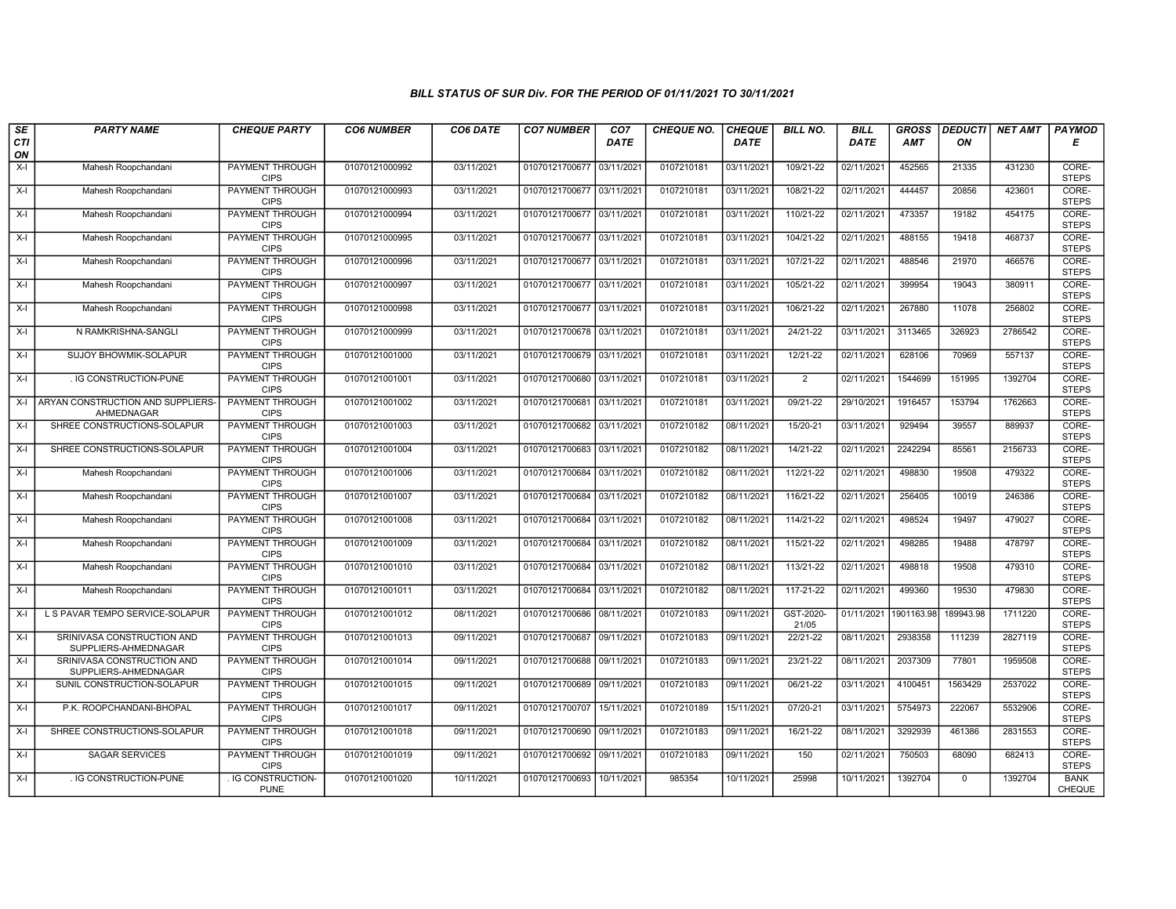| SE        | <b>PARTY NAME</b>                                  | <b>CHEQUE PARTY</b>                   | <b>CO6 NUMBER</b> | CO6 DATE   | <b>CO7 NUMBER</b>         | CO <sub>7</sub> | <b>CHEQUE NO.</b> | <b>CHEQUE</b> | <b>BILL NO.</b>    | <b>BILL</b> | <b>GROSS</b> | <b>DEDUCTI</b> | NET AMT | <b>PAYMOD</b>                |
|-----------|----------------------------------------------------|---------------------------------------|-------------------|------------|---------------------------|-----------------|-------------------|---------------|--------------------|-------------|--------------|----------------|---------|------------------------------|
| CTI<br>ON |                                                    |                                       |                   |            |                           | <b>DATE</b>     |                   | <b>DATE</b>   |                    | <b>DATE</b> | <b>AMT</b>   | ON             |         | Е                            |
| $X-I$     | Mahesh Roopchandani                                | <b>PAYMENT THROUGH</b><br><b>CIPS</b> | 01070121000992    | 03/11/2021 | 01070121700677 03/11/2021 |                 | 0107210181        | 03/11/2021    | 109/21-22          | 02/11/2021  | 452565       | 21335          | 431230  | CORE-<br><b>STEPS</b>        |
| $X-I$     | Mahesh Roopchandani                                | PAYMENT THROUGH<br><b>CIPS</b>        | 01070121000993    | 03/11/2021 | 01070121700677 03/11/2021 |                 | 0107210181        | 03/11/2021    | 108/21-22          | 02/11/2021  | 444457       | 20856          | 423601  | CORE-<br><b>STEPS</b>        |
| X-I       | Mahesh Roopchandani                                | PAYMENT THROUGH<br><b>CIPS</b>        | 01070121000994    | 03/11/2021 | 01070121700677 03/11/2021 |                 | 0107210181        | 03/11/2021    | 110/21-22          | 02/11/2021  | 473357       | 19182          | 454175  | CORE-<br><b>STEPS</b>        |
| $X-I$     | Mahesh Roopchandani                                | PAYMENT THROUGH<br><b>CIPS</b>        | 01070121000995    | 03/11/2021 | 01070121700677 03/11/2021 |                 | 0107210181        | 03/11/2021    | 104/21-22          | 02/11/2021  | 488155       | 19418          | 468737  | CORE-<br><b>STEPS</b>        |
| $X-I$     | Mahesh Roopchandani                                | <b>PAYMENT THROUGH</b><br><b>CIPS</b> | 01070121000996    | 03/11/2021 | 01070121700677 03/11/2021 |                 | 0107210181        | 03/11/2021    | 107/21-22          | 02/11/2021  | 488546       | 21970          | 466576  | CORE-<br><b>STEPS</b>        |
| $X-I$     | Mahesh Roopchandani                                | <b>PAYMENT THROUGH</b><br><b>CIPS</b> | 01070121000997    | 03/11/2021 | 01070121700677 03/11/2021 |                 | 0107210181        | 03/11/2021    | 105/21-22          | 02/11/2021  | 399954       | 19043          | 380911  | CORE-<br><b>STEPS</b>        |
| $X-I$     | Mahesh Roopchandani                                | PAYMENT THROUGH<br><b>CIPS</b>        | 01070121000998    | 03/11/2021 | 01070121700677 03/11/2021 |                 | 0107210181        | 03/11/2021    | 106/21-22          | 02/11/2021  | 267880       | 11078          | 256802  | CORE-<br><b>STEPS</b>        |
| $X-I$     | N RAMKRISHNA-SANGLI                                | <b>PAYMENT THROUGH</b><br><b>CIPS</b> | 01070121000999    | 03/11/2021 | 01070121700678 03/11/2021 |                 | 0107210181        | 03/11/2021    | 24/21-22           | 03/11/2021  | 3113465      | 326923         | 2786542 | CORE-<br><b>STEPS</b>        |
| $X-I$     | SUJOY BHOWMIK-SOLAPUR                              | <b>PAYMENT THROUGH</b><br><b>CIPS</b> | 01070121001000    | 03/11/2021 | 01070121700679 03/11/2021 |                 | 0107210181        | 03/11/2021    | 12/21-22           | 02/11/2021  | 628106       | 70969          | 557137  | CORE-<br><b>STEPS</b>        |
| $X-I$     | . IG CONSTRUCTION-PUNE                             | <b>PAYMENT THROUGH</b><br><b>CIPS</b> | 01070121001001    | 03/11/2021 | 01070121700680 03/11/2021 |                 | 0107210181        | 03/11/2021    | $\overline{2}$     | 02/11/2021  | 1544699      | 151995         | 1392704 | CORE-<br><b>STEPS</b>        |
| $X-I$     | ARYAN CONSTRUCTION AND SUPPLIERS-<br>AHMEDNAGAR    | PAYMENT THROUGH<br><b>CIPS</b>        | 01070121001002    | 03/11/2021 | 01070121700681 03/11/2021 |                 | 0107210181        | 03/11/2021    | 09/21-22           | 29/10/2021  | 1916457      | 153794         | 1762663 | CORE-<br><b>STEPS</b>        |
| $X-I$     | SHREE CONSTRUCTIONS-SOLAPUR                        | PAYMENT THROUGH<br><b>CIPS</b>        | 01070121001003    | 03/11/2021 | 01070121700682            | 03/11/2021      | 0107210182        | 08/11/2021    | 15/20-21           | 03/11/2021  | 929494       | 39557          | 889937  | CORE-<br><b>STEPS</b>        |
| $X-I$     | SHREE CONSTRUCTIONS-SOLAPUR                        | PAYMENT THROUGH<br><b>CIPS</b>        | 01070121001004    | 03/11/2021 | 01070121700683 03/11/2021 |                 | 0107210182        | 08/11/2021    | 14/21-22           | 02/11/2021  | 2242294      | 85561          | 2156733 | CORE-<br><b>STEPS</b>        |
| $X-I$     | Mahesh Roopchandani                                | <b>PAYMENT THROUGH</b><br><b>CIPS</b> | 01070121001006    | 03/11/2021 | 01070121700684 03/11/2021 |                 | 0107210182        | 08/11/2021    | 112/21-22          | 02/11/2021  | 498830       | 19508          | 479322  | CORE-<br><b>STEPS</b>        |
| $X-I$     | Mahesh Roopchandani                                | <b>PAYMENT THROUGH</b><br><b>CIPS</b> | 01070121001007    | 03/11/2021 | 01070121700684 03/11/2021 |                 | 0107210182        | 08/11/2021    | 116/21-22          | 02/11/2021  | 256405       | 10019          | 246386  | CORE-<br><b>STEPS</b>        |
| $X-I$     | Mahesh Roopchandani                                | PAYMENT THROUGH<br><b>CIPS</b>        | 01070121001008    | 03/11/2021 | 01070121700684 03/11/2021 |                 | 0107210182        | 08/11/2021    | 114/21-22          | 02/11/2021  | 498524       | 19497          | 479027  | CORE-<br><b>STEPS</b>        |
| X-I       | Mahesh Roopchandani                                | <b>PAYMENT THROUGH</b><br><b>CIPS</b> | 01070121001009    | 03/11/2021 | 01070121700684 03/11/2021 |                 | 0107210182        | 08/11/2021    | 115/21-22          | 02/11/2021  | 498285       | 19488          | 478797  | CORE-<br><b>STEPS</b>        |
| X-I       | Mahesh Roopchandani                                | <b>PAYMENT THROUGH</b><br><b>CIPS</b> | 01070121001010    | 03/11/2021 | 01070121700684            | 03/11/2021      | 0107210182        | 08/11/2021    | 113/21-22          | 02/11/2021  | 498818       | 19508          | 479310  | CORE-<br><b>STEPS</b>        |
| $X-I$     | Mahesh Roopchandani                                | <b>PAYMENT THROUGH</b><br><b>CIPS</b> | 01070121001011    | 03/11/2021 | 01070121700684 03/11/2021 |                 | 0107210182        | 08/11/2021    | 117-21-22          | 02/11/2021  | 499360       | 19530          | 479830  | CORE-<br><b>STEPS</b>        |
| $X-I$     | L S PAVAR TEMPO SERVICE-SOLAPUR                    | PAYMENT THROUGH<br><b>CIPS</b>        | 01070121001012    | 08/11/2021 | 01070121700686 08/11/2021 |                 | 0107210183        | 09/11/2021    | GST-2020-<br>21/05 | 01/11/2021  | 1901163.98   | 189943.98      | 1711220 | CORE-<br><b>STEPS</b>        |
| $X-I$     | SRINIVASA CONSTRUCTION AND<br>SUPPLIERS-AHMEDNAGAR | <b>PAYMENT THROUGH</b><br><b>CIPS</b> | 01070121001013    | 09/11/2021 | 01070121700687 09/11/2021 |                 | 0107210183        | 09/11/2021    | 22/21-22           | 08/11/2021  | 2938358      | 111239         | 2827119 | CORE-<br><b>STEPS</b>        |
| $X-I$     | SRINIVASA CONSTRUCTION AND<br>SUPPLIERS-AHMEDNAGAR | <b>PAYMENT THROUGH</b><br><b>CIPS</b> | 01070121001014    | 09/11/2021 | 01070121700688 09/11/2021 |                 | 0107210183        | 09/11/2021    | 23/21-22           | 08/11/2021  | 2037309      | 77801          | 1959508 | CORE-<br><b>STEPS</b>        |
| $X-I$     | SUNIL CONSTRUCTION-SOLAPUR                         | PAYMENT THROUGH<br><b>CIPS</b>        | 01070121001015    | 09/11/2021 | 01070121700689            | 09/11/2021      | 0107210183        | 09/11/2021    | 06/21-22           | 03/11/2021  | 4100451      | 1563429        | 2537022 | CORE-<br><b>STEPS</b>        |
| $X-I$     | P.K. ROOPCHANDANI-BHOPAL                           | PAYMENT THROUGH<br><b>CIPS</b>        | 01070121001017    | 09/11/2021 | 01070121700707            | 15/11/2021      | 0107210189        | 15/11/2021    | 07/20-21           | 03/11/2021  | 5754973      | 222067         | 5532906 | CORE-<br><b>STEPS</b>        |
| $X-I$     | SHREE CONSTRUCTIONS-SOLAPUR                        | <b>PAYMENT THROUGH</b><br><b>CIPS</b> | 01070121001018    | 09/11/2021 | 01070121700690 09/11/2021 |                 | 0107210183        | 09/11/2021    | 16/21-22           | 08/11/2021  | 3292939      | 461386         | 2831553 | CORE-<br><b>STEPS</b>        |
| $X-I$     | <b>SAGAR SERVICES</b>                              | <b>PAYMENT THROUGH</b><br><b>CIPS</b> | 01070121001019    | 09/11/2021 | 01070121700692 09/11/2021 |                 | 0107210183        | 09/11/2021    | 150                | 02/11/2021  | 750503       | 68090          | 682413  | CORE-<br><b>STEPS</b>        |
| $X-I$     | . IG CONSTRUCTION-PUNE                             | . IG CONSTRUCTION-<br><b>PUNE</b>     | 01070121001020    | 10/11/2021 | 01070121700693 10/11/2021 |                 | 985354            | 10/11/2021    | 25998              | 10/11/2021  | 1392704      | $\mathbf 0$    | 1392704 | <b>BANK</b><br><b>CHEQUE</b> |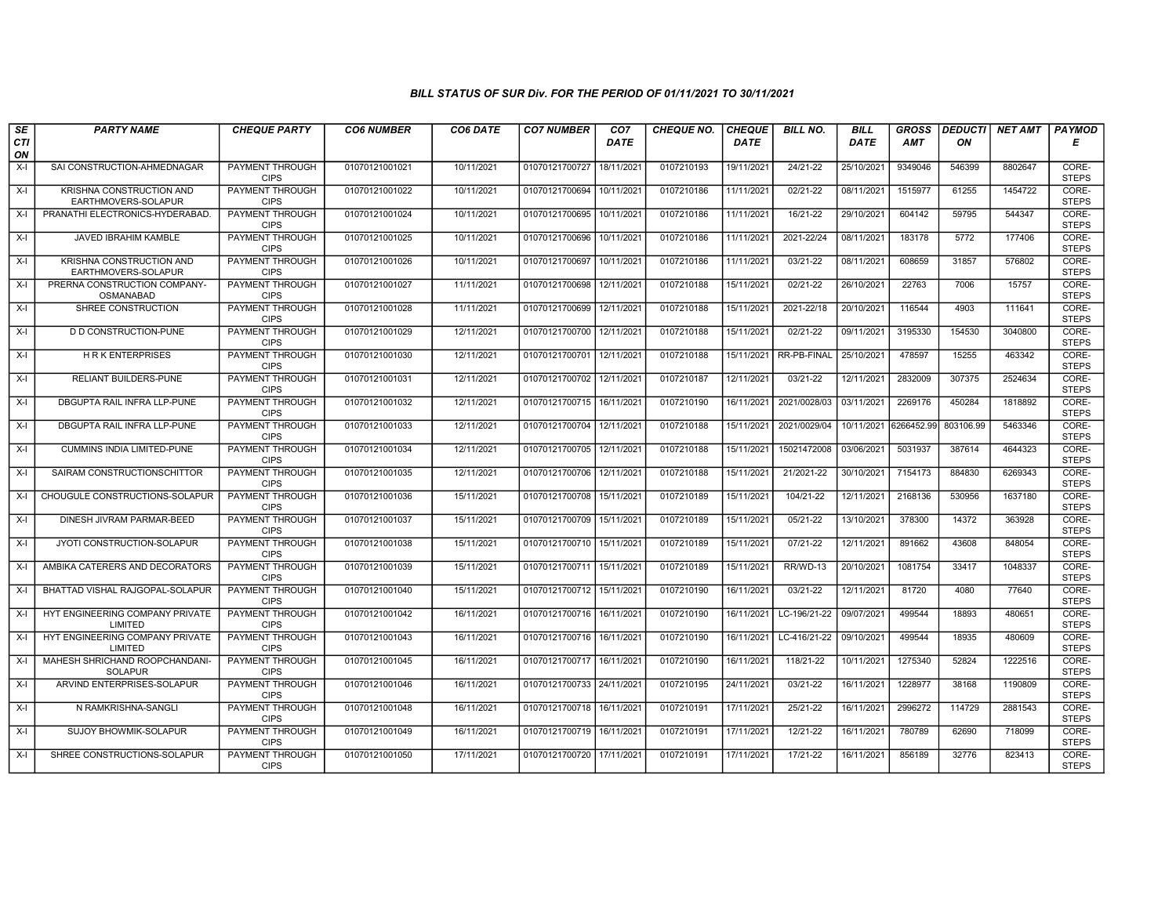| SE        | <b>PARTY NAME</b>                                | <b>CHEQUE PARTY</b>                   | <b>CO6 NUMBER</b> | CO6 DATE   | <b>CO7 NUMBER</b>         | CO <sub>7</sub> | <b>CHEQUE NO.</b> | <b>CHEQUE</b> | <b>BILL NO.</b> | <b>BILL</b> | <b>GROSS</b> |           | DEDUCTI NET AMT | <b>PAYMOD</b>         |
|-----------|--------------------------------------------------|---------------------------------------|-------------------|------------|---------------------------|-----------------|-------------------|---------------|-----------------|-------------|--------------|-----------|-----------------|-----------------------|
| CTI<br>ON |                                                  |                                       |                   |            |                           | <b>DATE</b>     |                   | <b>DATE</b>   |                 | <b>DATE</b> | AMT          | ON        |                 | Е                     |
| $X-I$     | SAI CONSTRUCTION-AHMEDNAGAR                      | <b>PAYMENT THROUGH</b><br><b>CIPS</b> | 01070121001021    | 10/11/2021 | 01070121700727            | 18/11/2021      | 0107210193        | 19/11/2021    | 24/21-22        | 25/10/2021  | 9349046      | 546399    | 8802647         | CORE-<br><b>STEPS</b> |
| $X-I$     | KRISHNA CONSTRUCTION AND<br>EARTHMOVERS-SOLAPUR  | <b>PAYMENT THROUGH</b><br><b>CIPS</b> | 01070121001022    | 10/11/2021 | 01070121700694 10/11/2021 |                 | 0107210186        | 11/11/2021    | $02/21 - 22$    | 08/11/2021  | 1515977      | 61255     | 1454722         | CORE-<br><b>STEPS</b> |
| $X-I$     | PRANATHI ELECTRONICS-HYDERABAD.                  | PAYMENT THROUGH<br><b>CIPS</b>        | 01070121001024    | 10/11/2021 | 01070121700695            | 10/11/2021      | 0107210186        | 11/11/2021    | 16/21-22        | 29/10/2021  | 604142       | 59795     | 544347          | CORE-<br><b>STEPS</b> |
| $X-I$     | JAVED IBRAHIM KAMBLE                             | PAYMENT THROUGH<br><b>CIPS</b>        | 01070121001025    | 10/11/2021 | 01070121700696            | 10/11/2021      | 0107210186        | 11/11/2021    | 2021-22/24      | 08/11/2021  | 183178       | 5772      | 177406          | CORE-<br><b>STEPS</b> |
| $X-I$     | KRISHNA CONSTRUCTION AND<br>EARTHMOVERS-SOLAPUR  | <b>PAYMENT THROUGH</b><br><b>CIPS</b> | 01070121001026    | 10/11/2021 | 01070121700697            | 10/11/2021      | 0107210186        | 11/11/2021    | $03/21 - 22$    | 08/11/2021  | 608659       | 31857     | 576802          | CORE-<br><b>STEPS</b> |
| $X-I$     | PRERNA CONSTRUCTION COMPANY-<br><b>OSMANABAD</b> | <b>PAYMENT THROUGH</b><br><b>CIPS</b> | 01070121001027    | 11/11/2021 | 01070121700698            | 12/11/2021      | 0107210188        | 15/11/2021    | $02/21 - 22$    | 26/10/2021  | 22763        | 7006      | 15757           | CORE-<br><b>STEPS</b> |
| X-I       | SHREE CONSTRUCTION                               | <b>PAYMENT THROUGH</b><br><b>CIPS</b> | 01070121001028    | 11/11/2021 | 01070121700699            | 12/11/2021      | 0107210188        | 15/11/2021    | 2021-22/18      | 20/10/2021  | 116544       | 4903      | 111641          | CORE-<br><b>STEPS</b> |
| $X-I$     | <b>D D CONSTRUCTION-PUNE</b>                     | <b>PAYMENT THROUGH</b><br><b>CIPS</b> | 01070121001029    | 12/11/2021 | 01070121700700 12/11/2021 |                 | 0107210188        | 15/11/2021    | 02/21-22        | 09/11/2021  | 3195330      | 154530    | 3040800         | CORE-<br><b>STEPS</b> |
| $X-I$     | <b>HRK ENTERPRISES</b>                           | <b>PAYMENT THROUGH</b><br><b>CIPS</b> | 01070121001030    | 12/11/2021 | 01070121700701 12/11/2021 |                 | 0107210188        | 15/11/2021    | RR-PB-FINAL     | 25/10/2021  | 478597       | 15255     | 463342          | CORE-<br><b>STEPS</b> |
| X-I       | RELIANT BUILDERS-PUNE                            | <b>PAYMENT THROUGH</b><br><b>CIPS</b> | 01070121001031    | 12/11/2021 | 01070121700702 12/11/2021 |                 | 0107210187        | 12/11/2021    | 03/21-22        | 12/11/2021  | 2832009      | 307375    | 2524634         | CORE-<br><b>STEPS</b> |
| $X-I$     | DBGUPTA RAIL INFRA LLP-PUNE                      | <b>PAYMENT THROUGH</b><br><b>CIPS</b> | 01070121001032    | 12/11/2021 | 01070121700715 16/11/2021 |                 | 0107210190        | 16/11/2021    | 2021/0028/03    | 03/11/2021  | 2269176      | 450284    | 1818892         | CORE-<br><b>STEPS</b> |
| $X-I$     | DBGUPTA RAIL INFRA LLP-PUNE                      | PAYMENT THROUGH<br><b>CIPS</b>        | 01070121001033    | 12/11/2021 | 01070121700704            | 12/11/2021      | 0107210188        | 15/11/2021    | 2021/0029/04    | 10/11/2021  | 6266452.99   | 803106.99 | 5463346         | CORE-<br><b>STEPS</b> |
| $X-I$     | <b>CUMMINS INDIA LIMITED-PUNE</b>                | <b>PAYMENT THROUGH</b><br><b>CIPS</b> | 01070121001034    | 12/11/2021 | 01070121700705 12/11/2021 |                 | 0107210188        | 15/11/2021    | 15021472008     | 03/06/2021  | 5031937      | 387614    | 4644323         | CORE-<br><b>STEPS</b> |
| X-I       | SAIRAM CONSTRUCTIONSCHITTOR                      | <b>PAYMENT THROUGH</b><br><b>CIPS</b> | 01070121001035    | 12/11/2021 | 01070121700706 12/11/2021 |                 | 0107210188        | 15/11/2021    | 21/2021-22      | 30/10/2021  | 7154173      | 884830    | 6269343         | CORE-<br><b>STEPS</b> |
| $X-I$     | CHOUGULE CONSTRUCTIONS-SOLAPUR                   | PAYMENT THROUGH<br><b>CIPS</b>        | 01070121001036    | 15/11/2021 | 01070121700708            | 15/11/2021      | 0107210189        | 15/11/2021    | 104/21-22       | 12/11/2021  | 2168136      | 530956    | 1637180         | CORE-<br><b>STEPS</b> |
| $X-I$     | DINESH JIVRAM PARMAR-BEED                        | <b>PAYMENT THROUGH</b><br><b>CIPS</b> | 01070121001037    | 15/11/2021 | 01070121700709 15/11/2021 |                 | 0107210189        | 15/11/2021    | 05/21-22        | 13/10/2021  | 378300       | 14372     | 363928          | CORE-<br><b>STEPS</b> |
| X-I       | JYOTI CONSTRUCTION-SOLAPUR                       | <b>PAYMENT THROUGH</b><br><b>CIPS</b> | 01070121001038    | 15/11/2021 | 01070121700710 15/11/2021 |                 | 0107210189        | 15/11/2021    | 07/21-22        | 12/11/2021  | 891662       | 43608     | 848054          | CORE-<br><b>STEPS</b> |
| X-I       | AMBIKA CATERERS AND DECORATORS                   | <b>PAYMENT THROUGH</b><br><b>CIPS</b> | 01070121001039    | 15/11/2021 | 01070121700711 15/11/2021 |                 | 0107210189        | 15/11/2021    | RR/WD-13        | 20/10/2021  | 1081754      | 33417     | 1048337         | CORE-<br><b>STEPS</b> |
| X-I       | BHATTAD VISHAL RAJGOPAL-SOLAPUR                  | <b>PAYMENT THROUGH</b><br><b>CIPS</b> | 01070121001040    | 15/11/2021 | 01070121700712 15/11/2021 |                 | 0107210190        | 16/11/2021    | 03/21-22        | 12/11/2021  | 81720        | 4080      | 77640           | CORE-<br><b>STEPS</b> |
| $X-I$     | HYT ENGINEERING COMPANY PRIVATE<br>LIMITED       | <b>PAYMENT THROUGH</b><br><b>CIPS</b> | 01070121001042    | 16/11/2021 | 01070121700716            | 16/11/2021      | 0107210190        | 16/11/2021    | LC-196/21-22    | 09/07/2021  | 499544       | 18893     | 480651          | CORE-<br><b>STEPS</b> |
| $X-I$     | HYT ENGINEERING COMPANY PRIVATE<br>LIMITED       | <b>PAYMENT THROUGH</b><br><b>CIPS</b> | 01070121001043    | 16/11/2021 | 01070121700716 16/11/2021 |                 | 0107210190        | 16/11/2021    | LC-416/21-22    | 09/10/2021  | 499544       | 18935     | 480609          | CORE-<br><b>STEPS</b> |
| $X-I$     | MAHESH SHRICHAND ROOPCHANDANI-<br><b>SOLAPUR</b> | <b>PAYMENT THROUGH</b><br><b>CIPS</b> | 01070121001045    | 16/11/2021 | 01070121700717 16/11/2021 |                 | 0107210190        | 16/11/2021    | 118/21-22       | 10/11/2021  | 1275340      | 52824     | 1222516         | CORE-<br><b>STEPS</b> |
| $X-I$     | ARVIND ENTERPRISES-SOLAPUR                       | PAYMENT THROUGH<br><b>CIPS</b>        | 01070121001046    | 16/11/2021 | 01070121700733 24/11/2021 |                 | 0107210195        | 24/11/2021    | 03/21-22        | 16/11/2021  | 1228977      | 38168     | 1190809         | CORE-<br><b>STEPS</b> |
| X-I       | N RAMKRISHNA-SANGLI                              | PAYMENT THROUGH<br><b>CIPS</b>        | 01070121001048    | 16/11/2021 | 01070121700718            | 16/11/2021      | 0107210191        | 17/11/2021    | 25/21-22        | 16/11/2021  | 2996272      | 114729    | 2881543         | CORE-<br><b>STEPS</b> |
| $X-I$     | SUJOY BHOWMIK-SOLAPUR                            | <b>PAYMENT THROUGH</b><br><b>CIPS</b> | 01070121001049    | 16/11/2021 | 01070121700719 16/11/2021 |                 | 0107210191        | 17/11/2021    | 12/21-22        | 16/11/2021  | 780789       | 62690     | 718099          | CORE-<br><b>STEPS</b> |
| $X-I$     | SHREE CONSTRUCTIONS-SOLAPUR                      | <b>PAYMENT THROUGH</b><br><b>CIPS</b> | 01070121001050    | 17/11/2021 | 01070121700720 17/11/2021 |                 | 0107210191        | 17/11/2021    | 17/21-22        | 16/11/2021  | 856189       | 32776     | 823413          | CORE-<br><b>STEPS</b> |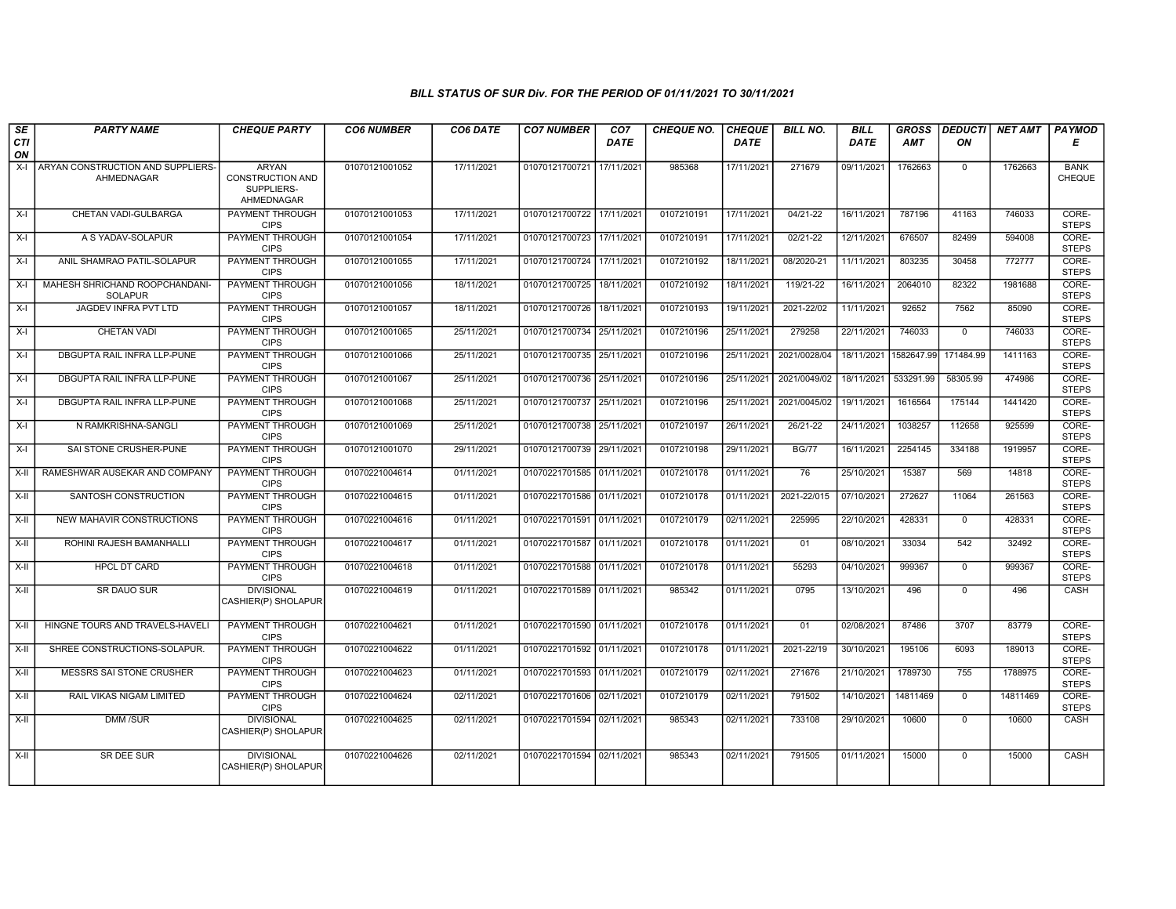| $\overline{\mathsf{SE}}$ | <b>PARTY NAME</b>                                | <b>CHEQUE PARTY</b>                                          | <b>CO6 NUMBER</b> | CO6 DATE   | <b>CO7 NUMBER</b>         | CO7         | <b>CHEQUE NO.</b> | <b>CHEQUE</b> | <b>BILL NO.</b> | <b>BILL</b>           | <b>GROSS</b> | <b>DEDUCTI</b> | <b>NET AMT</b> | PAYMOD                |
|--------------------------|--------------------------------------------------|--------------------------------------------------------------|-------------------|------------|---------------------------|-------------|-------------------|---------------|-----------------|-----------------------|--------------|----------------|----------------|-----------------------|
| <b>CTI</b><br>ON         |                                                  |                                                              |                   |            |                           | <b>DATE</b> |                   | <b>DATE</b>   |                 | DATE                  | <b>AMT</b>   | ON             |                | E                     |
| $X-I$                    | ARYAN CONSTRUCTION AND SUPPLIERS-<br>AHMEDNAGAR  | <b>ARYAN</b><br>CONSTRUCTION AND<br>SUPPLIERS-<br>AHMEDNAGAR | 01070121001052    | 17/11/2021 | 01070121700721            | 17/11/2021  | 985368            | 17/11/2021    | 271679          | 09/11/2021            | 1762663      | $\mathbf 0$    | 1762663        | <b>BANK</b><br>CHEQUE |
| X-I                      | CHETAN VADI-GULBARGA                             | PAYMENT THROUGH<br><b>CIPS</b>                               | 01070121001053    | 17/11/2021 | 01070121700722 17/11/2021 |             | 0107210191        | 17/11/2021    | 04/21-22        | 16/11/2021            | 787196       | 41163          | 746033         | CORE-<br><b>STEPS</b> |
| X-I                      | A S YADAV-SOLAPUR                                | <b>PAYMENT THROUGH</b><br><b>CIPS</b>                        | 01070121001054    | 17/11/2021 | 01070121700723 17/11/2021 |             | 0107210191        | 17/11/2021    | $02/21-22$      | 12/11/2021            | 676507       | 82499          | 594008         | CORE-<br><b>STEPS</b> |
| $X-I$                    | ANIL SHAMRAO PATIL-SOLAPUR                       | <b>PAYMENT THROUGH</b><br><b>CIPS</b>                        | 01070121001055    | 17/11/2021 | 01070121700724 17/11/2021 |             | 0107210192        | 18/11/2021    | 08/2020-21      | 11/11/2021            | 803235       | 30458          | 772777         | CORE-<br><b>STEPS</b> |
| $X-I$                    | MAHESH SHRICHAND ROOPCHANDANI-<br><b>SOLAPUR</b> | <b>PAYMENT THROUGH</b><br><b>CIPS</b>                        | 01070121001056    | 18/11/2021 | 01070121700725            | 18/11/2021  | 0107210192        | 18/11/2021    | 119/21-22       | 16/11/2021            | 2064010      | 82322          | 1981688        | CORE-<br><b>STEPS</b> |
| $X-I$                    | JAGDEV INFRA PVT LTD                             | <b>PAYMENT THROUGH</b><br><b>CIPS</b>                        | 01070121001057    | 18/11/2021 | 01070121700726            | 18/11/2021  | 0107210193        | 19/11/2021    | 2021-22/02      | 11/11/2021            | 92652        | 7562           | 85090          | CORE-<br><b>STEPS</b> |
| X-I                      | <b>CHETAN VADI</b>                               | PAYMENT THROUGH<br><b>CIPS</b>                               | 01070121001065    | 25/11/2021 | 01070121700734 25/11/2021 |             | 0107210196        | 25/11/2021    | 279258          | 22/11/2021            | 746033       | $\mathbf 0$    | 746033         | CORE-<br><b>STEPS</b> |
| $X-I$                    | DBGUPTA RAIL INFRA LLP-PUNE                      | <b>PAYMENT THROUGH</b><br><b>CIPS</b>                        | 01070121001066    | 25/11/2021 | 01070121700735 25/11/2021 |             | 0107210196        | 25/11/2021    | 2021/0028/04    | 18/11/2021 1582647.99 |              | 171484.99      | 1411163        | CORE-<br><b>STEPS</b> |
| X-I                      | DBGUPTA RAIL INFRA LLP-PUNE                      | PAYMENT THROUGH<br><b>CIPS</b>                               | 01070121001067    | 25/11/2021 | 01070121700736 25/11/2021 |             | 0107210196        | 25/11/2021    | 2021/0049/02    | 18/11/2021            | 533291.99    | 58305.99       | 474986         | CORE-<br><b>STEPS</b> |
| X-I                      | DBGUPTA RAIL INFRA LLP-PUNE                      | PAYMENT THROUGH<br><b>CIPS</b>                               | 01070121001068    | 25/11/2021 | 01070121700737 25/11/2021 |             | 0107210196        | 25/11/2021    | 2021/0045/02    | 19/11/2021            | 1616564      | 175144         | 1441420        | CORE-<br><b>STEPS</b> |
| $X-I$                    | N RAMKRISHNA-SANGLI                              | <b>PAYMENT THROUGH</b><br><b>CIPS</b>                        | 01070121001069    | 25/11/2021 | 01070121700738 25/11/2021 |             | 0107210197        | 26/11/2021    | 26/21-22        | 24/11/2021            | 1038257      | 112658         | 925599         | CORE-<br><b>STEPS</b> |
| X-I                      | SAI STONE CRUSHER-PUNE                           | <b>PAYMENT THROUGH</b><br><b>CIPS</b>                        | 01070121001070    | 29/11/2021 | 01070121700739 29/11/2021 |             | 0107210198        | 29/11/2021    | <b>BG/77</b>    | 16/11/2021            | 2254145      | 334188         | 1919957        | CORE-<br><b>STEPS</b> |
| X-II                     | RAMESHWAR AUSEKAR AND COMPANY                    | PAYMENT THROUGH<br><b>CIPS</b>                               | 01070221004614    | 01/11/2021 | 01070221701585 01/11/2021 |             | 0107210178        | 01/11/2021    | 76              | 25/10/2021            | 15387        | 569            | 14818          | CORE-<br><b>STEPS</b> |
| $X-H$                    | SANTOSH CONSTRUCTION                             | PAYMENT THROUGH<br><b>CIPS</b>                               | 01070221004615    | 01/11/2021 | 01070221701586 01/11/2021 |             | 0107210178        | 01/11/2021    | 2021-22/015     | 07/10/2021            | 272627       | 11064          | 261563         | CORE-<br><b>STEPS</b> |
| X-II                     | NEW MAHAVIR CONSTRUCTIONS                        | PAYMENT THROUGH<br><b>CIPS</b>                               | 01070221004616    | 01/11/2021 | 01070221701591 01/11/2021 |             | 0107210179        | 02/11/2021    | 225995          | 22/10/2021            | 428331       | $\mathbf 0$    | 428331         | CORE-<br><b>STEPS</b> |
| $X-H$                    | ROHINI RAJESH BAMANHALLI                         | <b>PAYMENT THROUGH</b><br><b>CIPS</b>                        | 01070221004617    | 01/11/2021 | 01070221701587 01/11/2021 |             | 0107210178        | 01/11/2021    | 01              | 08/10/2021            | 33034        | 542            | 32492          | CORE-<br><b>STEPS</b> |
| X-II                     | HPCL DT CARD                                     | <b>PAYMENT THROUGH</b><br><b>CIPS</b>                        | 01070221004618    | 01/11/2021 | 01070221701588 01/11/2021 |             | 0107210178        | 01/11/2021    | 55293           | 04/10/2021            | 999367       | $\mathbf 0$    | 999367         | CORE-<br><b>STEPS</b> |
| $X-H$                    | <b>SR DAUO SUR</b>                               | <b>DIVISIONAL</b><br>CASHIER(P) SHOLAPUR                     | 01070221004619    | 01/11/2021 | 01070221701589 01/11/2021 |             | 985342            | 01/11/2021    | 0795            | 13/10/2021            | 496          | $\mathbf 0$    | 496            | CASH                  |
| X-II                     | HINGNE TOURS AND TRAVELS-HAVELI                  | PAYMENT THROUGH<br><b>CIPS</b>                               | 01070221004621    | 01/11/2021 | 01070221701590 01/11/2021 |             | 0107210178        | 01/11/2021    | 01              | 02/08/2021            | 87486        | 3707           | 83779          | CORE-<br><b>STEPS</b> |
| X-II                     | SHREE CONSTRUCTIONS-SOLAPUR                      | PAYMENT THROUGH<br><b>CIPS</b>                               | 01070221004622    | 01/11/2021 | 01070221701592 01/11/2021 |             | 0107210178        | 01/11/2021    | 2021-22/19      | 30/10/2021            | 195106       | 6093           | 189013         | CORE-<br><b>STEPS</b> |
| X-II                     | MESSRS SAI STONE CRUSHER                         | <b>PAYMENT THROUGH</b><br><b>CIPS</b>                        | 01070221004623    | 01/11/2021 | 01070221701593 01/11/2021 |             | 0107210179        | 02/11/2021    | 271676          | 21/10/2021            | 1789730      | 755            | 1788975        | CORE-<br><b>STEPS</b> |
| X-II                     | RAIL VIKAS NIGAM LIMITED                         | <b>PAYMENT THROUGH</b><br><b>CIPS</b>                        | 01070221004624    | 02/11/2021 | 01070221701606 02/11/2021 |             | 0107210179        | 02/11/2021    | 791502          | 14/10/2021            | 14811469     | $\mathbf 0$    | 14811469       | CORE-<br><b>STEPS</b> |
| $X-II$                   | DMM /SUR                                         | <b>DIVISIONAL</b><br>CASHIER(P) SHOLAPUR                     | 01070221004625    | 02/11/2021 | 01070221701594 02/11/2021 |             | 985343            | 02/11/2021    | 733108          | 29/10/2021            | 10600        | $\mathbf{0}$   | 10600          | CASH                  |
| $\overline{x}$           | <b>SR DEE SUR</b>                                | <b>DIVISIONAL</b><br>CASHIER(P) SHOLAPUR                     | 01070221004626    | 02/11/2021 | 01070221701594 02/11/2021 |             | 985343            | 02/11/2021    | 791505          | 01/11/2021            | 15000        | $\mathbf 0$    | 15000          | CASH                  |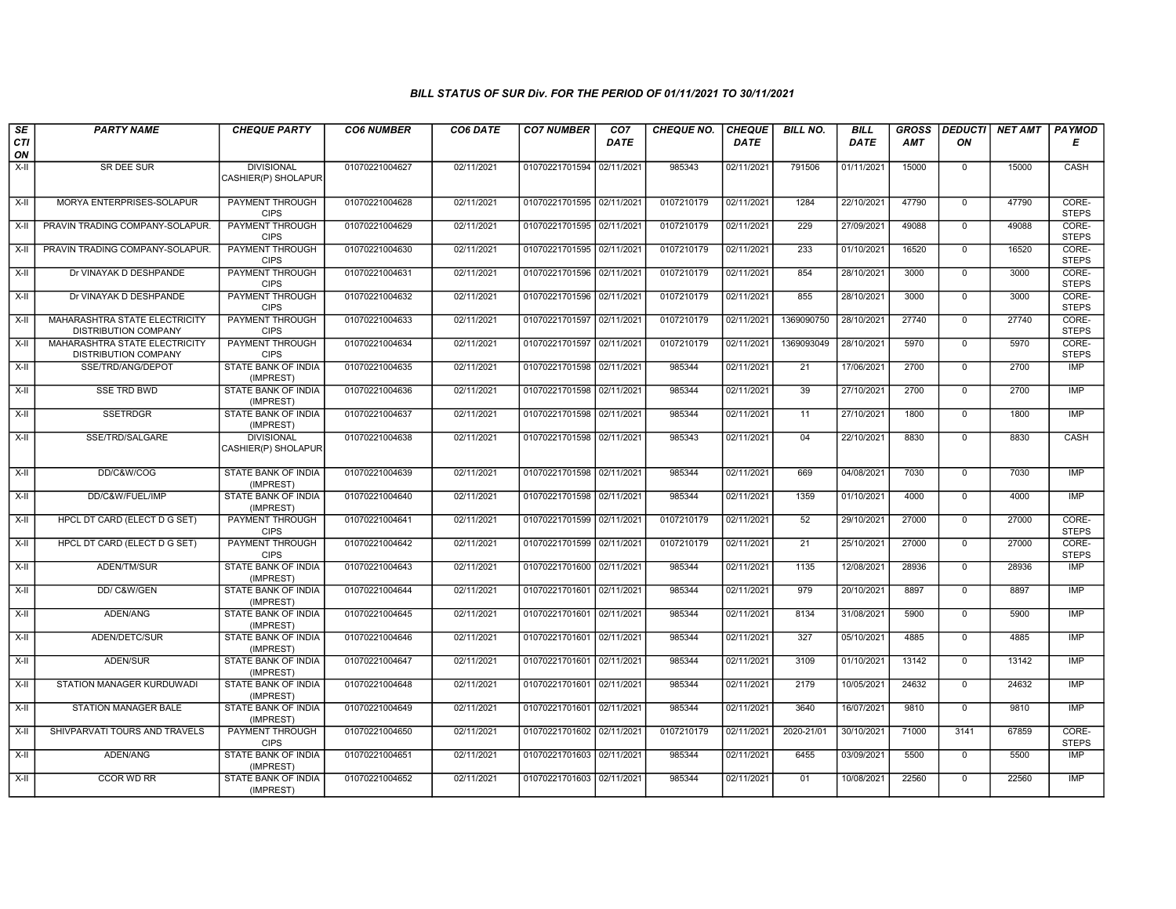| SE        | <b>PARTY NAME</b>                                     | <b>CHEQUE PARTY</b>                      | <b>CO6 NUMBER</b> | CO6 DATE   | <b>CO7 NUMBER</b>         | CO <sub>7</sub> | <b>CHEQUE NO.</b> | <b>CHEQUE</b> | <b>BILL NO.</b> | <b>BILL</b> | <b>GROSS</b> | <b>DEDUCTI</b> | <b>NET AMT</b> | PAYMOD                |
|-----------|-------------------------------------------------------|------------------------------------------|-------------------|------------|---------------------------|-----------------|-------------------|---------------|-----------------|-------------|--------------|----------------|----------------|-----------------------|
| CTI<br>ON |                                                       |                                          |                   |            |                           | <b>DATE</b>     |                   | <b>DATE</b>   |                 | <b>DATE</b> | <b>AMT</b>   | ON             |                | Е                     |
| $X-II$    | SR DEE SUR                                            | <b>DIVISIONAL</b><br>CASHIER(P) SHOLAPUR | 01070221004627    | 02/11/2021 | 01070221701594            | 02/11/2021      | 985343            | 02/11/2021    | 791506          | 01/11/2021  | 15000        | $\mathbf 0$    | 15000          | CASH                  |
| $X-H$     | MORYA ENTERPRISES-SOLAPUR                             | <b>PAYMENT THROUGH</b><br><b>CIPS</b>    | 01070221004628    | 02/11/2021 | 01070221701595 02/11/2021 |                 | 0107210179        | 02/11/2021    | 1284            | 22/10/2021  | 47790        | $\overline{0}$ | 47790          | CORE-<br><b>STEPS</b> |
| $X-H$     | PRAVIN TRADING COMPANY-SOLAPUR.                       | PAYMENT THROUGH<br><b>CIPS</b>           | 01070221004629    | 02/11/2021 | 01070221701595 02/11/2021 |                 | 0107210179        | 02/11/2021    | 229             | 27/09/2021  | 49088        | $\Omega$       | 49088          | CORE-<br><b>STEPS</b> |
| X-II      | PRAVIN TRADING COMPANY-SOLAPUR.                       | <b>PAYMENT THROUGH</b><br><b>CIPS</b>    | 01070221004630    | 02/11/2021 | 01070221701595 02/11/2021 |                 | 0107210179        | 02/11/2021    | 233             | 01/10/2021  | 16520        | $\mathbf 0$    | 16520          | CORE-<br><b>STEPS</b> |
| X-II      | Dr VINAYAK D DESHPANDE                                | PAYMENT THROUGH<br><b>CIPS</b>           | 01070221004631    | 02/11/2021 | 01070221701596 02/11/2021 |                 | 0107210179        | 02/11/2021    | 854             | 28/10/2021  | 3000         | $\Omega$       | 3000           | CORE-<br><b>STEPS</b> |
| $X-II$    | Dr VINAYAK D DESHPANDE                                | PAYMENT THROUGH<br><b>CIPS</b>           | 01070221004632    | 02/11/2021 | 01070221701596 02/11/2021 |                 | 0107210179        | 02/11/2021    | 855             | 28/10/2021  | 3000         | $\overline{0}$ | 3000           | CORE-<br><b>STEPS</b> |
| X-II      | MAHARASHTRA STATE ELECTRICITY<br>DISTRIBUTION COMPANY | <b>PAYMENT THROUGH</b><br><b>CIPS</b>    | 01070221004633    | 02/11/2021 | 01070221701597 02/11/2021 |                 | 0107210179        | 02/11/2021    | 1369090750      | 28/10/2021  | 27740        | $\mathbf 0$    | 27740          | CORE-<br><b>STEPS</b> |
| $X-II$    | MAHARASHTRA STATE ELECTRICITY<br>DISTRIBUTION COMPANY | <b>PAYMENT THROUGH</b><br><b>CIPS</b>    | 01070221004634    | 02/11/2021 | 01070221701597 02/11/2021 |                 | 0107210179        | 02/11/2021    | 1369093049      | 28/10/2021  | 5970         | $\overline{0}$ | 5970           | CORE-<br><b>STEPS</b> |
| X-II      | SSE/TRD/ANG/DEPOT                                     | <b>STATE BANK OF INDIA</b><br>(IMPREST)  | 01070221004635    | 02/11/2021 | 01070221701598 02/11/2021 |                 | 985344            | 02/11/2021    | 21              | 17/06/2021  | 2700         | $\mathbf 0$    | 2700           | <b>IMP</b>            |
| X-II      | <b>SSE TRD BWD</b>                                    | STATE BANK OF INDIA<br>(IMPREST)         | 01070221004636    | 02/11/2021 | 01070221701598 02/11/2021 |                 | 985344            | 02/11/2021    | 39              | 27/10/2021  | 2700         | $\overline{0}$ | 2700           | <b>IMP</b>            |
| $X-II$    | <b>SSETRDGR</b>                                       | <b>STATE BANK OF INDIA</b><br>(IMPREST)  | 01070221004637    | 02/11/2021 | 01070221701598 02/11/2021 |                 | 985344            | 02/11/2021    | 11              | 27/10/2021  | 1800         | $\overline{0}$ | 1800           | <b>IMP</b>            |
| $X-H$     | SSE/TRD/SALGARE                                       | <b>DIVISIONAL</b><br>CASHIER(P) SHOLAPUR | 01070221004638    | 02/11/2021 | 01070221701598 02/11/2021 |                 | 985343            | 02/11/2021    | 04              | 22/10/2021  | 8830         | $\mathsf{O}$   | 8830           | CASH                  |
| $X-II$    | DD/C&W/COG                                            | <b>STATE BANK OF INDIA</b><br>(IMPREST)  | 01070221004639    | 02/11/2021 | 01070221701598 02/11/2021 |                 | 985344            | 02/11/2021    | 669             | 04/08/2021  | 7030         | $\overline{0}$ | 7030           | <b>IMP</b>            |
| $X-H$     | DD/C&W/FUEL/IMP                                       | <b>STATE BANK OF INDIA</b><br>(IMPREST)  | 01070221004640    | 02/11/2021 | 01070221701598 02/11/2021 |                 | 985344            | 02/11/2021    | 1359            | 01/10/2021  | 4000         | $\mathbf 0$    | 4000           | IMP                   |
| $X-H$     | HPCL DT CARD (ELECT D G SET)                          | <b>PAYMENT THROUGH</b><br><b>CIPS</b>    | 01070221004641    | 02/11/2021 | 01070221701599 02/11/2021 |                 | 0107210179        | 02/11/2021    | 52              | 29/10/2021  | 27000        | $\overline{0}$ | 27000          | CORE-<br><b>STEPS</b> |
| X-II      | HPCL DT CARD (ELECT D G SET)                          | PAYMENT THROUGH<br><b>CIPS</b>           | 01070221004642    | 02/11/2021 | 01070221701599 02/11/2021 |                 | 0107210179        | 02/11/2021    | 21              | 25/10/2021  | 27000        | $\mathbf 0$    | 27000          | CORE-<br><b>STEPS</b> |
| $X-II$    | ADEN/TM/SUR                                           | STATE BANK OF INDIA<br>(IMPREST)         | 01070221004643    | 02/11/2021 | 01070221701600 02/11/2021 |                 | 985344            | 02/11/2021    | 1135            | 12/08/2021  | 28936        | $\mathbf{0}$   | 28936          | <b>IMP</b>            |
| $X-H$     | DD/ C&W/GEN                                           | <b>STATE BANK OF INDIA</b><br>(IMPREST)  | 01070221004644    | 02/11/2021 | 01070221701601 02/11/2021 |                 | 985344            | 02/11/2021    | 979             | 20/10/2021  | 8897         | $\overline{0}$ | 8897           | IMP                   |
| $X-H$     | ADEN/ANG                                              | <b>STATE BANK OF INDIA</b><br>(IMPREST)  | 01070221004645    | 02/11/2021 | 01070221701601 02/11/2021 |                 | 985344            | 02/11/2021    | 8134            | 31/08/2021  | 5900         | $\mathbf{0}$   | 5900           | <b>IMP</b>            |
| X-II      | ADEN/DETC/SUR                                         | <b>STATE BANK OF INDIA</b><br>(IMPREST)  | 01070221004646    | 02/11/2021 | 01070221701601 02/11/2021 |                 | 985344            | 02/11/2021    | 327             | 05/10/2021  | 4885         | 0              | 4885           | IMP                   |
| X-II      | ADEN/SUR                                              | STATE BANK OF INDIA<br>(IMPREST)         | 01070221004647    | 02/11/2021 | 01070221701601 02/11/2021 |                 | 985344            | 02/11/2021    | 3109            | 01/10/2021  | 13142        | $\mathbf{0}$   | 13142          | <b>IMP</b>            |
| X-II      | STATION MANAGER KURDUWADI                             | STATE BANK OF INDIA<br>(IMPREST)         | 01070221004648    | 02/11/2021 | 01070221701601 02/11/2021 |                 | 985344            | 02/11/2021    | 2179            | 10/05/2021  | 24632        | $\mathbf{0}$   | 24632          | <b>IMP</b>            |
| $X-H$     | <b>STATION MANAGER BALE</b>                           | <b>STATE BANK OF INDIA</b><br>(IMPREST)  | 01070221004649    | 02/11/2021 | 01070221701601            | 02/11/2021      | 985344            | 02/11/2021    | 3640            | 16/07/2021  | 9810         | $\overline{0}$ | 9810           | IMP                   |
| X-II      | SHIVPARVATI TOURS AND TRAVELS                         | PAYMENT THROUGH<br><b>CIPS</b>           | 01070221004650    | 02/11/2021 | 01070221701602 02/11/2021 |                 | 0107210179        | 02/11/2021    | 2020-21/01      | 30/10/2021  | 71000        | 3141           | 67859          | CORE-<br><b>STEPS</b> |
| $X-II$    | ADEN/ANG                                              | <b>STATE BANK OF INDIA</b><br>(IMPREST)  | 01070221004651    | 02/11/2021 | 01070221701603 02/11/2021 |                 | 985344            | 02/11/2021    | 6455            | 03/09/2021  | 5500         | 0              | 5500           | IMP                   |
| X-II      | <b>CCOR WD RR</b>                                     | STATE BANK OF INDIA<br>(IMPREST)         | 01070221004652    | 02/11/2021 | 01070221701603 02/11/2021 |                 | 985344            | 02/11/2021    | 01              | 10/08/2021  | 22560        | $\mathbf 0$    | 22560          | <b>IMP</b>            |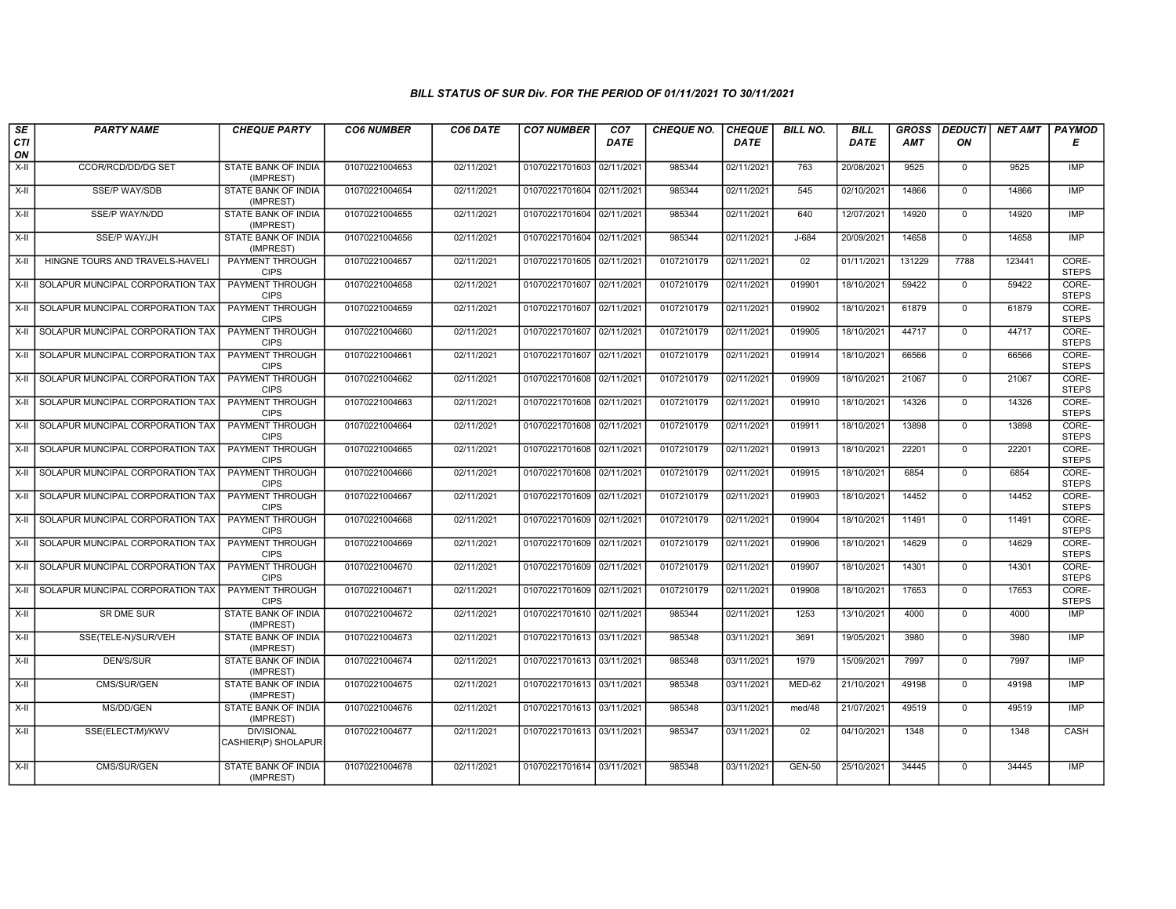| $\overline{\mathsf{s}\mathsf{e}}$ | <b>PARTY NAME</b>                | <b>CHEQUE PARTY</b>                      | <b>CO6 NUMBER</b> | CO6 DATE   | <b>CO7 NUMBER</b>         | CO7         | <b>CHEQUE NO.</b> | <b>CHEQUE</b> | <b>BILL NO.</b> | <b>BILL</b> | <b>GROSS</b> | <b>DEDUCTI</b> | <b>NET AMT</b> | PAYMOD                |
|-----------------------------------|----------------------------------|------------------------------------------|-------------------|------------|---------------------------|-------------|-------------------|---------------|-----------------|-------------|--------------|----------------|----------------|-----------------------|
| <b>CTI</b><br>ON                  |                                  |                                          |                   |            |                           | <b>DATE</b> |                   | <b>DATE</b>   |                 | DATE        | <b>AMT</b>   | ON             |                | Е                     |
| $X-H$                             | <b>CCOR/RCD/DD/DG SET</b>        | <b>STATE BANK OF INDIA</b><br>(IMPREST)  | 01070221004653    | 02/11/2021 | 01070221701603 02/11/2021 |             | 985344            | 02/11/2021    | 763             | 20/08/2021  | 9525         | $\mathbf 0$    | 9525           | <b>IMP</b>            |
| X-II                              | <b>SSE/P WAY/SDB</b>             | <b>STATE BANK OF INDIA</b><br>(IMPREST)  | 01070221004654    | 02/11/2021 | 01070221701604 02/11/2021 |             | 985344            | 02/11/2021    | 545             | 02/10/2021  | 14866        | $\mathbf 0$    | 14866          | IMP                   |
| X-II                              | SSE/P WAY/N/DD                   | STATE BANK OF INDIA<br>(IMPREST)         | 01070221004655    | 02/11/2021 | 01070221701604 02/11/2021 |             | 985344            | 02/11/2021    | 640             | 12/07/2021  | 14920        | $\mathbf 0$    | 14920          | <b>IMP</b>            |
| $X-II$                            | <b>SSE/P WAY/JH</b>              | <b>STATE BANK OF INDIA</b><br>(IMPREST)  | 01070221004656    | 02/11/2021 | 01070221701604 02/11/2021 |             | 985344            | 02/11/2021    | $J-684$         | 20/09/2021  | 14658        | $\overline{0}$ | 14658          | IMP                   |
| X-II                              | HINGNE TOURS AND TRAVELS-HAVELI  | PAYMENT THROUGH<br><b>CIPS</b>           | 01070221004657    | 02/11/2021 | 01070221701605 02/11/2021 |             | 0107210179        | 02/11/2021    | 02              | 01/11/2021  | 131229       | 7788           | 123441         | CORE-<br><b>STEPS</b> |
| X-II                              | SOLAPUR MUNCIPAL CORPORATION TAX | <b>PAYMENT THROUGH</b><br><b>CIPS</b>    | 01070221004658    | 02/11/2021 | 01070221701607 02/11/2021 |             | 0107210179        | 02/11/2021    | 019901          | 18/10/2021  | 59422        | $\overline{0}$ | 59422          | CORE-<br><b>STEPS</b> |
| X-II                              | SOLAPUR MUNCIPAL CORPORATION TAX | PAYMENT THROUGH<br><b>CIPS</b>           | 01070221004659    | 02/11/2021 | 01070221701607 02/11/2021 |             | 0107210179        | 02/11/2021    | 019902          | 18/10/2021  | 61879        | $\mathbf{0}$   | 61879          | CORE-<br><b>STEPS</b> |
| X-II                              | SOLAPUR MUNCIPAL CORPORATION TAX | PAYMENT THROUGH<br><b>CIPS</b>           | 01070221004660    | 02/11/2021 | 01070221701607 02/11/2021 |             | 0107210179        | 02/11/2021    | 019905          | 18/10/2021  | 44717        | $\mathbf 0$    | 44717          | CORE-<br><b>STEPS</b> |
| $X-II$                            | SOLAPUR MUNCIPAL CORPORATION TAX | <b>PAYMENT THROUGH</b><br><b>CIPS</b>    | 01070221004661    | 02/11/2021 | 01070221701607 02/11/2021 |             | 0107210179        | 02/11/2021    | 019914          | 18/10/2021  | 66566        | $\overline{0}$ | 66566          | CORE-<br><b>STEPS</b> |
| X-II                              | SOLAPUR MUNCIPAL CORPORATION TAX | PAYMENT THROUGH<br><b>CIPS</b>           | 01070221004662    | 02/11/2021 | 01070221701608 02/11/2021 |             | 0107210179        | 02/11/2021    | 019909          | 18/10/2021  | 21067        | $\overline{0}$ | 21067          | CORE-<br><b>STEPS</b> |
| X-II                              | SOLAPUR MUNCIPAL CORPORATION TAX | PAYMENT THROUGH<br><b>CIPS</b>           | 01070221004663    | 02/11/2021 | 01070221701608            | 02/11/2021  | 0107210179        | 02/11/2021    | 019910          | 18/10/2021  | 14326        | $\mathbf 0$    | 14326          | CORE-<br><b>STEPS</b> |
| X-II                              | SOLAPUR MUNCIPAL CORPORATION TAX | PAYMENT THROUGH<br><b>CIPS</b>           | 01070221004664    | 02/11/2021 | 01070221701608            | 02/11/2021  | 0107210179        | 02/11/2021    | 019911          | 18/10/2021  | 13898        | $\overline{0}$ | 13898          | CORE-<br><b>STEPS</b> |
| X-II                              | SOLAPUR MUNCIPAL CORPORATION TAX | PAYMENT THROUGH<br><b>CIPS</b>           | 01070221004665    | 02/11/2021 | 01070221701608 02/11/2021 |             | 0107210179        | 02/11/2021    | 019913          | 18/10/2021  | 22201        | $\mathbf 0$    | 22201          | CORE-<br><b>STEPS</b> |
| X-II                              | SOLAPUR MUNCIPAL CORPORATION TAX | <b>PAYMENT THROUGH</b><br><b>CIPS</b>    | 01070221004666    | 02/11/2021 | 01070221701608 02/11/2021 |             | 0107210179        | 02/11/2021    | 019915          | 18/10/2021  | 6854         | $\overline{0}$ | 6854           | CORE-<br><b>STEPS</b> |
| X-II                              | SOLAPUR MUNCIPAL CORPORATION TAX | PAYMENT THROUGH<br><b>CIPS</b>           | 01070221004667    | 02/11/2021 | 01070221701609            | 02/11/2021  | 0107210179        | 02/11/2021    | 019903          | 18/10/2021  | 14452        | $\mathbf{0}$   | 14452          | CORE-<br><b>STEPS</b> |
| X-II                              | SOLAPUR MUNCIPAL CORPORATION TAX | PAYMENT THROUGH<br><b>CIPS</b>           | 01070221004668    | 02/11/2021 | 01070221701609 02/11/2021 |             | 0107210179        | 02/11/2021    | 019904          | 18/10/2021  | 11491        | $\overline{0}$ | 11491          | CORE-<br><b>STEPS</b> |
| X-II                              | SOLAPUR MUNCIPAL CORPORATION TAX | PAYMENT THROUGH<br><b>CIPS</b>           | 01070221004669    | 02/11/2021 | 01070221701609 02/11/2021 |             | 0107210179        | 02/11/2021    | 019906          | 18/10/2021  | 14629        | $\overline{0}$ | 14629          | CORE-<br><b>STEPS</b> |
| X-II                              | SOLAPUR MUNCIPAL CORPORATION TAX | <b>PAYMENT THROUGH</b><br><b>CIPS</b>    | 01070221004670    | 02/11/2021 | 01070221701609 02/11/2021 |             | 0107210179        | 02/11/2021    | 019907          | 18/10/2021  | 14301        | $\Omega$       | 14301          | CORE-<br><b>STEPS</b> |
| X-II                              | SOLAPUR MUNCIPAL CORPORATION TAX | PAYMENT THROUGH<br><b>CIPS</b>           | 01070221004671    | 02/11/2021 | 01070221701609 02/11/2021 |             | 0107210179        | 02/11/2021    | 019908          | 18/10/2021  | 17653        | $\mathbf{0}$   | 17653          | CORE-<br><b>STEPS</b> |
| X-II                              | SR DME SUR                       | STATE BANK OF INDIA<br>(IMPREST)         | 01070221004672    | 02/11/2021 | 01070221701610 02/11/2021 |             | 985344            | 02/11/2021    | 1253            | 13/10/2021  | 4000         | $\overline{0}$ | 4000           | <b>IMP</b>            |
| X-II                              | SSE(TELE-N)/SUR/VEH              | STATE BANK OF INDIA<br>(IMPREST)         | 01070221004673    | 02/11/2021 | 01070221701613 03/11/2021 |             | 985348            | 03/11/2021    | 3691            | 19/05/2021  | 3980         | $\mathbf 0$    | 3980           | <b>IMP</b>            |
| X-II                              | DEN/S/SUR                        | STATE BANK OF INDIA<br>(IMPREST)         | 01070221004674    | 02/11/2021 | 01070221701613 03/11/2021 |             | 985348            | 03/11/2021    | 1979            | 15/09/2021  | 7997         | $\mathbf 0$    | 7997           | <b>IMP</b>            |
| X-II                              | CMS/SUR/GEN                      | STATE BANK OF INDIA<br>(IMPREST)         | 01070221004675    | 02/11/2021 | 01070221701613 03/11/2021 |             | 985348            | 03/11/2021    | $MED-62$        | 21/10/2021  | 49198        | $\Omega$       | 49198          | IMP                   |
| X-II                              | MS/DD/GEN                        | STATE BANK OF INDIA<br>(IMPREST)         | 01070221004676    | 02/11/2021 | 01070221701613 03/11/2021 |             | 985348            | 03/11/2021    | med/48          | 21/07/2021  | 49519        | $\mathbf 0$    | 49519          | IMP                   |
| X-II                              | SSE(ELECT/M)/KWV                 | <b>DIVISIONAL</b><br>CASHIER(P) SHOLAPUR | 01070221004677    | 02/11/2021 | 01070221701613 03/11/2021 |             | 985347            | 03/11/2021    | 02              | 04/10/2021  | 1348         | $\mathbf 0$    | 1348           | CASH                  |
| X-II                              | CMS/SUR/GEN                      | STATE BANK OF INDIA<br>(IMPREST)         | 01070221004678    | 02/11/2021 | 01070221701614 03/11/2021 |             | 985348            | 03/11/2021    | <b>GEN-50</b>   | 25/10/2021  | 34445        | $\mathbf 0$    | 34445          | <b>IMP</b>            |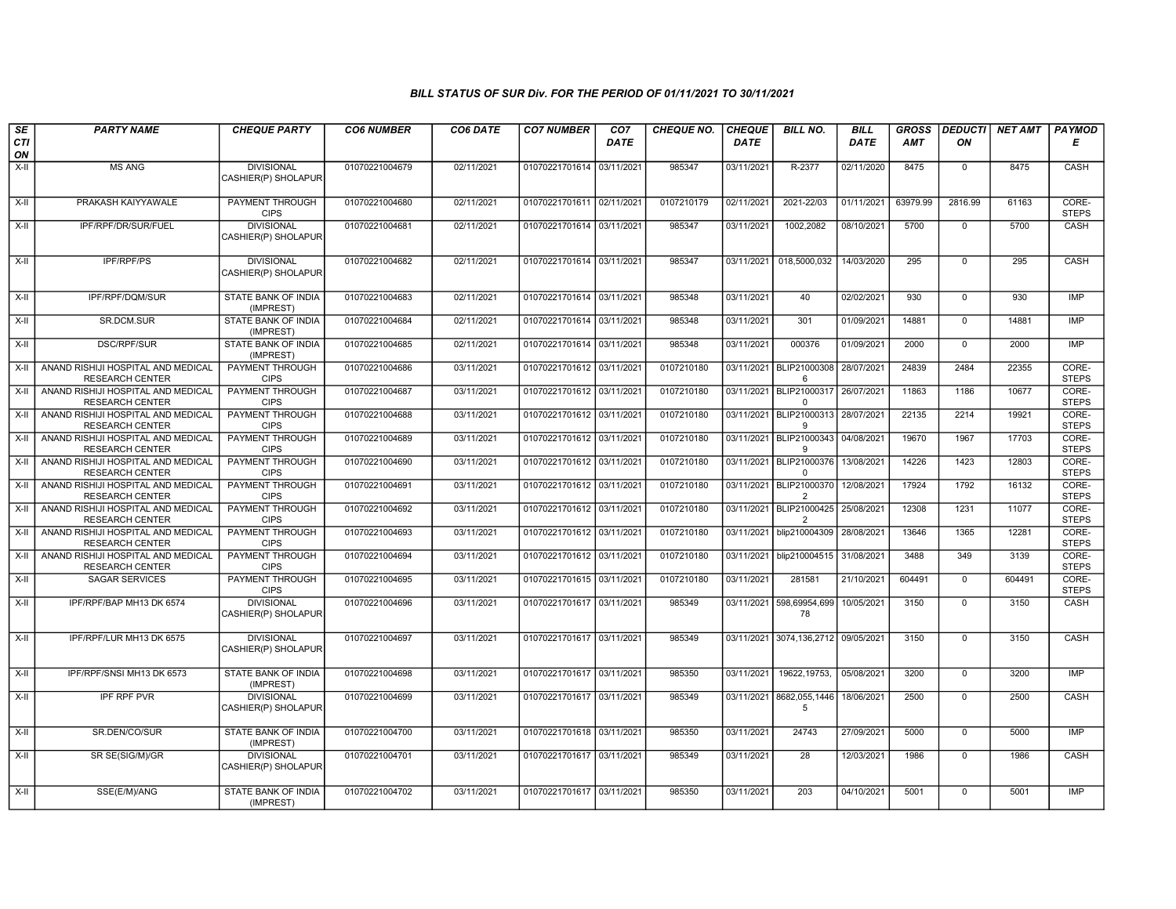| SE        | <b>PARTY NAME</b>                                            | <b>CHEQUE PARTY</b>                      | <b>CO6 NUMBER</b> | CO6 DATE   | <b>CO7 NUMBER</b>         | CO <sub>7</sub> | <b>CHEQUE NO.</b> | <b>CHEQUE</b> | <b>BILL NO.</b>                                   | <b>BILL</b> | <b>GROSS</b> | <b>DEDUCTI</b> | <b>NET AMT</b> | <b>PAYMOD</b>         |
|-----------|--------------------------------------------------------------|------------------------------------------|-------------------|------------|---------------------------|-----------------|-------------------|---------------|---------------------------------------------------|-------------|--------------|----------------|----------------|-----------------------|
| CTI<br>ON |                                                              |                                          |                   |            |                           | <b>DATE</b>     |                   | <b>DATE</b>   |                                                   | <b>DATE</b> | AMT          | ON             |                | Е                     |
| X-II      | <b>MS ANG</b>                                                | <b>DIVISIONAL</b><br>CASHIER(P) SHOLAPUR | 01070221004679    | 02/11/2021 | 01070221701614 03/11/2021 |                 | 985347            | 03/11/2021    | R-2377                                            | 02/11/2020  | 8475         | $\mathbf{0}$   | 8475           | CASH                  |
| $X-H$     | PRAKASH KAIYYAWALE                                           | PAYMENT THROUGH<br><b>CIPS</b>           | 01070221004680    | 02/11/2021 | 01070221701611 02/11/2021 |                 | 0107210179        | 02/11/2021    | 2021-22/03                                        | 01/11/2021  | 63979.99     | 2816.99        | 61163          | CORE-<br><b>STEPS</b> |
| $X-H$     | IPF/RPF/DR/SUR/FUEL                                          | <b>DIVISIONAL</b><br>CASHIER(P) SHOLAPUR | 01070221004681    | 02/11/2021 | 01070221701614 03/11/2021 |                 | 985347            | 03/11/2021    | 1002,2082                                         | 08/10/2021  | 5700         | $\overline{0}$ | 5700           | CASH                  |
| $X-II$    | <b>IPF/RPF/PS</b>                                            | <b>DIVISIONAL</b><br>CASHIER(P) SHOLAPUR | 01070221004682    | 02/11/2021 | 01070221701614 03/11/2021 |                 | 985347            | 03/11/2021    | 018,5000,032                                      | 14/03/2020  | 295          | $\mathbf 0$    | 295            | CASH                  |
| $X-II$    | IPF/RPF/DQM/SUR                                              | <b>STATE BANK OF INDIA</b><br>(IMPREST)  | 01070221004683    | 02/11/2021 | 01070221701614 03/11/2021 |                 | 985348            | 03/11/2021    | 40                                                | 02/02/2021  | 930          | $\mathbf 0$    | 930            | IMP                   |
| $X-II$    | SR.DCM.SUR                                                   | STATE BANK OF INDIA<br>(IMPREST)         | 01070221004684    | 02/11/2021 | 01070221701614 03/11/2021 |                 | 985348            | 03/11/2021    | 301                                               | 01/09/2021  | 14881        | $\mathbf 0$    | 14881          | <b>IMP</b>            |
| $X-H$     | <b>DSC/RPF/SUR</b>                                           | STATE BANK OF INDIA<br>(IMPREST)         | 01070221004685    | 02/11/2021 | 01070221701614 03/11/2021 |                 | 985348            | 03/11/2021    | 000376                                            | 01/09/2021  | 2000         | $\overline{0}$ | 2000           | IMP                   |
| $X-H$     | ANAND RISHIJI HOSPITAL AND MEDICAL<br><b>RESEARCH CENTER</b> | <b>PAYMENT THROUGH</b><br><b>CIPS</b>    | 01070221004686    | 03/11/2021 | 01070221701612 03/11/2021 |                 | 0107210180        | 03/11/2021    | BLIP21000308<br>6                                 | 28/07/2021  | 24839        | 2484           | 22355          | CORE-<br><b>STEPS</b> |
| $X-H$     | ANAND RISHIJI HOSPITAL AND MEDICAL<br><b>RESEARCH CENTER</b> | PAYMENT THROUGH<br><b>CIPS</b>           | 01070221004687    | 03/11/2021 | 01070221701612 03/11/2021 |                 | 0107210180        |               | 03/11/2021 BLIP21000317 26/07/2021<br>$\mathbf 0$ |             | 11863        | 1186           | 10677          | CORE-<br><b>STEPS</b> |
| X-II      | ANAND RISHIJI HOSPITAL AND MEDICAL<br><b>RESEARCH CENTER</b> | PAYMENT THROUGH<br><b>CIPS</b>           | 01070221004688    | 03/11/2021 | 01070221701612 03/11/2021 |                 | 0107210180        |               | 03/11/2021   BLIP21000313   28/07/2021<br>9       |             | 22135        | 2214           | 19921          | CORE-<br><b>STEPS</b> |
| X-II      | ANAND RISHIJI HOSPITAL AND MEDICAL<br><b>RESEARCH CENTER</b> | PAYMENT THROUGH<br><b>CIPS</b>           | 01070221004689    | 03/11/2021 | 01070221701612 03/11/2021 |                 | 0107210180        | 03/11/2021    | BLIP21000343<br><b>g</b>                          | 04/08/2021  | 19670        | 1967           | 17703          | CORE-<br><b>STEPS</b> |
| X-II      | ANAND RISHIJI HOSPITAL AND MEDICAL<br><b>RESEARCH CENTER</b> | <b>PAYMENT THROUGH</b><br><b>CIPS</b>    | 01070221004690    | 03/11/2021 | 01070221701612 03/11/2021 |                 | 0107210180        | 03/11/2021    | BLIP21000376 13/08/2021<br>$\Omega$               |             | 14226        | 1423           | 12803          | CORE-<br><b>STEPS</b> |
| $X-H$     | ANAND RISHIJI HOSPITAL AND MEDICAL<br><b>RESEARCH CENTER</b> | PAYMENT THROUGH<br><b>CIPS</b>           | 01070221004691    | 03/11/2021 | 01070221701612 03/11/2021 |                 | 0107210180        | 03/11/2021    | BLIP21000370 12/08/2021<br>$\overline{2}$         |             | 17924        | 1792           | 16132          | CORE-<br><b>STEPS</b> |
| X-II      | ANAND RISHIJI HOSPITAL AND MEDICAL<br><b>RESEARCH CENTER</b> | PAYMENT THROUGH<br><b>CIPS</b>           | 01070221004692    | 03/11/2021 | 01070221701612 03/11/2021 |                 | 0107210180        | 03/11/2021    | BLIP21000425 25/08/2021<br>$\overline{2}$         |             | 12308        | 1231           | 11077          | CORE-<br><b>STEPS</b> |
| X-II      | ANAND RISHIJI HOSPITAL AND MEDICAL<br><b>RESEARCH CENTER</b> | PAYMENT THROUGH<br><b>CIPS</b>           | 01070221004693    | 03/11/2021 | 01070221701612 03/11/2021 |                 | 0107210180        | 03/11/2021    | blip210004309 28/08/2021                          |             | 13646        | 1365           | 12281          | CORE-<br><b>STEPS</b> |
| $X-H$     | ANAND RISHIJI HOSPITAL AND MEDICAL<br><b>RESEARCH CENTER</b> | <b>PAYMENT THROUGH</b><br><b>CIPS</b>    | 01070221004694    | 03/11/2021 | 01070221701612 03/11/2021 |                 | 0107210180        | 03/11/2021    | blip210004515 31/08/2021                          |             | 3488         | 349            | 3139           | CORE-<br><b>STEPS</b> |
| $X-H$     | <b>SAGAR SERVICES</b>                                        | <b>PAYMENT THROUGH</b><br><b>CIPS</b>    | 01070221004695    | 03/11/2021 | 01070221701615 03/11/2021 |                 | 0107210180        | 03/11/2021    | 281581                                            | 21/10/2021  | 604491       | $\overline{0}$ | 604491         | CORE-<br><b>STEPS</b> |
| X-II      | IPF/RPF/BAP MH13 DK 6574                                     | <b>DIVISIONAL</b><br>CASHIER(P) SHOLAPUR | 01070221004696    | 03/11/2021 | 01070221701617 03/11/2021 |                 | 985349            | 03/11/2021    | 598,69954,699<br>78                               | 10/05/2021  | 3150         | $\Omega$       | 3150           | CASH                  |
| $X-H$     | IPF/RPF/LUR MH13 DK 6575                                     | <b>DIVISIONAL</b><br>CASHIER(P) SHOLAPUR | 01070221004697    | 03/11/2021 | 01070221701617 03/11/2021 |                 | 985349            |               | 03/11/2021 3074,136,2712 09/05/2021               |             | 3150         | $\mathbf 0$    | 3150           | <b>CASH</b>           |
| X-II      | IPF/RPF/SNSI MH13 DK 6573                                    | STATE BANK OF INDIA<br>(IMPREST)         | 01070221004698    | 03/11/2021 | 01070221701617 03/11/2021 |                 | 985350            | 03/11/2021    | 19622, 19753,                                     | 05/08/2021  | 3200         | $\mathbf 0$    | 3200           | <b>IMP</b>            |
| X-II      | <b>IPF RPF PVR</b>                                           | <b>DIVISIONAL</b><br>CASHIER(P) SHOLAPUR | 01070221004699    | 03/11/2021 | 01070221701617 03/11/2021 |                 | 985349            | 03/11/2021    | 8682,055,1446<br>5                                | 18/06/2021  | 2500         | $\mathbf 0$    | 2500           | CASH                  |
| X-II      | SR.DEN/CO/SUR                                                | STATE BANK OF INDIA<br>(IMPREST)         | 01070221004700    | 03/11/2021 | 01070221701618 03/11/2021 |                 | 985350            | 03/11/2021    | 24743                                             | 27/09/2021  | 5000         | $\mathbf{0}$   | 5000           | <b>IMP</b>            |
| X-II      | SR SE(SIG/M)/GR                                              | <b>DIVISIONAL</b><br>CASHIER(P) SHOLAPUR | 01070221004701    | 03/11/2021 | 01070221701617 03/11/2021 |                 | 985349            | 03/11/2021    | 28                                                | 12/03/2021  | 1986         | $\mathbf 0$    | 1986           | CASH                  |
| $X-H$     | SSE(E/M)/ANG                                                 | <b>STATE BANK OF INDIA</b><br>(IMPREST)  | 01070221004702    | 03/11/2021 | 01070221701617 03/11/2021 |                 | 985350            | 03/11/2021    | 203                                               | 04/10/2021  | 5001         | $\overline{0}$ | 5001           | IMP                   |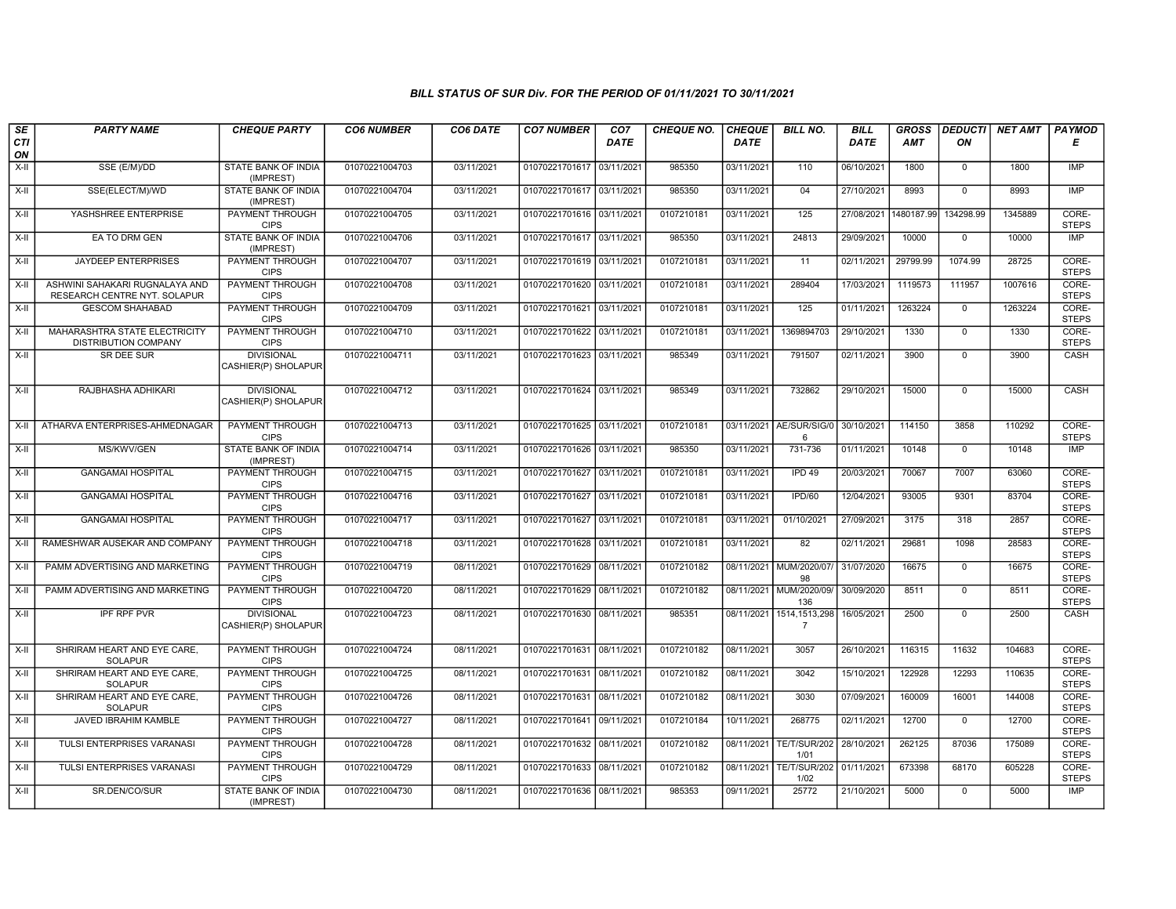| SE        | <b>PARTY NAME</b>                                              | <b>CHEQUE PARTY</b>                      | <b>CO6 NUMBER</b> | CO6 DATE   | <b>CO7 NUMBER</b>         | CO <sub>7</sub> | <b>CHEQUE NO.</b> | <b>CHEQUE</b> | <b>BILL NO.</b>                   | <b>BILL</b> | <b>GROSS</b> | <b>DEDUCTI</b> | <b>NET AMT</b> | <b>PAYMOD</b>         |
|-----------|----------------------------------------------------------------|------------------------------------------|-------------------|------------|---------------------------|-----------------|-------------------|---------------|-----------------------------------|-------------|--------------|----------------|----------------|-----------------------|
| CTI<br>ON |                                                                |                                          |                   |            |                           | <b>DATE</b>     |                   | <b>DATE</b>   |                                   | <b>DATE</b> | AMT          | ΟN             |                | Е                     |
| $X-H$     | SSE (E/M)/DD                                                   | STATE BANK OF INDIA<br>(IMPREST)         | 01070221004703    | 03/11/2021 | 01070221701617            | 03/11/2021      | 985350            | 03/11/2021    | 110                               | 06/10/2021  | 1800         | $\mathbf{0}$   | 1800           | IMP                   |
| $X-H$     | SSE(ELECT/M)/WD                                                | <b>STATE BANK OF INDIA</b><br>(IMPREST)  | 01070221004704    | 03/11/2021 | 01070221701617 03/11/2021 |                 | 985350            | 03/11/2021    | 04                                | 27/10/2021  | 8993         | $\Omega$       | 8993           | IMP                   |
| $X-H$     | YASHSHREE ENTERPRISE                                           | <b>PAYMENT THROUGH</b><br><b>CIPS</b>    | 01070221004705    | 03/11/2021 | 01070221701616 03/11/2021 |                 | 0107210181        | 03/11/2021    | 125                               | 27/08/2021  | 1480187.99   | 134298.99      | 1345889        | CORE-<br><b>STEPS</b> |
| $X-II$    | EA TO DRM GEN                                                  | STATE BANK OF INDIA<br>(IMPREST)         | 01070221004706    | 03/11/2021 | 01070221701617 03/11/2021 |                 | 985350            | 03/11/2021    | 24813                             | 29/09/2021  | 10000        | $\overline{0}$ | 10000          | IMP                   |
| X-II      | <b>JAYDEEP ENTERPRISES</b>                                     | <b>PAYMENT THROUGH</b><br><b>CIPS</b>    | 01070221004707    | 03/11/2021 | 01070221701619 03/11/2021 |                 | 0107210181        | 03/11/2021    | 11                                | 02/11/2021  | 29799.99     | 1074.99        | 28725          | CORE-<br><b>STEPS</b> |
| X-II      | ASHWINI SAHAKARI RUGNALAYA AND<br>RESEARCH CENTRE NYT. SOLAPUR | <b>PAYMENT THROUGH</b><br><b>CIPS</b>    | 01070221004708    | 03/11/2021 | 01070221701620 03/11/2021 |                 | 0107210181        | 03/11/2021    | 289404                            | 17/03/2021  | 1119573      | 111957         | 1007616        | CORE-<br><b>STEPS</b> |
| X-II      | <b>GESCOM SHAHABAD</b>                                         | PAYMENT THROUGH<br><b>CIPS</b>           | 01070221004709    | 03/11/2021 | 01070221701621            | 03/11/202       | 0107210181        | 03/11/2021    | 125                               | 01/11/2021  | 1263224      | $\mathbf 0$    | 1263224        | CORE-<br><b>STEPS</b> |
| $X-II$    | MAHARASHTRA STATE ELECTRICITY<br><b>DISTRIBUTION COMPANY</b>   | <b>PAYMENT THROUGH</b><br><b>CIPS</b>    | 01070221004710    | 03/11/2021 | 01070221701622 03/11/2021 |                 | 0107210181        | 03/11/2021    | 1369894703                        | 29/10/2021  | 1330         | $\overline{0}$ | 1330           | CORE-<br><b>STEPS</b> |
| X-II      | <b>SR DEE SUR</b>                                              | <b>DIVISIONAL</b><br>CASHIER(P) SHOLAPUR | 01070221004711    | 03/11/2021 | 01070221701623 03/11/2021 |                 | 985349            | 03/11/2021    | 791507                            | 02/11/2021  | 3900         | $\mathbf{0}$   | 3900           | CASH                  |
| $X-II$    | RAJBHASHA ADHIKARI                                             | <b>DIVISIONAL</b><br>CASHIER(P) SHOLAPUR | 01070221004712    | 03/11/2021 | 01070221701624 03/11/2021 |                 | 985349            | 03/11/2021    | 732862                            | 29/10/2021  | 15000        | $\overline{0}$ | 15000          | CASH                  |
| X-II      | ATHARVA ENTERPRISES-AHMEDNAGAR                                 | <b>PAYMENT THROUGH</b><br><b>CIPS</b>    | 01070221004713    | 03/11/2021 | 01070221701625 03/11/2021 |                 | 0107210181        | 03/11/2021    | AE/SUR/SIG/0<br>6                 | 30/10/2021  | 114150       | 3858           | 110292         | CORE-<br><b>STEPS</b> |
| X-II      | MS/KWV/GEN                                                     | STATE BANK OF INDIA<br>(IMPREST)         | 01070221004714    | 03/11/2021 | 01070221701626 03/11/2021 |                 | 985350            | 03/11/2021    | 731-736                           | 01/11/2021  | 10148        | $\mathbf{0}$   | 10148          | IMP                   |
| X-II      | <b>GANGAMAI HOSPITAL</b>                                       | <b>PAYMENT THROUGH</b><br><b>CIPS</b>    | 01070221004715    | 03/11/2021 | 01070221701627            | 03/11/202       | 0107210181        | 03/11/2021    | IPD <sub>49</sub>                 | 20/03/2021  | 70067        | 7007           | 63060          | CORE-<br><b>STEPS</b> |
| $X-H$     | <b>GANGAMAI HOSPITAL</b>                                       | <b>PAYMENT THROUGH</b><br><b>CIPS</b>    | 01070221004716    | 03/11/2021 | 01070221701627            | 03/11/2021      | 0107210181        | 03/11/2021    | <b>IPD/60</b>                     | 12/04/2021  | 93005        | 9301           | 83704          | CORE-<br><b>STEPS</b> |
| $X-H$     | <b>GANGAMAI HOSPITAL</b>                                       | <b>PAYMENT THROUGH</b><br><b>CIPS</b>    | 01070221004717    | 03/11/2021 | 01070221701627            | 03/11/2021      | 0107210181        | 03/11/2021    | 01/10/2021                        | 27/09/2021  | 3175         | 318            | 2857           | CORE-<br><b>STEPS</b> |
| $X-H$     | RAMESHWAR AUSEKAR AND COMPANY                                  | PAYMENT THROUGH<br><b>CIPS</b>           | 01070221004718    | 03/11/2021 | 01070221701628 03/11/2021 |                 | 0107210181        | 03/11/2021    | 82                                | 02/11/2021  | 29681        | 1098           | 28583          | CORE-<br><b>STEPS</b> |
| X-II      | PAMM ADVERTISING AND MARKETING                                 | <b>PAYMENT THROUGH</b><br><b>CIPS</b>    | 01070221004719    | 08/11/2021 | 01070221701629            | 08/11/202       | 0107210182        | 08/11/2021    | MUM/2020/07<br>98                 | 31/07/2020  | 16675        | $\mathbf 0$    | 16675          | CORE-<br><b>STEPS</b> |
| X-II      | PAMM ADVERTISING AND MARKETING                                 | <b>PAYMENT THROUGH</b><br><b>CIPS</b>    | 01070221004720    | 08/11/2021 | 01070221701629 08/11/2021 |                 | 0107210182        | 08/11/2021    | MUM/2020/09/<br>136               | 30/09/2020  | 8511         | $\mathbf 0$    | 8511           | CORE-<br><b>STEPS</b> |
| X-II      | <b>IPF RPF PVR</b>                                             | <b>DIVISIONAL</b><br>CASHIER(P) SHOLAPUR | 01070221004723    | 08/11/2021 | 01070221701630 08/11/2021 |                 | 985351            | 08/11/2021    | 1514, 1513, 298<br>$\overline{7}$ | 16/05/2021  | 2500         | $\mathbf 0$    | 2500           | <b>CASH</b>           |
| $X-II$    | SHRIRAM HEART AND EYE CARE.<br><b>SOLAPUR</b>                  | <b>PAYMENT THROUGH</b><br><b>CIPS</b>    | 01070221004724    | 08/11/2021 | 01070221701631 08/11/2021 |                 | 0107210182        | 08/11/2021    | 3057                              | 26/10/2021  | 116315       | 11632          | 104683         | CORE-<br><b>STEPS</b> |
| $X-H$     | SHRIRAM HEART AND EYE CARE,<br><b>SOLAPUR</b>                  | <b>PAYMENT THROUGH</b><br><b>CIPS</b>    | 01070221004725    | 08/11/2021 | 01070221701631 08/11/2021 |                 | 0107210182        | 08/11/2021    | 3042                              | 15/10/2021  | 122928       | 12293          | 110635         | CORE-<br><b>STEPS</b> |
| X-II      | SHRIRAM HEART AND EYE CARE.<br><b>SOLAPUR</b>                  | <b>PAYMENT THROUGH</b><br><b>CIPS</b>    | 01070221004726    | 08/11/2021 | 01070221701631            | 08/11/2021      | 0107210182        | 08/11/2021    | 3030                              | 07/09/2021  | 160009       | 16001          | 144008         | CORE-<br><b>STEPS</b> |
| X-II      | <b>JAVED IBRAHIM KAMBLE</b>                                    | PAYMENT THROUGH<br><b>CIPS</b>           | 01070221004727    | 08/11/2021 | 01070221701641            | 09/11/202       | 0107210184        | 10/11/2021    | 268775                            | 02/11/2021  | 12700        | $\mathbf 0$    | 12700          | CORE-<br><b>STEPS</b> |
| X-II      | <b>TULSI ENTERPRISES VARANASI</b>                              | PAYMENT THROUGH<br><b>CIPS</b>           | 01070221004728    | 08/11/2021 | 01070221701632            | 08/11/2021      | 0107210182        | 08/11/2021    | <b>TE/T/SUR/202</b><br>1/01       | 28/10/2021  | 262125       | 87036          | 175089         | CORE-<br><b>STEPS</b> |
| $X-H$     | TULSI ENTERPRISES VARANASI                                     | <b>PAYMENT THROUGH</b><br><b>CIPS</b>    | 01070221004729    | 08/11/2021 | 01070221701633 08/11/2021 |                 | 0107210182        |               | 08/11/2021 TE/T/SUR/202<br>1/02   | 01/11/2021  | 673398       | 68170          | 605228         | CORE-<br><b>STEPS</b> |
| $X-H$     | SR.DEN/CO/SUR                                                  | <b>STATE BANK OF INDIA</b><br>(IMPREST)  | 01070221004730    | 08/11/2021 | 01070221701636 08/11/2021 |                 | 985353            | 09/11/2021    | 25772                             | 21/10/2021  | 5000         | $\mathbf 0$    | 5000           | IMP                   |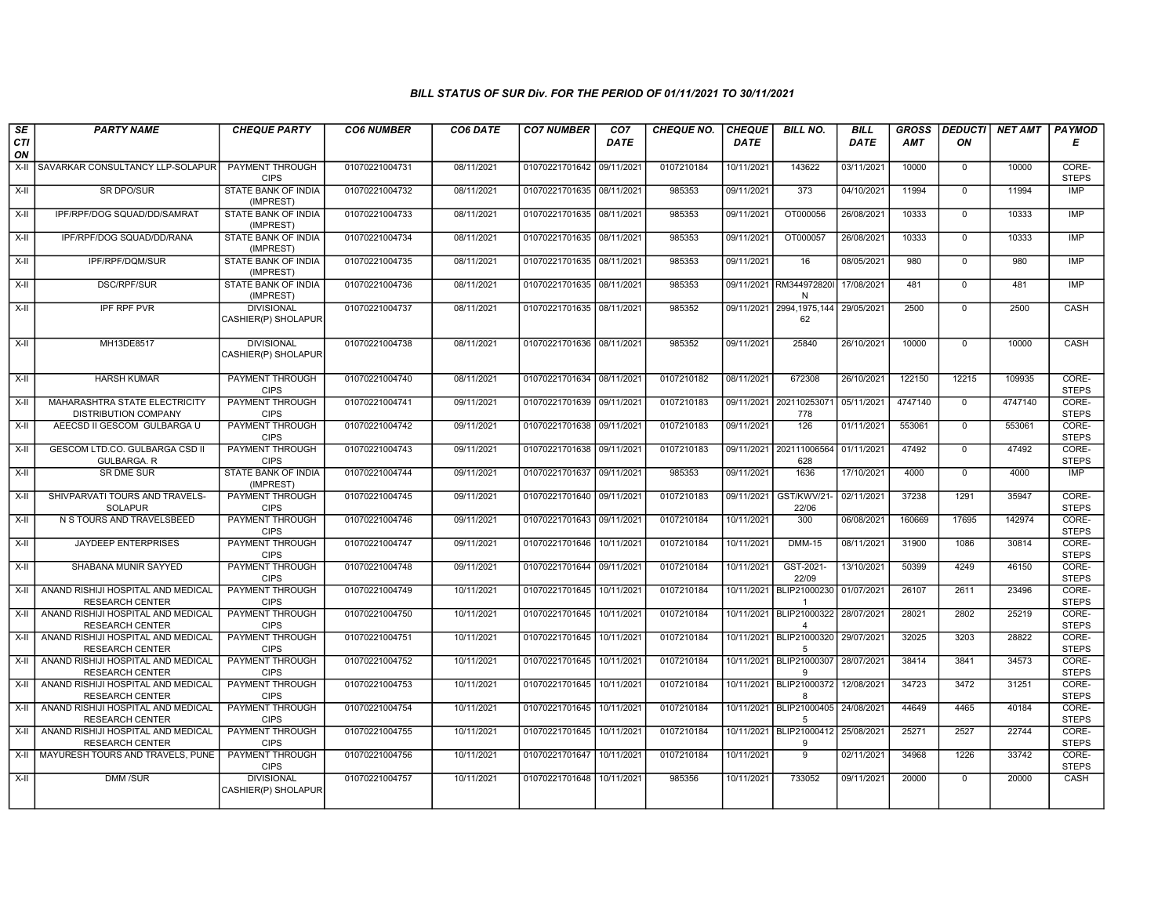| SE        | <b>PARTY NAME</b>                                            | <b>CHEQUE PARTY</b>                      | <b>CO6 NUMBER</b> | CO6 DATE   | <b>CO7 NUMBER</b>         | CO <sub>7</sub> | <b>CHEQUE NO.</b> | <b>CHEQUE</b> | <b>BILL NO.</b>                                      | <b>BILL</b> | <b>GROSS</b> | <b>DEDUCTI</b> | <b>NET AMT</b> | <b>PAYMOD</b>         |
|-----------|--------------------------------------------------------------|------------------------------------------|-------------------|------------|---------------------------|-----------------|-------------------|---------------|------------------------------------------------------|-------------|--------------|----------------|----------------|-----------------------|
| CTI<br>ON |                                                              |                                          |                   |            |                           | <b>DATE</b>     |                   | <b>DATE</b>   |                                                      | <b>DATE</b> | AMT          | ON             |                | Е                     |
| $X-II$    | SAVARKAR CONSULTANCY LLP-SOLAPUR                             | <b>PAYMENT THROUGH</b><br><b>CIPS</b>    | 01070221004731    | 08/11/2021 | 01070221701642 09/11/2021 |                 | 0107210184        | 10/11/2021    | 143622                                               | 03/11/2021  | 10000        | $\overline{0}$ | 10000          | CORE-<br><b>STEPS</b> |
| X-II      | <b>SR DPO/SUR</b>                                            | <b>STATE BANK OF INDIA</b><br>(IMPREST)  | 01070221004732    | 08/11/2021 | 01070221701635 08/11/2021 |                 | 985353            | 09/11/2021    | 373                                                  | 04/10/2021  | 11994        | $\mathbf{0}$   | 11994          | IMP                   |
| $X-II$    | IPF/RPF/DOG SQUAD/DD/SAMRAT                                  | STATE BANK OF INDIA<br>(IMPREST)         | 01070221004733    | 08/11/2021 | 01070221701635 08/11/2021 |                 | 985353            | 09/11/2021    | OT000056                                             | 26/08/2021  | 10333        | $\mathbf 0$    | 10333          | <b>IMP</b>            |
| $X-H$     | IPF/RPF/DOG SQUAD/DD/RANA                                    | STATE BANK OF INDIA<br>(IMPREST)         | 01070221004734    | 08/11/2021 | 01070221701635 08/11/2021 |                 | 985353            | 09/11/2021    | OT000057                                             | 26/08/2021  | 10333        | $\mathbf 0$    | 10333          | <b>IMP</b>            |
| X-II      | IPF/RPF/DQM/SUR                                              | <b>STATE BANK OF INDIA</b><br>(IMPREST)  | 01070221004735    | 08/11/2021 | 01070221701635 08/11/2021 |                 | 985353            | 09/11/2021    | 16                                                   | 08/05/2021  | 980          | $\mathbf 0$    | 980            | IMP                   |
| X-II      | <b>DSC/RPF/SUR</b>                                           | <b>STATE BANK OF INDIA</b><br>(IMPREST)  | 01070221004736    | 08/11/2021 | 01070221701635 08/11/2021 |                 | 985353            |               | 09/11/2021 RM344972820<br>N                          | 17/08/2021  | 481          | $\overline{0}$ | 481            | IMP                   |
| $X-II$    | <b>IPF RPF PVR</b>                                           | <b>DIVISIONAL</b><br>CASHIER(P) SHOLAPUR | 01070221004737    | 08/11/2021 | 01070221701635 08/11/2021 |                 | 985352            |               | 09/11/2021 2994,1975,144 29/05/2021<br>62            |             | 2500         | $\mathbf 0$    | 2500           | CASH                  |
| X-II      | MH13DE8517                                                   | <b>DIVISIONAL</b><br>CASHIER(P) SHOLAPUR | 01070221004738    | 08/11/2021 | 01070221701636 08/11/2021 |                 | 985352            | 09/11/2021    | 25840                                                | 26/10/2021  | 10000        | $\mathbf{0}$   | 10000          | CASH                  |
| $X-H$     | <b>HARSH KUMAR</b>                                           | <b>PAYMENT THROUGH</b><br><b>CIPS</b>    | 01070221004740    | 08/11/2021 | 01070221701634 08/11/2021 |                 | 0107210182        | 08/11/2021    | 672308                                               | 26/10/2021  | 122150       | 12215          | 109935         | CORE-<br><b>STEPS</b> |
| X-II      | MAHARASHTRA STATE ELECTRICITY<br><b>DISTRIBUTION COMPANY</b> | <b>PAYMENT THROUGH</b><br><b>CIPS</b>    | 01070221004741    | 09/11/2021 | 01070221701639 09/11/2021 |                 | 0107210183        |               | 09/11/2021 202110253071<br>778                       | 05/11/2021  | 4747140      | $\mathbf 0$    | 4747140        | CORE-<br><b>STEPS</b> |
| X-II      | AEECSD II GESCOM GULBARGA U                                  | PAYMENT THROUGH<br><b>CIPS</b>           | 01070221004742    | 09/11/2021 | 01070221701638 09/11/2021 |                 | 0107210183        | 09/11/2021    | 126                                                  | 01/11/2021  | 553061       | $\mathbf 0$    | 553061         | CORE-<br><b>STEPS</b> |
| X-II      | GESCOM LTD.CO. GULBARGA CSD II<br>GULBARGA. R                | PAYMENT THROUGH<br><b>CIPS</b>           | 01070221004743    | 09/11/2021 | 01070221701638 09/11/2021 |                 | 0107210183        |               | 09/11/2021 202111006564<br>628                       | 01/11/2021  | 47492        | $\mathbf 0$    | 47492          | CORE-<br><b>STEPS</b> |
| $X-H$     | <b>SR DME SUR</b>                                            | <b>STATE BANK OF INDIA</b><br>(IMPREST)  | 01070221004744    | 09/11/2021 | 01070221701637 09/11/2021 |                 | 985353            | 09/11/2021    | 1636                                                 | 17/10/2021  | 4000         | $\overline{0}$ | 4000           | IMP                   |
| $X-II$    | SHIVPARVATI TOURS AND TRAVELS-<br><b>SOLAPUR</b>             | PAYMENT THROUGH<br><b>CIPS</b>           | 01070221004745    | 09/11/2021 | 01070221701640 09/11/2021 |                 | 0107210183        |               | 09/11/2021 GST/KWV/21-<br>22/06                      | 02/11/2021  | 37238        | 1291           | 35947          | CORE-<br><b>STEPS</b> |
| X-II      | N S TOURS AND TRAVELSBEED                                    | <b>PAYMENT THROUGH</b><br><b>CIPS</b>    | 01070221004746    | 09/11/2021 | 01070221701643 09/11/2021 |                 | 0107210184        | 10/11/2021    | 300                                                  | 06/08/2021  | 160669       | 17695          | 142974         | CORE-<br><b>STEPS</b> |
| X-II      | <b>JAYDEEP ENTERPRISES</b>                                   | PAYMENT THROUGH<br><b>CIPS</b>           | 01070221004747    | 09/11/2021 | 01070221701646 10/11/2021 |                 | 0107210184        | 10/11/2021    | <b>DMM-15</b>                                        | 08/11/2021  | 31900        | 1086           | 30814          | CORE-<br><b>STEPS</b> |
| $X-H$     | SHABANA MUNIR SAYYED                                         | PAYMENT THROUGH<br><b>CIPS</b>           | 01070221004748    | 09/11/2021 | 01070221701644 09/11/2021 |                 | 0107210184        | 10/11/2021    | GST-2021-<br>22/09                                   | 13/10/2021  | 50399        | 4249           | 46150          | CORE-<br><b>STEPS</b> |
| $X-H$     | ANAND RISHIJI HOSPITAL AND MEDICAL<br><b>RESEARCH CENTER</b> | <b>PAYMENT THROUGH</b><br><b>CIPS</b>    | 01070221004749    | 10/11/2021 | 01070221701645 10/11/2021 |                 | 0107210184        | 10/11/2021    | BLIP21000230 01/07/2021                              |             | 26107        | 2611           | 23496          | CORE-<br><b>STEPS</b> |
| $X-II$    | ANAND RISHIJI HOSPITAL AND MEDICAL<br><b>RESEARCH CENTER</b> | <b>PAYMENT THROUGH</b><br><b>CIPS</b>    | 01070221004750    | 10/11/2021 | 01070221701645 10/11/2021 |                 | 0107210184        |               | 10/11/2021 BLIP21000322 28/07/2021<br>$\overline{4}$ |             | 28021        | 2802           | 25219          | CORE-<br><b>STEPS</b> |
| X-II      | ANAND RISHIJI HOSPITAL AND MEDICAL<br><b>RESEARCH CENTER</b> | PAYMENT THROUGH<br><b>CIPS</b>           | 01070221004751    | 10/11/2021 | 01070221701645 10/11/2021 |                 | 0107210184        |               | 10/11/2021 BLIP21000320<br>5                         | 29/07/2021  | 32025        | 3203           | 28822          | CORE-<br><b>STEPS</b> |
| X-II      | ANAND RISHIJI HOSPITAL AND MEDICAL<br><b>RESEARCH CENTER</b> | <b>PAYMENT THROUGH</b><br><b>CIPS</b>    | 01070221004752    | 10/11/2021 | 01070221701645 10/11/2021 |                 | 0107210184        |               | 10/11/2021 BLIP21000307 28/07/2021<br>9              |             | 38414        | 3841           | 34573          | CORE-<br><b>STEPS</b> |
| X-II      | ANAND RISHIJI HOSPITAL AND MEDICAL<br><b>RESEARCH CENTER</b> | <b>PAYMENT THROUGH</b><br><b>CIPS</b>    | 01070221004753    | 10/11/2021 | 01070221701645 10/11/2021 |                 | 0107210184        |               | 10/11/2021 BLIP21000372<br>$\mathsf{R}$              | 12/08/2021  | 34723        | 3472           | 31251          | CORE-<br><b>STEPS</b> |
| X-II      | ANAND RISHIJI HOSPITAL AND MEDICAL<br><b>RESEARCH CENTER</b> | <b>PAYMENT THROUGH</b><br><b>CIPS</b>    | 01070221004754    | 10/11/2021 | 01070221701645 10/11/2021 |                 | 0107210184        |               | 10/11/2021   BLIP21000405   24/08/2021<br>5          |             | 44649        | 4465           | 40184          | CORE-<br><b>STEPS</b> |
| $X-II$    | ANAND RISHIJI HOSPITAL AND MEDICAL<br><b>RESEARCH CENTER</b> | PAYMENT THROUGH<br><b>CIPS</b>           | 01070221004755    | 10/11/2021 | 01070221701645 10/11/2021 |                 | 0107210184        |               | 10/11/2021 BLIP21000412 25/08/2021<br>9              |             | 25271        | 2527           | 22744          | CORE-<br><b>STEPS</b> |
| $X-H$     | MAYURESH TOURS AND TRAVELS, PUNE                             | PAYMENT THROUGH<br><b>CIPS</b>           | 01070221004756    | 10/11/2021 | 01070221701647 10/11/2021 |                 | 0107210184        | 10/11/2021    | 9                                                    | 02/11/2021  | 34968        | 1226           | 33742          | CORE-<br><b>STEPS</b> |
| X-II      | <b>DMM/SUR</b>                                               | <b>DIVISIONAL</b><br>CASHIER(P) SHOLAPUR | 01070221004757    | 10/11/2021 | 01070221701648 10/11/2021 |                 | 985356            | 10/11/2021    | 733052                                               | 09/11/2021  | 20000        | $\mathbf 0$    | 20000          | <b>CASH</b>           |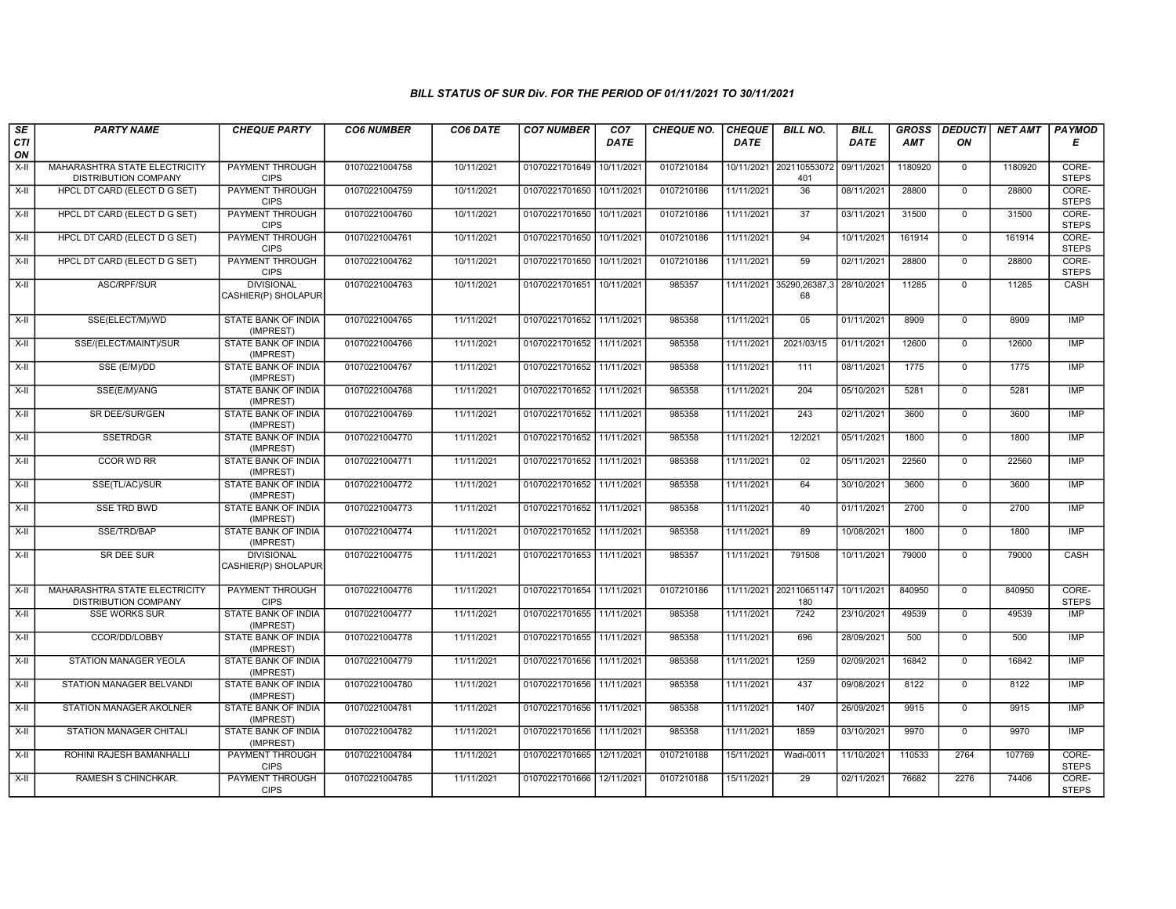| SE        | <b>PARTY NAME</b>                                            | <b>CHEQUE PARTY</b>                      | <b>CO6 NUMBER</b> | CO6 DATE   | <b>CO7 NUMBER</b>         | CO <sub>7</sub> | <b>CHEQUE NO.</b> | <b>CHEQUE</b> | <b>BILL NO.</b>                | <b>BILL</b> | <b>GROSS</b> | <b>DEDUCTI</b> | NET AMT | <b>PAYMOD</b>         |
|-----------|--------------------------------------------------------------|------------------------------------------|-------------------|------------|---------------------------|-----------------|-------------------|---------------|--------------------------------|-------------|--------------|----------------|---------|-----------------------|
| CTI<br>ON |                                                              |                                          |                   |            |                           | <b>DATE</b>     |                   | <b>DATE</b>   |                                | DATE        | AMT          | ON             |         | Е                     |
| X-II      | MAHARASHTRA STATE ELECTRICITY<br><b>DISTRIBUTION COMPANY</b> | PAYMENT THROUGH<br><b>CIPS</b>           | 01070221004758    | 10/11/2021 | 01070221701649            | 10/11/2021      | 0107210184        |               | 10/11/2021 202110553072<br>401 | 09/11/2021  | 1180920      | $\mathbf 0$    | 1180920 | CORE-<br><b>STEPS</b> |
| $X-H$     | HPCL DT CARD (ELECT D G SET)                                 | <b>PAYMENT THROUGH</b><br><b>CIPS</b>    | 01070221004759    | 10/11/2021 | 01070221701650 10/11/2021 |                 | 0107210186        | 11/11/2021    | $\overline{36}$                | 08/11/2021  | 28800        | $\overline{0}$ | 28800   | CORE-<br><b>STEPS</b> |
| X-II      | HPCL DT CARD (ELECT D G SET)                                 | PAYMENT THROUGH<br><b>CIPS</b>           | 01070221004760    | 10/11/2021 | 01070221701650 10/11/2021 |                 | 0107210186        | 11/11/2021    | 37                             | 03/11/2021  | 31500        | $\mathbf 0$    | 31500   | CORE-<br><b>STEPS</b> |
| $X-H$     | HPCL DT CARD (ELECT D G SET)                                 | PAYMENT THROUGH<br><b>CIPS</b>           | 01070221004761    | 10/11/2021 | 01070221701650            | 10/11/2021      | 0107210186        | 11/11/2021    | 94                             | 10/11/2021  | 161914       | $\mathsf{O}$   | 161914  | CORE-<br><b>STEPS</b> |
| $X-H$     | HPCL DT CARD (ELECT D G SET)                                 | <b>PAYMENT THROUGH</b><br><b>CIPS</b>    | 01070221004762    | 10/11/2021 | 01070221701650            | 10/11/2021      | 0107210186        | 11/11/2021    | 59                             | 02/11/2021  | 28800        | $\mathbf 0$    | 28800   | CORE-<br><b>STEPS</b> |
| $X-H$     | ASC/RPF/SUR                                                  | <b>DIVISIONAL</b><br>CASHIER(P) SHOLAPUR | 01070221004763    | 10/11/2021 | 01070221701651 10/11/2021 |                 | 985357            | 11/11/2021    | 35290,26387,3<br>68            | 28/10/2021  | 11285        | $\overline{0}$ | 11285   | CASH                  |
| $X-H$     | SSE(ELECT/M)/WD                                              | STATE BANK OF INDIA<br>(IMPREST)         | 01070221004765    | 11/11/2021 | 01070221701652 11/11/2021 |                 | 985358            | 11/11/2021    | 05                             | 01/11/2021  | 8909         | $\mathbf 0$    | 8909    | <b>IMP</b>            |
| X-II      | SSE/(ELECT/MAINT)/SUR                                        | <b>STATE BANK OF INDIA</b><br>(IMPREST)  | 01070221004766    | 11/11/2021 | 01070221701652 11/11/2021 |                 | 985358            | 11/11/2021    | 2021/03/15                     | 01/11/2021  | 12600        | $\mathbf 0$    | 12600   | <b>IMP</b>            |
| X-II      | SSE (E/M)/DD                                                 | <b>STATE BANK OF INDIA</b><br>(IMPREST)  | 01070221004767    | 11/11/2021 | 01070221701652            | 11/11/2021      | 985358            | 11/11/2021    | 111                            | 08/11/2021  | 1775         | $\mathbf 0$    | 1775    | <b>IMP</b>            |
| X-II      | SSE(E/M)/ANG                                                 | STATE BANK OF INDIA<br>(IMPREST)         | 01070221004768    | 11/11/2021 | 01070221701652 11/11/2021 |                 | 985358            | 11/11/2021    | 204                            | 05/10/2021  | 5281         | $\Omega$       | 5281    | <b>IMP</b>            |
| $X-II$    | SR DEE/SUR/GEN                                               | <b>STATE BANK OF INDIA</b><br>(IMPREST)  | 01070221004769    | 11/11/2021 | 01070221701652 11/11/2021 |                 | 985358            | 11/11/2021    | 243                            | 02/11/2021  | 3600         | $\mathbf 0$    | 3600    | <b>IMP</b>            |
| $X-H$     | <b>SSETRDGR</b>                                              | <b>STATE BANK OF INDIA</b><br>(IMPREST)  | 01070221004770    | 11/11/2021 | 01070221701652 11/11/2021 |                 | 985358            | 11/11/2021    | 12/2021                        | 05/11/2021  | 1800         | $\mathbf 0$    | 1800    | <b>IMP</b>            |
| X-II      | <b>CCOR WD RR</b>                                            | STATE BANK OF INDIA<br>(IMPREST)         | 01070221004771    | 11/11/2021 | 01070221701652            | 11/11/2021      | 985358            | 11/11/2021    | 02                             | 05/11/2021  | 22560        | $\mathbf 0$    | 22560   | <b>IMP</b>            |
| X-II      | SSE(TL/AC)/SUR                                               | STATE BANK OF INDIA<br>(IMPREST)         | 01070221004772    | 11/11/2021 | 01070221701652 11/11/2021 |                 | 985358            | 11/11/2021    | 64                             | 30/10/2021  | 3600         | $\mathbf 0$    | 3600    | IMP                   |
| $X-II$    | <b>SSE TRD BWD</b>                                           | STATE BANK OF INDIA<br>(IMPREST)         | 01070221004773    | 11/11/2021 | 01070221701652 11/11/2021 |                 | 985358            | 11/11/2021    | 40                             | 01/11/2021  | 2700         | $\mathbf 0$    | 2700    | <b>IMP</b>            |
| $X-H$     | SSE/TRD/BAP                                                  | <b>STATE BANK OF INDIA</b><br>(IMPREST)  | 01070221004774    | 11/11/2021 | 01070221701652 11/11/2021 |                 | 985358            | 11/11/2021    | 89                             | 10/08/2021  | 1800         | $\mathbf 0$    | 1800    | <b>IMP</b>            |
| X-II      | SR DEE SUR                                                   | <b>DIVISIONAL</b><br>CASHIER(P) SHOLAPUR | 01070221004775    | 11/11/2021 | 01070221701653 11/11/2021 |                 | 985357            | 11/11/2021    | 791508                         | 10/11/2021  | 79000        | $\Omega$       | 79000   | CASH                  |
| $X-H$     | MAHARASHTRA STATE ELECTRICITY<br>DISTRIBUTION COMPANY        | <b>PAYMENT THROUGH</b><br><b>CIPS</b>    | 01070221004776    | 11/11/2021 | 01070221701654 11/11/2021 |                 | 0107210186        |               | 11/11/2021 202110651147<br>180 | 10/11/2021  | 840950       | $\mathbf 0$    | 840950  | CORE-<br><b>STEPS</b> |
| X-II      | <b>SSE WORKS SUR</b>                                         | <b>STATE BANK OF INDIA</b><br>(IMPREST)  | 01070221004777    | 11/11/2021 | 01070221701655 11/11/2021 |                 | 985358            | 11/11/2021    | 7242                           | 23/10/2021  | 49539        | $\mathbf 0$    | 49539   | <b>IMP</b>            |
| X-II      | CCOR/DD/LOBBY                                                | STATE BANK OF INDIA<br>(IMPREST)         | 01070221004778    | 11/11/2021 | 01070221701655 11/11/2021 |                 | 985358            | 11/11/2021    | 696                            | 28/09/2021  | 500          | $\mathbf{0}$   | 500     | <b>IMP</b>            |
| $X-H$     | <b>STATION MANAGER YEOLA</b>                                 | STATE BANK OF INDIA<br>(IMPREST)         | 01070221004779    | 11/11/2021 | 01070221701656 11/11/2021 |                 | 985358            | 11/11/2021    | 1259                           | 02/09/2021  | 16842        | $\mathbf 0$    | 16842   | IMP                   |
| X-II      | STATION MANAGER BELVANDI                                     | STATE BANK OF INDIA<br>(IMPREST)         | 01070221004780    | 11/11/2021 | 01070221701656 11/11/2021 |                 | 985358            | 11/11/2021    | 437                            | 09/08/2021  | 8122         | $\mathbf 0$    | 8122    | IMP                   |
| $X-H$     | STATION MANAGER AKOLNER                                      | <b>STATE BANK OF INDIA</b><br>(IMPREST)  | 01070221004781    | 11/11/2021 | 01070221701656 11/11/2021 |                 | 985358            | 11/11/2021    | 1407                           | 26/09/2021  | 9915         | $\mathbf 0$    | 9915    | IMP                   |
| X-II      | STATION MANAGER CHITALI                                      | STATE BANK OF INDIA<br>(IMPREST)         | 01070221004782    | 11/11/2021 | 01070221701656 11/11/2021 |                 | 985358            | 11/11/2021    | 1859                           | 03/10/2021  | 9970         | $\Omega$       | 9970    | <b>IMP</b>            |
| $X-II$    | ROHINI RAJESH BAMANHALLI                                     | <b>PAYMENT THROUGH</b><br><b>CIPS</b>    | 01070221004784    | 11/11/2021 | 01070221701665            | 12/11/2021      | 0107210188        | 15/11/2021    | <b>Wadi-0011</b>               | 11/10/2021  | 110533       | 2764           | 107769  | CORE-<br><b>STEPS</b> |
| X-II      | <b>RAMESH S CHINCHKAR.</b>                                   | <b>PAYMENT THROUGH</b><br><b>CIPS</b>    | 01070221004785    | 11/11/2021 | 01070221701666 12/11/2021 |                 | 0107210188        | 15/11/2021    | 29                             | 02/11/2021  | 76682        | 2276           | 74406   | CORE-<br><b>STEPS</b> |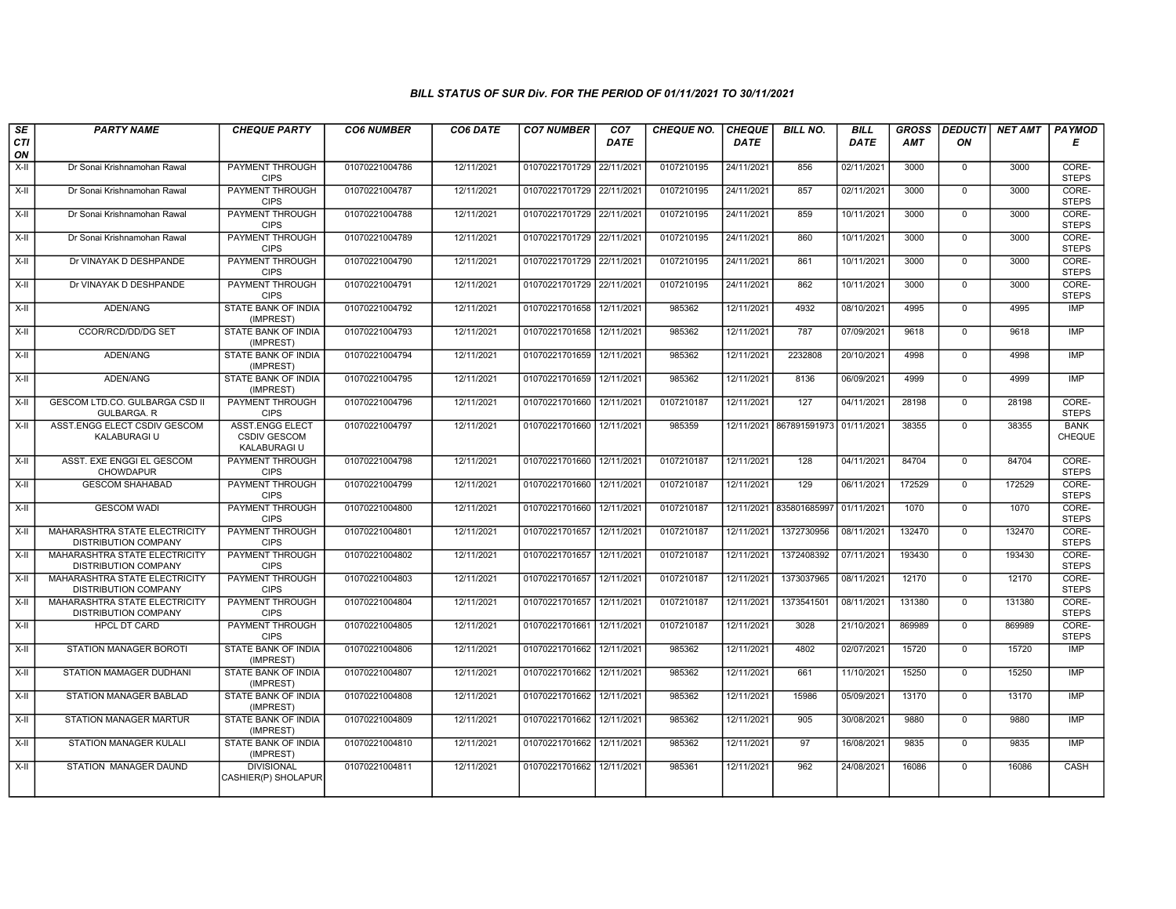| SE               | <b>PARTY NAME</b>                                            | <b>CHEQUE PARTY</b>                                           | <b>CO6 NUMBER</b> | CO6 DATE   | <b>CO7 NUMBER</b>         | CO <sub>7</sub> | <b>CHEQUE NO.</b> | <b>CHEQUE</b> | <b>BILL NO.</b>         | <b>BILL</b> | <b>GROSS</b> | <b>DEDUCTI</b> | NET AMT | <b>PAYMOD</b>         |
|------------------|--------------------------------------------------------------|---------------------------------------------------------------|-------------------|------------|---------------------------|-----------------|-------------------|---------------|-------------------------|-------------|--------------|----------------|---------|-----------------------|
| <b>CTI</b><br>ON |                                                              |                                                               |                   |            |                           | <b>DATE</b>     |                   | DATE          |                         | <b>DATE</b> | AMT          | ON             |         | Е                     |
| $X-H$            | Dr Sonai Krishnamohan Rawal                                  | <b>PAYMENT THROUGH</b><br><b>CIPS</b>                         | 01070221004786    | 12/11/2021 | 01070221701729 22/11/2021 |                 | 0107210195        | 24/11/2021    | 856                     | 02/11/2021  | 3000         | $\mathbf{0}$   | 3000    | CORE-<br><b>STEPS</b> |
| X-II             | Dr Sonai Krishnamohan Rawal                                  | <b>PAYMENT THROUGH</b><br><b>CIPS</b>                         | 01070221004787    | 12/11/2021 | 01070221701729 22/11/2021 |                 | 0107210195        | 24/11/2021    | 857                     | 02/11/2021  | 3000         | $\Omega$       | 3000    | CORE-<br><b>STEPS</b> |
| X-II             | Dr Sonai Krishnamohan Rawal                                  | PAYMENT THROUGH<br><b>CIPS</b>                                | 01070221004788    | 12/11/2021 | 01070221701729 22/11/2021 |                 | 0107210195        | 24/11/2021    | 859                     | 10/11/2021  | 3000         | $\mathbf 0$    | 3000    | CORE-<br><b>STEPS</b> |
| X-II             | Dr Sonai Krishnamohan Rawal                                  | PAYMENT THROUGH<br><b>CIPS</b>                                | 01070221004789    | 12/11/2021 | 01070221701729 22/11/2021 |                 | 0107210195        | 24/11/2021    | 860                     | 10/11/2021  | 3000         | $\overline{0}$ | 3000    | CORE-<br><b>STEPS</b> |
| $X-H$            | Dr VINAYAK D DESHPANDE                                       | <b>PAYMENT THROUGH</b><br><b>CIPS</b>                         | 01070221004790    | 12/11/2021 | 01070221701729 22/11/2021 |                 | 0107210195        | 24/11/2021    | 861                     | 10/11/2021  | 3000         | $\mathbf 0$    | 3000    | CORE-<br><b>STEPS</b> |
| $X-II$           | Dr VINAYAK D DESHPANDE                                       | <b>PAYMENT THROUGH</b><br><b>CIPS</b>                         | 01070221004791    | 12/11/2021 | 01070221701729 22/11/2021 |                 | 0107210195        | 24/11/2021    | 862                     | 10/11/2021  | 3000         | $\Omega$       | 3000    | CORE-<br><b>STEPS</b> |
| $X-II$           | ADEN/ANG                                                     | STATE BANK OF INDIA<br>(IMPREST)                              | 01070221004792    | 12/11/2021 | 01070221701658            | 12/11/2021      | 985362            | 12/11/2021    | 4932                    | 08/10/2021  | 4995         | $\mathbf{0}$   | 4995    | <b>IMP</b>            |
| X-II             | CCOR/RCD/DD/DG SET                                           | STATE BANK OF INDIA<br>(IMPREST)                              | 01070221004793    | 12/11/2021 | 01070221701658            | 12/11/2021      | 985362            | 12/11/2021    | 787                     | 07/09/2021  | 9618         | $\mathbf 0$    | 9618    | <b>IMP</b>            |
| X-II             | ADEN/ANG                                                     | STATE BANK OF INDIA<br>(IMPREST)                              | 01070221004794    | 12/11/2021 | 01070221701659            | 12/11/2021      | 985362            | 12/11/2021    | 2232808                 | 20/10/2021  | 4998         | $\mathbf 0$    | 4998    | <b>IMP</b>            |
| $X-H$            | ADEN/ANG                                                     | <b>STATE BANK OF INDIA</b><br>(IMPREST)                       | 01070221004795    | 12/11/2021 | 01070221701659            | 12/11/2021      | 985362            | 12/11/2021    | 8136                    | 06/09/2021  | 4999         | $\mathbf 0$    | 4999    | <b>IMP</b>            |
| X-II             | GESCOM LTD.CO. GULBARGA CSD II<br><b>GULBARGA, R</b>         | PAYMENT THROUGH<br><b>CIPS</b>                                | 01070221004796    | 12/11/2021 | 01070221701660            | 12/11/2021      | 0107210187        | 12/11/2021    | 127                     | 04/11/2021  | 28198        | $\mathbf{0}$   | 28198   | CORE-<br><b>STEPS</b> |
| $X-II$           | ASST.ENGG ELECT CSDIV GESCOM<br>KALABURAGI U                 | <b>ASST.ENGG ELECT</b><br><b>CSDIV GESCOM</b><br>KALABURAGI U | 01070221004797    | 12/11/2021 | 01070221701660            | 12/11/2021      | 985359            |               | 12/11/2021 867891591973 | 01/11/2021  | 38355        | $\Omega$       | 38355   | <b>BANK</b><br>CHEQUE |
| X-II             | ASST. EXE ENGGI EL GESCOM<br><b>CHOWDAPUR</b>                | PAYMENT THROUGH<br><b>CIPS</b>                                | 01070221004798    | 12/11/2021 | 01070221701660            | 12/11/2021      | 0107210187        | 12/11/2021    | 128                     | 04/11/2021  | 84704        | $\mathbf 0$    | 84704   | CORE-<br><b>STEPS</b> |
| X-II             | <b>GESCOM SHAHABAD</b>                                       | <b>PAYMENT THROUGH</b><br><b>CIPS</b>                         | 01070221004799    | 12/11/2021 | 01070221701660            | 12/11/2021      | 0107210187        | 12/11/2021    | 129                     | 06/11/2021  | 172529       | $\mathbf 0$    | 172529  | CORE-<br><b>STEPS</b> |
| $X-H$            | <b>GESCOM WADI</b>                                           | PAYMENT THROUGH<br><b>CIPS</b>                                | 01070221004800    | 12/11/2021 | 01070221701660            | 12/11/2021      | 0107210187        | 12/11/2021    | 835801685997            | 01/11/2021  | 1070         | $\overline{0}$ | 1070    | CORE-<br><b>STEPS</b> |
| X-II             | MAHARASHTRA STATE ELECTRICITY<br>DISTRIBUTION COMPANY        | <b>PAYMENT THROUGH</b><br><b>CIPS</b>                         | 01070221004801    | 12/11/2021 | 01070221701657            | 12/11/2021      | 0107210187        | 12/11/2021    | 1372730956              | 08/11/2021  | 132470       | $\mathbf 0$    | 132470  | CORE-<br><b>STEPS</b> |
| X-II             | MAHARASHTRA STATE ELECTRICITY<br><b>DISTRIBUTION COMPANY</b> | PAYMENT THROUGH<br><b>CIPS</b>                                | 01070221004802    | 12/11/2021 | 01070221701657 12/11/2021 |                 | 0107210187        | 12/11/2021    | 1372408392              | 07/11/2021  | 193430       | $\Omega$       | 193430  | CORE-<br><b>STEPS</b> |
| X-II             | MAHARASHTRA STATE ELECTRICITY<br><b>DISTRIBUTION COMPANY</b> | PAYMENT THROUGH<br><b>CIPS</b>                                | 01070221004803    | 12/11/2021 | 01070221701657            | 12/11/2021      | 0107210187        | 12/11/2021    | 1373037965              | 08/11/2021  | 12170        | $\mathbf{0}$   | 12170   | CORE-<br><b>STEPS</b> |
| X-II             | MAHARASHTRA STATE ELECTRICITY<br><b>DISTRIBUTION COMPANY</b> | PAYMENT THROUGH<br><b>CIPS</b>                                | 01070221004804    | 12/11/2021 | 01070221701657            | 12/11/2021      | 0107210187        | 12/11/2021    | 1373541501              | 08/11/2021  | 131380       | $\Omega$       | 131380  | CORE-<br><b>STEPS</b> |
| X-II             | <b>HPCL DT CARD</b>                                          | PAYMENT THROUGH<br><b>CIPS</b>                                | 01070221004805    | 12/11/2021 | 01070221701661            | 12/11/2021      | 0107210187        | 12/11/2021    | 3028                    | 21/10/2021  | 869989       | $\mathbf 0$    | 869989  | CORE-<br><b>STEPS</b> |
| $X-H$            | <b>STATION MANAGER BOROTI</b>                                | <b>STATE BANK OF INDIA</b><br>(IMPREST)                       | 01070221004806    | 12/11/2021 | 01070221701662            | 12/11/2021      | 985362            | 12/11/2021    | 4802                    | 02/07/2021  | 15720        | $\overline{0}$ | 15720   | <b>IMP</b>            |
| X-II             | <b>STATION MAMAGER DUDHANI</b>                               | STATE BANK OF INDIA<br>(IMPREST)                              | 01070221004807    | 12/11/2021 | 01070221701662            | 12/11/2021      | 985362            | 12/11/2021    | 661                     | 11/10/2021  | 15250        | $\mathbf 0$    | 15250   | <b>IMP</b>            |
| $X-H$            | <b>STATION MANAGER BABLAD</b>                                | STATE BANK OF INDIA<br>(IMPREST)                              | 01070221004808    | 12/11/2021 | 01070221701662            | 12/11/2021      | 985362            | 12/11/2021    | 15986                   | 05/09/2021  | 13170        | $\Omega$       | 13170   | <b>IMP</b>            |
| X-II             | <b>STATION MANAGER MARTUR</b>                                | STATE BANK OF INDIA<br>(IMPREST)                              | 01070221004809    | 12/11/2021 | 01070221701662            | 12/11/2021      | 985362            | 12/11/2021    | 905                     | 30/08/2021  | 9880         | $\mathbf 0$    | 9880    | <b>IMP</b>            |
| X-II             | <b>STATION MANAGER KULALI</b>                                | STATE BANK OF INDIA<br>(IMPREST)                              | 01070221004810    | 12/11/2021 | 01070221701662            | 12/11/2021      | 985362            | 12/11/2021    | 97                      | 16/08/2021  | 9835         | $\mathbf 0$    | 9835    | <b>IMP</b>            |
| X-II             | STATION MANAGER DAUND                                        | <b>DIVISIONAL</b><br>CASHIER(P) SHOLAPUR                      | 01070221004811    | 12/11/2021 | 01070221701662 12/11/2021 |                 | 985361            | 12/11/2021    | 962                     | 24/08/2021  | 16086        | $\mathbf 0$    | 16086   | CASH                  |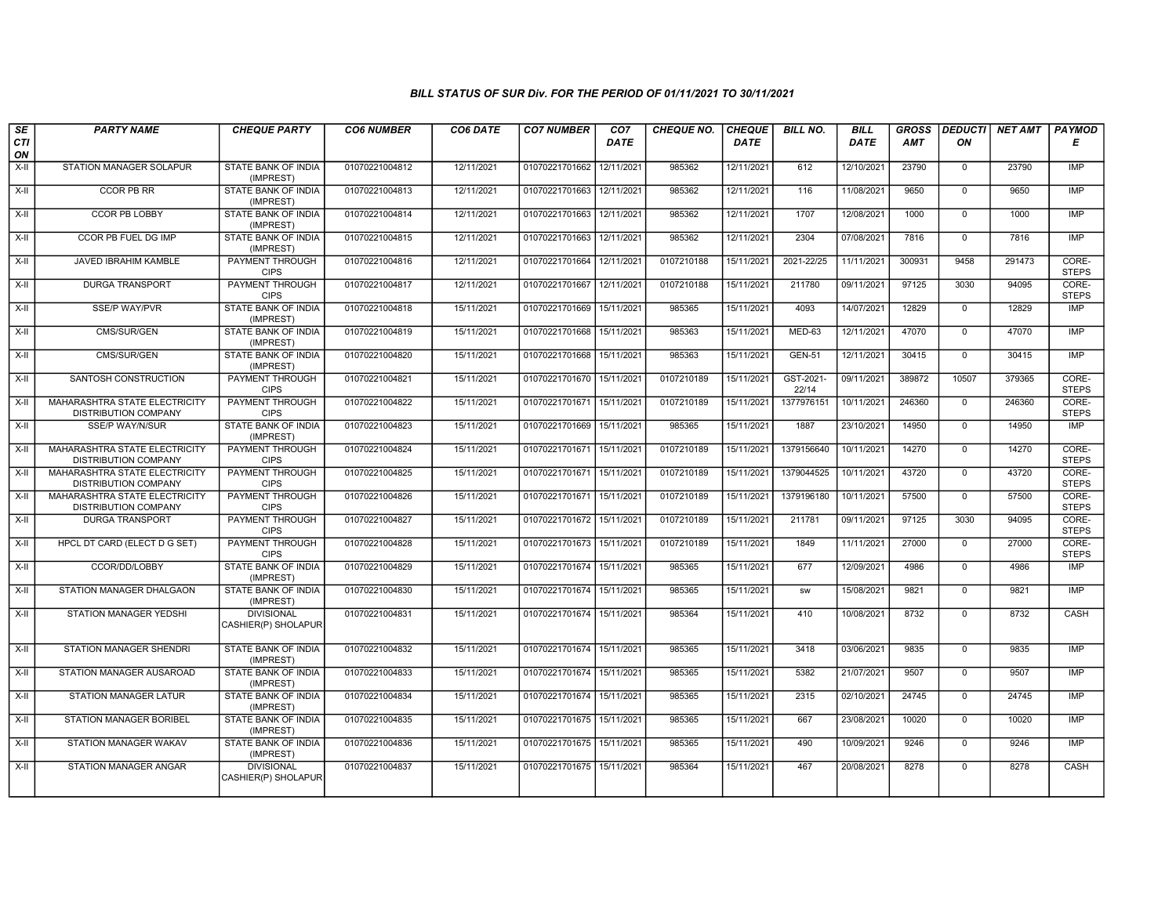| SE               | <b>PARTY NAME</b>                                            | <b>CHEQUE PARTY</b>                      | <b>CO6 NUMBER</b> | CO6 DATE   | <b>CO7 NUMBER</b>         | CO <sub>7</sub> | <b>CHEQUE NO.</b> | <b>CHEQUE</b> | <b>BILL NO.</b>    | <b>BILL</b> | <b>GROSS</b> | <b>DEDUCTI</b> | <b>NET AMT</b> | <b>PAYMOD</b>         |
|------------------|--------------------------------------------------------------|------------------------------------------|-------------------|------------|---------------------------|-----------------|-------------------|---------------|--------------------|-------------|--------------|----------------|----------------|-----------------------|
| <b>CTI</b><br>ON |                                                              |                                          |                   |            |                           | DATE            |                   | <b>DATE</b>   |                    | DATE        | <b>AMT</b>   | ON             |                | Е                     |
| $X-H$            | STATION MANAGER SOLAPUR                                      | <b>STATE BANK OF INDIA</b><br>(IMPREST)  | 01070221004812    | 12/11/2021 | 01070221701662            | 12/11/2021      | 985362            | 12/11/2021    | 612                | 12/10/2021  | 23790        | $\mathbf 0$    | 23790          | IMP                   |
| $X-H$            | <b>CCOR PB RR</b>                                            | <b>STATE BANK OF INDIA</b><br>(IMPREST)  | 01070221004813    | 12/11/2021 | 01070221701663 12/11/2021 |                 | 985362            | 12/11/2021    | 116                | 11/08/2021  | 9650         | $\Omega$       | 9650           | IMP                   |
| X-II             | <b>CCOR PB LOBBY</b>                                         | STATE BANK OF INDIA<br>(IMPREST)         | 01070221004814    | 12/11/2021 | 01070221701663            | 12/11/2021      | 985362            | 12/11/2021    | 1707               | 12/08/2021  | 1000         | $\mathbf 0$    | 1000           | <b>IMP</b>            |
| $X-II$           | CCOR PB FUEL DG IMP                                          | <b>STATE BANK OF INDIA</b><br>(IMPREST)  | 01070221004815    | 12/11/2021 | 01070221701663            | 12/11/2021      | 985362            | 12/11/2021    | 2304               | 07/08/2021  | 7816         | $\overline{0}$ | 7816           | IMP                   |
| X-II             | <b>JAVED IBRAHIM KAMBLE</b>                                  | <b>PAYMENT THROUGH</b><br><b>CIPS</b>    | 01070221004816    | 12/11/2021 | 01070221701664 12/11/2021 |                 | 0107210188        | 15/11/2021    | 2021-22/25         | 11/11/2021  | 300931       | 9458           | 291473         | CORE-<br><b>STEPS</b> |
| X-II             | <b>DURGA TRANSPORT</b>                                       | <b>PAYMENT THROUGH</b><br><b>CIPS</b>    | 01070221004817    | 12/11/2021 | 01070221701667            | 12/11/2021      | 0107210188        | 15/11/2021    | 211780             | 09/11/2021  | 97125        | 3030           | 94095          | CORE-<br><b>STEPS</b> |
| $X-H$            | <b>SSE/P WAY/PVR</b>                                         | STATE BANK OF INDIA<br>(IMPREST)         | 01070221004818    | 15/11/2021 | 01070221701669            | 15/11/2021      | 985365            | 15/11/2021    | 4093               | 14/07/2021  | 12829        | $\mathbf 0$    | 12829          | IMP                   |
| $X-II$           | CMS/SUR/GEN                                                  | STATE BANK OF INDIA<br>(IMPREST)         | 01070221004819    | 15/11/2021 | 01070221701668            | 15/11/2021      | 985363            | 15/11/2021    | <b>MED-63</b>      | 12/11/2021  | 47070        | $\mathbf 0$    | 47070          | <b>IMP</b>            |
| $X-H$            | CMS/SUR/GEN                                                  | <b>STATE BANK OF INDIA</b><br>(IMPREST)  | 01070221004820    | 15/11/2021 | 01070221701668 15/11/2021 |                 | 985363            | 15/11/2021    | <b>GEN-51</b>      | 12/11/2021  | 30415        | $\overline{0}$ | 30415          | IMP                   |
| $X-H$            | SANTOSH CONSTRUCTION                                         | <b>PAYMENT THROUGH</b><br><b>CIPS</b>    | 01070221004821    | 15/11/2021 | 01070221701670 15/11/2021 |                 | 0107210189        | 15/11/2021    | GST-2021-<br>22/14 | 09/11/2021  | 389872       | 10507          | 379365         | CORE-<br><b>STEPS</b> |
| X-II             | MAHARASHTRA STATE ELECTRICITY<br><b>DISTRIBUTION COMPANY</b> | <b>PAYMENT THROUGH</b><br><b>CIPS</b>    | 01070221004822    | 15/11/2021 | 01070221701671            | 15/11/2021      | 0107210189        | 15/11/2021    | 1377976151         | 10/11/2021  | 246360       | $\mathbf{0}$   | 246360         | CORE-<br><b>STEPS</b> |
| X-II             | <b>SSE/P WAY/N/SUR</b>                                       | STATE BANK OF INDIA<br>(IMPREST)         | 01070221004823    | 15/11/2021 | 01070221701669            | 15/11/2021      | 985365            | 15/11/2021    | 1887               | 23/10/2021  | 14950        | $\Omega$       | 14950          | IMP                   |
| X-II             | MAHARASHTRA STATE ELECTRICITY<br><b>DISTRIBUTION COMPANY</b> | <b>PAYMENT THROUGH</b><br><b>CIPS</b>    | 01070221004824    | 15/11/2021 | 01070221701671            | 15/11/202       | 0107210189        | 15/11/2021    | 1379156640         | 10/11/2021  | 14270        | $\mathbf 0$    | 14270          | CORE-<br><b>STEPS</b> |
| $X-H$            | MAHARASHTRA STATE ELECTRICITY<br><b>DISTRIBUTION COMPANY</b> | <b>PAYMENT THROUGH</b><br><b>CIPS</b>    | 01070221004825    | 15/11/2021 | 01070221701671            | 15/11/2021      | 0107210189        | 15/11/2021    | 1379044525         | 10/11/2021  | 43720        | $\overline{0}$ | 43720          | CORE-<br><b>STEPS</b> |
| X-II             | MAHARASHTRA STATE ELECTRICITY<br><b>DISTRIBUTION COMPANY</b> | PAYMENT THROUGH<br><b>CIPS</b>           | 01070221004826    | 15/11/2021 | 01070221701671            | 15/11/2021      | 0107210189        | 15/11/2021    | 1379196180         | 10/11/2021  | 57500        | $\mathbf 0$    | 57500          | CORE-<br><b>STEPS</b> |
| X-II             | <b>DURGA TRANSPORT</b>                                       | <b>PAYMENT THROUGH</b><br><b>CIPS</b>    | 01070221004827    | 15/11/2021 | 01070221701672 15/11/2021 |                 | 0107210189        | 15/11/2021    | 211781             | 09/11/2021  | 97125        | 3030           | 94095          | CORE-<br><b>STEPS</b> |
| X-II             | HPCL DT CARD (ELECT D G SET)                                 | <b>PAYMENT THROUGH</b><br><b>CIPS</b>    | 01070221004828    | 15/11/2021 | 01070221701673 15/11/2021 |                 | 0107210189        | 15/11/2021    | 1849               | 11/11/2021  | 27000        | $\mathbf 0$    | 27000          | CORE-<br><b>STEPS</b> |
| X-II             | CCOR/DD/LOBBY                                                | <b>STATE BANK OF INDIA</b><br>(IMPREST)  | 01070221004829    | 15/11/2021 | 01070221701674 15/11/2021 |                 | 985365            | 15/11/2021    | 677                | 12/09/2021  | 4986         | $\mathbf 0$    | 4986           | <b>IMP</b>            |
| $X-H$            | STATION MANAGER DHALGAON                                     | STATE BANK OF INDIA<br>(IMPREST)         | 01070221004830    | 15/11/2021 | 01070221701674            | 15/11/2021      | 985365            | 15/11/2021    | <b>SW</b>          | 15/08/2021  | 9821         | $\Omega$       | 9821           | IMP                   |
| X-II             | STATION MANAGER YEDSHI                                       | <b>DIVISIONAL</b><br>CASHIER(P) SHOLAPUR | 01070221004831    | 15/11/2021 | 01070221701674            | 15/11/2021      | 985364            | 15/11/2021    | 410                | 10/08/2021  | 8732         | $\mathbf 0$    | 8732           | CASH                  |
| $X-H$            | <b>STATION MANAGER SHENDRI</b>                               | STATE BANK OF INDIA<br>(IMPREST)         | 01070221004832    | 15/11/2021 | 01070221701674 15/11/2021 |                 | 985365            | 15/11/2021    | 3418               | 03/06/2021  | 9835         | $\mathbf 0$    | 9835           | <b>IMP</b>            |
| X-II             | STATION MANAGER AUSAROAD                                     | <b>STATE BANK OF INDIA</b><br>(IMPREST)  | 01070221004833    | 15/11/2021 | 01070221701674            | 15/11/2021      | 985365            | 15/11/2021    | 5382               | 21/07/2021  | 9507         | $\mathbf 0$    | 9507           | <b>IMP</b>            |
| $X-II$           | <b>STATION MANAGER LATUR</b>                                 | <b>STATE BANK OF INDIA</b><br>(IMPREST)  | 01070221004834    | 15/11/2021 | 01070221701674 15/11/2021 |                 | 985365            | 15/11/2021    | 2315               | 02/10/2021  | 24745        | $\mathbf 0$    | 24745          | <b>IMP</b>            |
| $X-H$            | <b>STATION MANAGER BORIBEL</b>                               | <b>STATE BANK OF INDIA</b><br>(IMPREST)  | 01070221004835    | 15/11/2021 | 01070221701675 15/11/2021 |                 | 985365            | 15/11/2021    | 667                | 23/08/2021  | 10020        | $\overline{0}$ | 10020          | IMP                   |
| $X-H$            | <b>STATION MANAGER WAKAV</b>                                 | <b>STATE BANK OF INDIA</b><br>(IMPREST)  | 01070221004836    | 15/11/2021 | 01070221701675 15/11/2021 |                 | 985365            | 15/11/2021    | 490                | 10/09/2021  | 9246         | $\mathbf 0$    | 9246           | <b>IMP</b>            |
| X-II             | STATION MANAGER ANGAR                                        | <b>DIVISIONAL</b><br>CASHIER(P) SHOLAPUR | 01070221004837    | 15/11/2021 | 01070221701675 15/11/2021 |                 | 985364            | 15/11/2021    | 467                | 20/08/2021  | 8278         | $\mathbf 0$    | 8278           | CASH                  |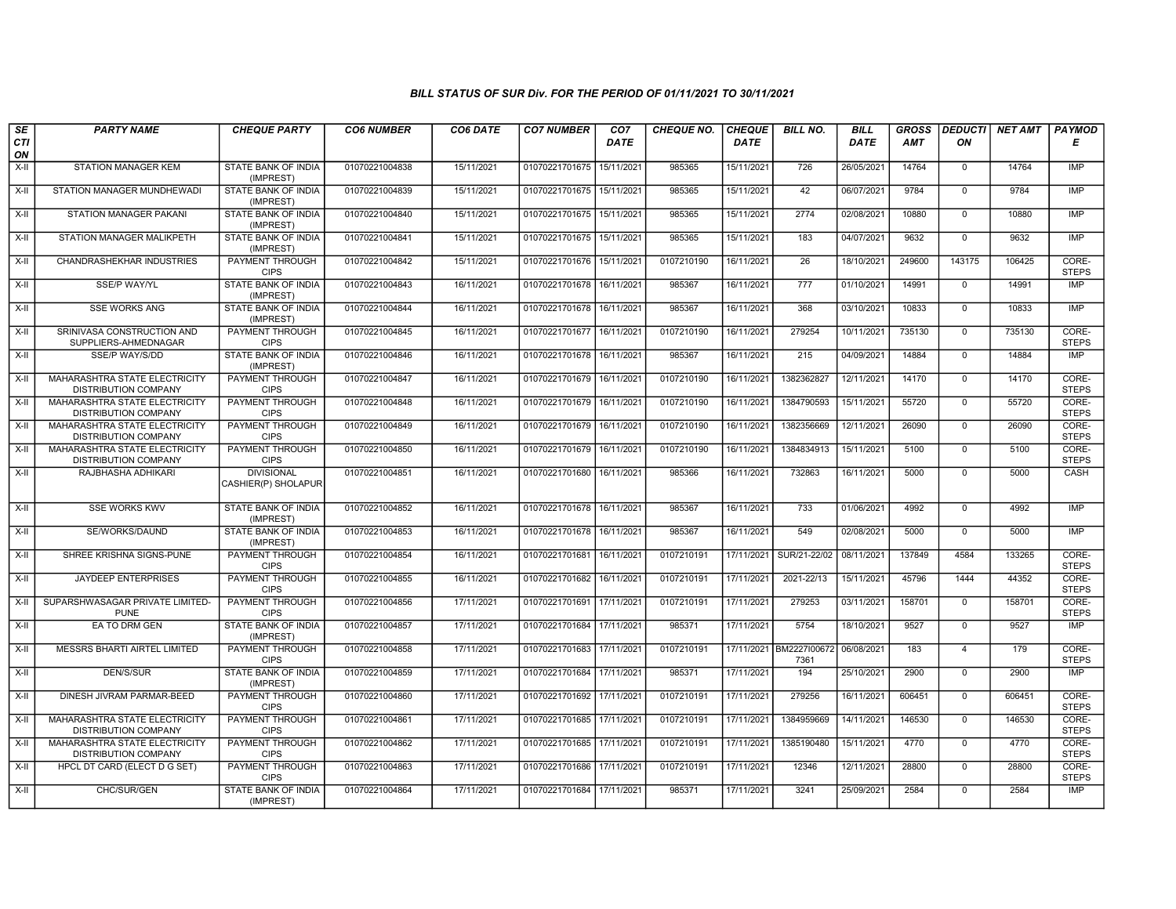| SE<br><b>CTI</b> | <b>PARTY NAME</b>                                                   | <b>CHEQUE PARTY</b>                      | <b>CO6 NUMBER</b> | CO6 DATE   | <b>CO7 NUMBER</b>         | CO <sub>7</sub><br><b>DATE</b> | <b>CHEQUE NO.</b> | <b>CHEQUE</b><br><b>DATE</b> | <b>BILL NO.</b>                 | <b>BILL</b><br><b>DATE</b> | <b>GROSS</b><br><b>AMT</b> | ON             | DEDUCTI NET AMT | <b>PAYMOD</b><br>Е    |
|------------------|---------------------------------------------------------------------|------------------------------------------|-------------------|------------|---------------------------|--------------------------------|-------------------|------------------------------|---------------------------------|----------------------------|----------------------------|----------------|-----------------|-----------------------|
| ON               |                                                                     |                                          |                   |            |                           |                                |                   |                              |                                 |                            |                            |                |                 |                       |
| $X-H$            | <b>STATION MANAGER KEM</b>                                          | <b>STATE BANK OF INDIA</b><br>(IMPREST)  | 01070221004838    | 15/11/2021 | 01070221701675            | 15/11/2021                     | 985365            | 15/11/2021                   | 726                             | 26/05/2021                 | 14764                      | $\mathbf 0$    | 14764           | IMP                   |
| X-II             | STATION MANAGER MUNDHEWADI                                          | <b>STATE BANK OF INDIA</b><br>(IMPREST)  | 01070221004839    | 15/11/2021 | 01070221701675 15/11/2021 |                                | 985365            | 15/11/2021                   | 42                              | 06/07/2021                 | 9784                       | $\Omega$       | 9784            | IMP                   |
| X-II             | STATION MANAGER PAKANI                                              | STATE BANK OF INDIA<br>(IMPREST)         | 01070221004840    | 15/11/2021 | 01070221701675            | 15/11/2021                     | 985365            | 15/11/2021                   | 2774                            | 02/08/2021                 | 10880                      | $\mathbf 0$    | 10880           | IMP                   |
| $X-H$            | STATION MANAGER MALIKPETH                                           | STATE BANK OF INDIA<br>(IMPREST)         | 01070221004841    | 15/11/2021 | 01070221701675 15/11/2021 |                                | 985365            | 15/11/2021                   | 183                             | 04/07/2021                 | 9632                       | $\overline{0}$ | 9632            | <b>IMP</b>            |
| X-II             | <b>CHANDRASHEKHAR INDUSTRIES</b>                                    | <b>PAYMENT THROUGH</b><br><b>CIPS</b>    | 01070221004842    | 15/11/2021 | 01070221701676 15/11/2021 |                                | 0107210190        | 16/11/2021                   | $\overline{26}$                 | 18/10/2021                 | 249600                     | 143175         | 106425          | CORE-<br><b>STEPS</b> |
| X-II             | <b>SSE/P WAY/YL</b>                                                 | <b>STATE BANK OF INDIA</b><br>(IMPREST)  | 01070221004843    | 16/11/2021 | 01070221701678 16/11/2021 |                                | 985367            | 16/11/2021                   | 777                             | 01/10/2021                 | 14991                      | $\Omega$       | 14991           | IMP                   |
| X-II             | <b>SSE WORKS ANG</b>                                                | STATE BANK OF INDIA<br>(IMPREST)         | 01070221004844    | 16/11/2021 | 01070221701678            | 16/11/2021                     | 985367            | 16/11/2021                   | 368                             | 03/10/2021                 | 10833                      | $\Omega$       | 10833           | <b>IMP</b>            |
| $X-H$            | SRINIVASA CONSTRUCTION AND<br>SUPPLIERS-AHMEDNAGAR                  | <b>PAYMENT THROUGH</b><br><b>CIPS</b>    | 01070221004845    | 16/11/2021 | 01070221701677            | 16/11/2021                     | 0107210190        | 16/11/2021                   | 279254                          | 10/11/2021                 | 735130                     | $\mathbf 0$    | 735130          | CORE-<br><b>STEPS</b> |
| $\overline{X-1}$ | SSE/P WAY/S/DD                                                      | STATE BANK OF INDIA<br>(IMPREST)         | 01070221004846    | 16/11/2021 | 01070221701678            | 16/11/2021                     | 985367            | 16/11/2021                   | 215                             | 04/09/2021                 | 14884                      | $\mathbf 0$    | 14884           | IMP                   |
| X-II             | MAHARASHTRA STATE ELECTRICITY<br><b>DISTRIBUTION COMPANY</b>        | <b>PAYMENT THROUGH</b><br><b>CIPS</b>    | 01070221004847    | 16/11/2021 | 01070221701679 16/11/2021 |                                | 0107210190        | 16/11/2021                   | 1382362827                      | 12/11/2021                 | 14170                      | $\Omega$       | 14170           | CORE-<br><b>STEPS</b> |
| X-II             | MAHARASHTRA STATE ELECTRICITY<br><b>DISTRIBUTION COMPANY</b>        | PAYMENT THROUGH<br><b>CIPS</b>           | 01070221004848    | 16/11/2021 | 01070221701679            | 16/11/2021                     | 0107210190        | 16/11/2021                   | 1384790593                      | 15/11/2021                 | 55720                      | $\mathbf 0$    | 55720           | CORE-<br><b>STEPS</b> |
| $X-II$           | <b>MAHARASHTRA STATE ELECTRICITY</b><br><b>DISTRIBUTION COMPANY</b> | <b>PAYMENT THROUGH</b><br><b>CIPS</b>    | 01070221004849    | 16/11/2021 | 01070221701679            | 16/11/2021                     | 0107210190        | 16/11/2021                   | 1382356669                      | 12/11/2021                 | 26090                      | $\mathbf 0$    | 26090           | CORE-<br><b>STEPS</b> |
| X-II             | MAHARASHTRA STATE ELECTRICITY<br><b>DISTRIBUTION COMPANY</b>        | <b>PAYMENT THROUGH</b><br><b>CIPS</b>    | 01070221004850    | 16/11/2021 | 01070221701679 16/11/2021 |                                | 0107210190        | 16/11/2021                   | 1384834913                      | 15/11/2021                 | 5100                       | $\mathbf 0$    | 5100            | CORE-<br><b>STEPS</b> |
| $X-II$           | RAJBHASHA ADHIKARI                                                  | <b>DIVISIONAL</b><br>CASHIER(P) SHOLAPUR | 01070221004851    | 16/11/2021 | 01070221701680 16/11/2021 |                                | 985366            | 16/11/2021                   | 732863                          | 16/11/2021                 | 5000                       | $\Omega$       | 5000            | CASH                  |
| $X-II$           | <b>SSE WORKS KWV</b>                                                | STATE BANK OF INDIA<br>(IMPREST)         | 01070221004852    | 16/11/2021 | 01070221701678 16/11/2021 |                                | 985367            | 16/11/2021                   | 733                             | 01/06/2021                 | 4992                       | $\mathbf 0$    | 4992            | <b>IMP</b>            |
| X-II             | SE/WORKS/DAUND                                                      | STATE BANK OF INDIA<br>(IMPREST)         | 01070221004853    | 16/11/2021 | 01070221701678            | 16/11/2021                     | 985367            | 16/11/2021                   | 549                             | 02/08/2021                 | 5000                       | $\mathbf{0}$   | 5000            | IMP                   |
| X-II             | SHREE KRISHNA SIGNS-PUNE                                            | PAYMENT THROUGH<br><b>CIPS</b>           | 01070221004854    | 16/11/2021 | 01070221701681            | 16/11/2021                     | 0107210191        | 17/11/2021                   | SUR/21-22/02                    | 08/11/2021                 | 137849                     | 4584           | 133265          | CORE-<br><b>STEPS</b> |
| $X-H$            | JAYDEEP ENTERPRISES                                                 | PAYMENT THROUGH<br><b>CIPS</b>           | 01070221004855    | 16/11/2021 | 01070221701682            | 16/11/2021                     | 0107210191        | 17/11/2021                   | 2021-22/13                      | 15/11/2021                 | 45796                      | 1444           | 44352           | CORE-<br><b>STEPS</b> |
| $X-H$            | SUPARSHWASAGAR PRIVATE LIMITED-<br><b>PUNE</b>                      | <b>PAYMENT THROUGH</b><br><b>CIPS</b>    | 01070221004856    | 17/11/2021 | 01070221701691            | 17/11/2021                     | 0107210191        | 17/11/2021                   | 279253                          | 03/11/2021                 | 158701                     | $\mathbf 0$    | 158701          | CORE-<br><b>STEPS</b> |
| $X-H$            | EA TO DRM GEN                                                       | STATE BANK OF INDIA<br>(IMPREST)         | 01070221004857    | 17/11/2021 | 01070221701684            | 17/11/2021                     | 985371            | 17/11/2021                   | 5754                            | 18/10/2021                 | 9527                       | $\mathbf{0}$   | 9527            | <b>IMP</b>            |
| X-II             | <b>MESSRS BHARTI AIRTEL LIMITED</b>                                 | <b>PAYMENT THROUGH</b><br><b>CIPS</b>    | 01070221004858    | 17/11/2021 | 01070221701683            | 17/11/2021                     | 0107210191        |                              | 17/11/2021 BM2227I00672<br>7361 | 06/08/2021                 | 183                        | $\overline{4}$ | 179             | CORE-<br><b>STEPS</b> |
| X-II             | DEN/S/SUR                                                           | STATE BANK OF INDIA<br>(IMPREST)         | 01070221004859    | 17/11/2021 | 01070221701684            | 17/11/2021                     | 985371            | 17/11/2021                   | 194                             | 25/10/2021                 | 2900                       | $\mathbf 0$    | 2900            | <b>IMP</b>            |
| $X-H$            | DINESH JIVRAM PARMAR-BEED                                           | PAYMENT THROUGH<br><b>CIPS</b>           | 01070221004860    | 17/11/2021 | 01070221701692            | 17/11/2021                     | 0107210191        | 17/11/2021                   | 279256                          | 16/11/2021                 | 606451                     | $\overline{0}$ | 606451          | CORE-<br><b>STEPS</b> |
| X-II             | MAHARASHTRA STATE ELECTRICITY<br><b>DISTRIBUTION COMPANY</b>        | <b>PAYMENT THROUGH</b><br><b>CIPS</b>    | 01070221004861    | 17/11/2021 | 01070221701685            | 17/11/2021                     | 0107210191        | 17/11/2021                   | 1384959669                      | 14/11/2021                 | 146530                     | $\mathbf 0$    | 146530          | CORE-<br><b>STEPS</b> |
| X-II             | MAHARASHTRA STATE ELECTRICITY<br><b>DISTRIBUTION COMPANY</b>        | <b>PAYMENT THROUGH</b><br><b>CIPS</b>    | 01070221004862    | 17/11/2021 | 01070221701685 17/11/2021 |                                | 0107210191        | 17/11/2021                   | 1385190480                      | 15/11/2021                 | 4770                       | $\Omega$       | 4770            | CORE-<br><b>STEPS</b> |
| X-II             | HPCL DT CARD (ELECT D G SET)                                        | PAYMENT THROUGH<br><b>CIPS</b>           | 01070221004863    | 17/11/2021 | 01070221701686            | 17/11/2021                     | 0107210191        | 17/11/2021                   | 12346                           | 12/11/2021                 | 28800                      | $\mathbf 0$    | 28800           | CORE-<br><b>STEPS</b> |
| $X-H$            | CHC/SUR/GEN                                                         | <b>STATE BANK OF INDIA</b><br>(IMPREST)  | 01070221004864    | 17/11/2021 | 01070221701684 17/11/2021 |                                | 985371            | 17/11/2021                   | 3241                            | 25/09/2021                 | 2584                       | $\mathbf 0$    | 2584            | IMP                   |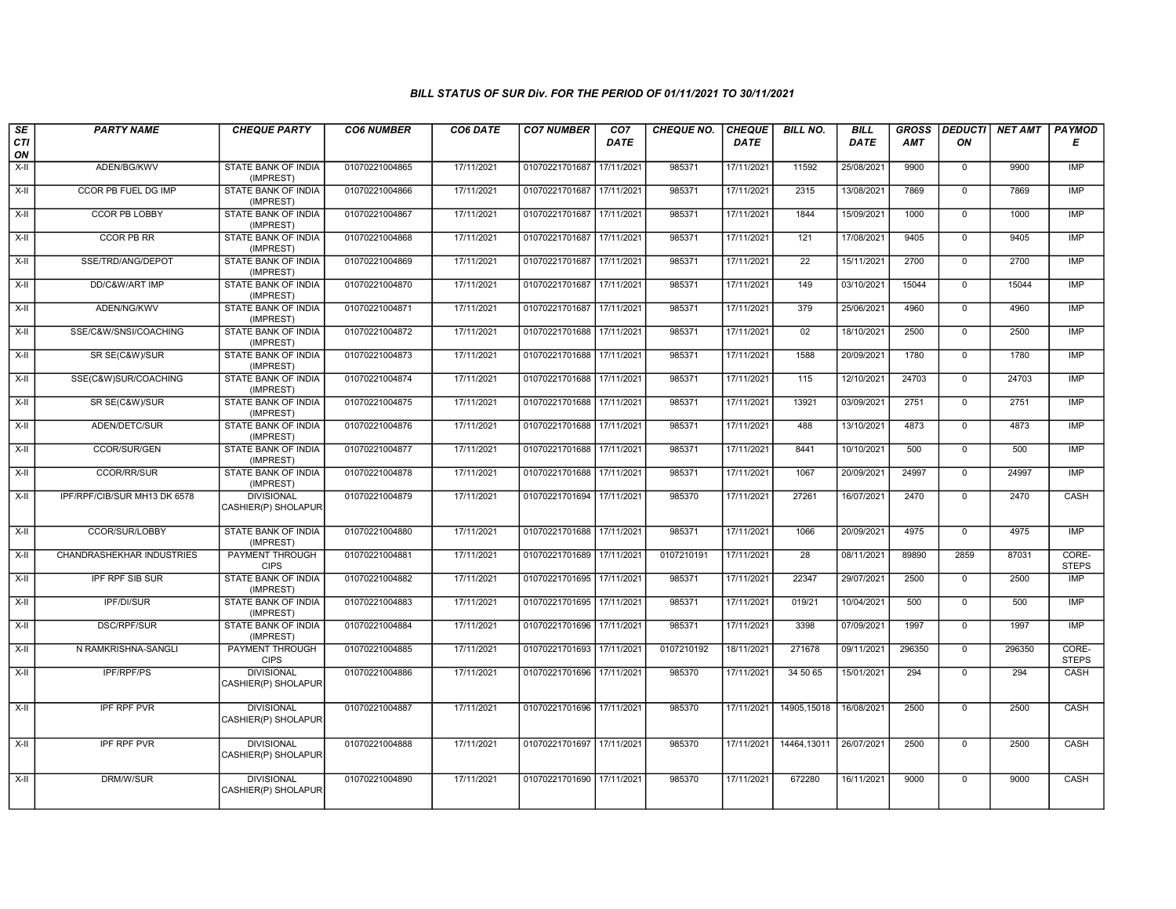| SE<br>CTI | <b>PARTY NAME</b>                | <b>CHEQUE PARTY</b>                      | <b>CO6 NUMBER</b> | CO6 DATE   | <b>CO7 NUMBER</b>         | CO7<br><b>DATE</b> | <b>CHEQUE NO.</b> | <b>CHEQUE</b><br><b>DATE</b> | <b>BILL NO.</b> | <b>BILL</b><br><b>DATE</b> | <b>GROSS</b><br>AMT | <b>DEDUCTI</b><br>ON | <b>NET AMT</b> | <b>PAYMOD</b><br>Е    |
|-----------|----------------------------------|------------------------------------------|-------------------|------------|---------------------------|--------------------|-------------------|------------------------------|-----------------|----------------------------|---------------------|----------------------|----------------|-----------------------|
| ON        |                                  |                                          |                   |            |                           |                    |                   |                              |                 |                            |                     |                      |                |                       |
| X-II      | ADEN/BG/KWV                      | <b>STATE BANK OF INDIA</b><br>(IMPREST)  | 01070221004865    | 17/11/2021 | 01070221701687 17/11/2021 |                    | 985371            | 17/11/2021                   | 11592           | 25/08/2021                 | 9900                | $\mathbf{0}$         | 9900           | IMP                   |
| X-II      | <b>CCOR PB FUEL DG IMP</b>       | <b>STATE BANK OF INDIA</b><br>(IMPREST)  | 01070221004866    | 17/11/2021 | 01070221701687 17/11/2021 |                    | 985371            | 17/11/2021                   | 2315            | 13/08/2021                 | 7869                | $\mathbf 0$          | 7869           | IMP                   |
| X-II      | <b>CCOR PB LOBBY</b>             | STATE BANK OF INDIA<br>(IMPREST)         | 01070221004867    | 17/11/2021 | 01070221701687 17/11/2021 |                    | 985371            | 17/11/2021                   | 1844            | 15/09/2021                 | 1000                | $\mathbf 0$          | 1000           | <b>IMP</b>            |
| $X-H$     | <b>CCOR PB RR</b>                | <b>STATE BANK OF INDIA</b><br>(IMPREST)  | 01070221004868    | 17/11/2021 | 01070221701687 17/11/2021 |                    | 985371            | 17/11/2021                   | 121             | 17/08/2021                 | 9405                | $\mathbf 0$          | 9405           | IMP                   |
| $X-H$     | SSE/TRD/ANG/DEPOT                | <b>STATE BANK OF INDIA</b><br>(IMPREST)  | 01070221004869    | 17/11/2021 | 01070221701687 17/11/2021 |                    | 985371            | 17/11/2021                   | $\overline{22}$ | 15/11/2021                 | 2700                | $\overline{0}$       | 2700           | IMP                   |
| $X-H$     | DD/C&W/ART IMP                   | <b>STATE BANK OF INDIA</b><br>(IMPREST)  | 01070221004870    | 17/11/2021 | 01070221701687 17/11/2021 |                    | 985371            | 17/11/2021                   | 149             | 03/10/2021                 | 15044               | $\overline{0}$       | 15044          | IMP                   |
| $X-H$     | ADEN/NG/KWV                      | <b>STATE BANK OF INDIA</b><br>(IMPREST)  | 01070221004871    | 17/11/2021 | 01070221701687 17/11/2021 |                    | 985371            | 17/11/2021                   | 379             | 25/06/2021                 | 4960                | $\overline{0}$       | 4960           | <b>IMP</b>            |
| $X-II$    | SSE/C&W/SNSI/COACHING            | <b>STATE BANK OF INDIA</b><br>(IMPREST)  | 01070221004872    | 17/11/2021 | 01070221701688 17/11/2021 |                    | 985371            | 17/11/2021                   | 02              | 18/10/2021                 | 2500                | $\overline{0}$       | 2500           | IMP                   |
| X-II      | SR SE(C&W)/SUR                   | <b>STATE BANK OF INDIA</b><br>(IMPREST)  | 01070221004873    | 17/11/2021 | 01070221701688 17/11/2021 |                    | 985371            | 17/11/2021                   | 1588            | 20/09/2021                 | 1780                | $\mathbf{0}$         | 1780           | <b>IMP</b>            |
| X-II      | SSE(C&W)SUR/COACHING             | <b>STATE BANK OF INDIA</b><br>(IMPREST)  | 01070221004874    | 17/11/2021 | 01070221701688 17/11/2021 |                    | 985371            | 17/11/2021                   | 115             | 12/10/2021                 | 24703               | $\overline{0}$       | 24703          | <b>IMP</b>            |
| $X-H$     | SR SE(C&W)/SUR                   | <b>STATE BANK OF INDIA</b><br>(IMPREST)  | 01070221004875    | 17/11/2021 | 01070221701688 17/11/2021 |                    | 985371            | 17/11/2021                   | 13921           | 03/09/2021                 | 2751                | $\mathbf{0}$         | 2751           | IMP                   |
| $X-II$    | ADEN/DETC/SUR                    | STATE BANK OF INDIA<br>(IMPREST)         | 01070221004876    | 17/11/2021 | 01070221701688 17/11/2021 |                    | 985371            | 17/11/2021                   | 488             | 13/10/2021                 | 4873                | $\overline{0}$       | 4873           | IMP                   |
| $X-H$     | CCOR/SUR/GEN                     | STATE BANK OF INDIA<br>(IMPREST)         | 01070221004877    | 17/11/2021 | 01070221701688 17/11/2021 |                    | 985371            | 17/11/2021                   | 8441            | 10/10/2021                 | 500                 | $\overline{0}$       | 500            | <b>IMP</b>            |
| $X-H$     | <b>CCOR/RR/SUR</b>               | <b>STATE BANK OF INDIA</b><br>(IMPREST)  | 01070221004878    | 17/11/2021 | 01070221701688 17/11/2021 |                    | 985371            | 17/11/2021                   | 1067            | 20/09/2021                 | 24997               | $\overline{0}$       | 24997          | <b>IMP</b>            |
| X-II      | IPF/RPF/CIB/SUR MH13 DK 6578     | <b>DIVISIONAL</b><br>CASHIER(P) SHOLAPUR | 01070221004879    | 17/11/2021 | 01070221701694 17/11/2021 |                    | 985370            | 17/11/2021                   | 27261           | 16/07/2021                 | 2470                | $\mathsf 0$          | 2470           | CASH                  |
| $X-H$     | <b>CCOR/SUR/LOBBY</b>            | <b>STATE BANK OF INDIA</b><br>(IMPREST)  | 01070221004880    | 17/11/2021 | 01070221701688 17/11/2021 |                    | 985371            | 17/11/2021                   | 1066            | 20/09/2021                 | 4975                | $\overline{0}$       | 4975           | <b>IMP</b>            |
| $X-H$     | <b>CHANDRASHEKHAR INDUSTRIES</b> | PAYMENT THROUGH<br><b>CIPS</b>           | 01070221004881    | 17/11/2021 | 01070221701689 17/11/2021 |                    | 0107210191        | 17/11/2021                   | $\overline{28}$ | 08/11/2021                 | 89890               | 2859                 | 87031          | CORE-<br><b>STEPS</b> |
| X-II      | IPF RPF SIB SUR                  | STATE BANK OF INDIA<br>(IMPREST)         | 01070221004882    | 17/11/2021 | 01070221701695 17/11/2021 |                    | 985371            | 17/11/2021                   | 22347           | 29/07/2021                 | 2500                | $\mathbf{0}$         | 2500           | IMP                   |
| $X-H$     | IPF/DI/SUR                       | <b>STATE BANK OF INDIA</b><br>(IMPREST)  | 01070221004883    | 17/11/2021 | 01070221701695 17/11/2021 |                    | 985371            | 17/11/2021                   | 019/21          | 10/04/2021                 | 500                 | $\overline{0}$       | 500            | IMP                   |
| X-II      | <b>DSC/RPF/SUR</b>               | <b>STATE BANK OF INDIA</b><br>(IMPREST)  | 01070221004884    | 17/11/2021 | 01070221701696 17/11/2021 |                    | 985371            | 17/11/2021                   | 3398            | 07/09/2021                 | 1997                | $\overline{0}$       | 1997           | IMP                   |
| X-II      | N RAMKRISHNA-SANGLI              | <b>PAYMENT THROUGH</b><br><b>CIPS</b>    | 01070221004885    | 17/11/2021 | 01070221701693 17/11/2021 |                    | 0107210192        | 18/11/2021                   | 271678          | 09/11/2021                 | 296350              | $\mathbf 0$          | 296350         | CORE-<br><b>STEPS</b> |
| X-II      | IPF/RPF/PS                       | <b>DIVISIONAL</b><br>CASHIER(P) SHOLAPUR | 01070221004886    | 17/11/2021 | 01070221701696 17/11/2021 |                    | 985370            | 17/11/2021                   | 34 50 65        | 15/01/2021                 | 294                 | $\mathbf 0$          | 294            | CASH                  |
| X-II      | <b>IPF RPF PVR</b>               | <b>DIVISIONAL</b><br>CASHIER(P) SHOLAPUR | 01070221004887    | 17/11/2021 | 01070221701696 17/11/2021 |                    | 985370            | 17/11/2021                   | 14905,15018     | 16/08/2021                 | 2500                | $\mathsf{O}$         | 2500           | CASH                  |
| $X-H$     | <b>IPF RPF PVR</b>               | <b>DIVISIONAL</b><br>CASHIER(P) SHOLAPUR | 01070221004888    | 17/11/2021 | 01070221701697 17/11/2021 |                    | 985370            | 17/11/2021                   | 14464,13011     | 26/07/2021                 | 2500                | $\overline{0}$       | 2500           | CASH                  |
| $X-II$    | DRM/W/SUR                        | <b>DIVISIONAL</b><br>CASHIER(P) SHOLAPUR | 01070221004890    | 17/11/2021 | 01070221701690 17/11/2021 |                    | 985370            | 17/11/2021                   | 672280          | 16/11/2021                 | 9000                | $\Omega$             | 9000           | CASH                  |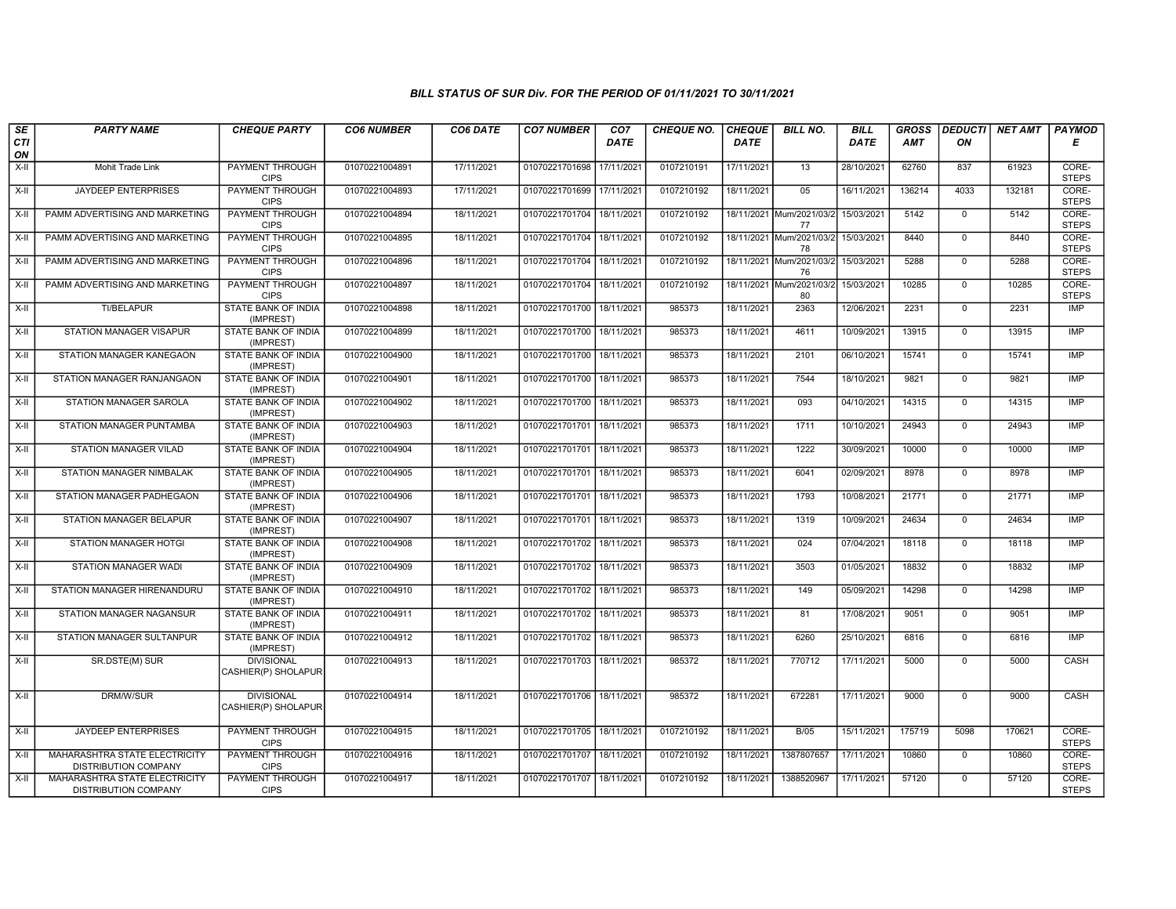| SE        | <b>PARTY NAME</b>                                     | <b>CHEQUE PARTY</b>                      | <b>CO6 NUMBER</b> | CO6 DATE   | <b>CO7 NUMBER</b>         | CO <sub>7</sub> | <b>CHEQUE NO.</b> | <b>CHEQUE</b> | <b>BILL NO.</b>                | <b>BILL</b> | <b>GROSS</b> | <b>DEDUCTI</b> | NET AMT | <b>PAYMOD</b>         |
|-----------|-------------------------------------------------------|------------------------------------------|-------------------|------------|---------------------------|-----------------|-------------------|---------------|--------------------------------|-------------|--------------|----------------|---------|-----------------------|
| CTI<br>ON |                                                       |                                          |                   |            |                           | <b>DATE</b>     |                   | <b>DATE</b>   |                                | <b>DATE</b> | AMT          | ON             |         | Е                     |
| $X-H$     | Mohit Trade Link                                      | <b>PAYMENT THROUGH</b><br><b>CIPS</b>    | 01070221004891    | 17/11/2021 | 01070221701698 17/11/2021 |                 | 0107210191        | 17/11/2021    | 13                             | 28/10/2021  | 62760        | 837            | 61923   | CORE-<br><b>STEPS</b> |
| X-II      | <b>JAYDEEP ENTERPRISES</b>                            | <b>PAYMENT THROUGH</b><br><b>CIPS</b>    | 01070221004893    | 17/11/2021 | 01070221701699 17/11/2021 |                 | 0107210192        | 18/11/2021    | 05                             | 16/11/2021  | 136214       | 4033           | 132181  | CORE-<br><b>STEPS</b> |
| X-II      | PAMM ADVERTISING AND MARKETING                        | PAYMENT THROUGH<br><b>CIPS</b>           | 01070221004894    | 18/11/2021 | 01070221701704            | 18/11/2021      | 0107210192        | 18/11/2021    | Mum/2021/03/2<br>77            | 15/03/2021  | 5142         | $\mathbf 0$    | 5142    | CORE-<br><b>STEPS</b> |
| X-II      | PAMM ADVERTISING AND MARKETING                        | <b>PAYMENT THROUGH</b><br><b>CIPS</b>    | 01070221004895    | 18/11/2021 | 01070221701704            | 18/11/2021      | 0107210192        | 18/11/2021    | Mum/2021/03/2<br>78            | 15/03/2021  | 8440         | $\mathbf 0$    | 8440    | CORE-<br><b>STEPS</b> |
| X-II      | PAMM ADVERTISING AND MARKETING                        | <b>PAYMENT THROUGH</b><br><b>CIPS</b>    | 01070221004896    | 18/11/2021 | 01070221701704 18/11/2021 |                 | 0107210192        |               | 18/11/2021 Mum/2021/03/2<br>76 | 15/03/2021  | 5288         | 0              | 5288    | CORE-<br><b>STEPS</b> |
| X-II      | PAMM ADVERTISING AND MARKETING                        | <b>PAYMENT THROUGH</b><br><b>CIPS</b>    | 01070221004897    | 18/11/2021 | 01070221701704 18/11/2021 |                 | 0107210192        |               | 18/11/2021 Mum/2021/03/2<br>80 | 15/03/2021  | 10285        | $\mathbf 0$    | 10285   | CORE-<br><b>STEPS</b> |
| X-II      | TI/BELAPUR                                            | STATE BANK OF INDIA<br>(IMPREST)         | 01070221004898    | 18/11/2021 | 01070221701700            | 18/11/2021      | 985373            | 18/11/2021    | 2363                           | 12/06/2021  | 2231         | $\mathbf{0}$   | 2231    | <b>IMP</b>            |
| X-II      | <b>STATION MANAGER VISAPUR</b>                        | STATE BANK OF INDIA<br>(IMPREST)         | 01070221004899    | 18/11/2021 | 01070221701700            | 18/11/2021      | 985373            | 18/11/2021    | 4611                           | 10/09/2021  | 13915        | $\mathbf 0$    | 13915   | <b>IMP</b>            |
| X-II      | STATION MANAGER KANEGAON                              | <b>STATE BANK OF INDIA</b><br>(IMPREST)  | 01070221004900    | 18/11/2021 | 01070221701700            | 18/11/2021      | 985373            | 18/11/2021    | 2101                           | 06/10/2021  | 15741        | $\mathbf 0$    | 15741   | IMP                   |
| X-II      | STATION MANAGER RANJANGAON                            | <b>STATE BANK OF INDIA</b><br>(IMPREST)  | 01070221004901    | 18/11/2021 | 01070221701700 18/11/2021 |                 | 985373            | 18/11/2021    | 7544                           | 18/10/2021  | 9821         | $\mathbf 0$    | 9821    | <b>IMP</b>            |
| X-II      | STATION MANAGER SAROLA                                | STATE BANK OF INDIA<br>(IMPREST)         | 01070221004902    | 18/11/2021 | 01070221701700            | 18/11/2021      | 985373            | 18/11/2021    | 093                            | 04/10/2021  | 14315        | $\mathbf 0$    | 14315   | IMP                   |
| X-II      | STATION MANAGER PUNTAMBA                              | <b>STATE BANK OF INDIA</b><br>(IMPREST)  | 01070221004903    | 18/11/2021 | 01070221701701            | 18/11/2021      | 985373            | 18/11/2021    | 1711                           | 10/10/2021  | 24943        | $\mathbf 0$    | 24943   | <b>IMP</b>            |
| X-II      | STATION MANAGER VILAD                                 | STATE BANK OF INDIA<br>(IMPREST)         | 01070221004904    | 18/11/2021 | 01070221701701 18/11/2021 |                 | 985373            | 18/11/2021    | 1222                           | 30/09/2021  | 10000        | $\mathbf 0$    | 10000   | IMP                   |
| X-II      | STATION MANAGER NIMBALAK                              | <b>STATE BANK OF INDIA</b><br>(IMPREST)  | 01070221004905    | 18/11/2021 | 01070221701701            | 18/11/2021      | 985373            | 18/11/2021    | 6041                           | 02/09/2021  | 8978         | $\mathbf{0}$   | 8978    | <b>IMP</b>            |
| X-II      | STATION MANAGER PADHEGAON                             | STATE BANK OF INDIA<br>(IMPREST)         | 01070221004906    | 18/11/2021 | 01070221701701            | 18/11/2021      | 985373            | 18/11/2021    | 1793                           | 10/08/2021  | 21771        | $\mathbf 0$    | 21771   | IMP                   |
| X-II      | STATION MANAGER BELAPUR                               | STATE BANK OF INDIA<br>(IMPREST)         | 01070221004907    | 18/11/2021 | 01070221701701            | 18/11/2021      | 985373            | 18/11/2021    | 1319                           | 10/09/2021  | 24634        | $\mathbf{0}$   | 24634   | <b>IMP</b>            |
| X-II      | <b>STATION MANAGER HOTGI</b>                          | STATE BANK OF INDIA<br>(IMPREST)         | 01070221004908    | 18/11/2021 | 01070221701702            | 18/11/2021      | 985373            | 18/11/2021    | 024                            | 07/04/2021  | 18118        | $\mathbf 0$    | 18118   | <b>IMP</b>            |
| X-II      | <b>STATION MANAGER WADI</b>                           | <b>STATE BANK OF INDIA</b><br>(IMPREST)  | 01070221004909    | 18/11/2021 | 01070221701702            | 18/11/2021      | 985373            | 18/11/2021    | 3503                           | 01/05/2021  | 18832        | $\mathbf 0$    | 18832   | <b>IMP</b>            |
| X-II      | STATION MANAGER HIRENANDURU                           | STATE BANK OF INDIA<br>(IMPREST)         | 01070221004910    | 18/11/2021 | 01070221701702 18/11/2021 |                 | 985373            | 18/11/2021    | 149                            | 05/09/2021  | 14298        | $\mathbf{0}$   | 14298   | IMP                   |
| $X-II$    | STATION MANAGER NAGANSUR                              | STATE BANK OF INDIA<br>(IMPREST)         | 01070221004911    | 18/11/2021 | 01070221701702 18/11/2021 |                 | 985373            | 18/11/2021    | 81                             | 17/08/2021  | 9051         | $\mathbf 0$    | 9051    | <b>IMP</b>            |
| X-II      | STATION MANAGER SULTANPUR                             | STATE BANK OF INDIA<br>(IMPREST)         | 01070221004912    | 18/11/2021 | 01070221701702 18/11/2021 |                 | 985373            | 18/11/2021    | 6260                           | 25/10/2021  | 6816         | $\mathbf{0}$   | 6816    | <b>IMP</b>            |
| X-II      | SR.DSTE(M) SUR                                        | <b>DIVISIONAL</b><br>CASHIER(P) SHOLAPUR | 01070221004913    | 18/11/2021 | 01070221701703 18/11/2021 |                 | 985372            | 18/11/2021    | 770712                         | 17/11/2021  | 5000         | $\mathbf 0$    | 5000    | CASH                  |
| $X-H$     | DRM/W/SUR                                             | <b>DIVISIONAL</b><br>CASHIER(P) SHOLAPUR | 01070221004914    | 18/11/2021 | 01070221701706 18/11/2021 |                 | 985372            | 18/11/2021    | 672281                         | 17/11/2021  | 9000         | $\mathbf 0$    | 9000    | CASH                  |
| X-II      | <b>JAYDEEP ENTERPRISES</b>                            | PAYMENT THROUGH<br><b>CIPS</b>           | 01070221004915    | 18/11/2021 | 01070221701705 18/11/2021 |                 | 0107210192        | 18/11/2021    | B/05                           | 15/11/2021  | 175719       | 5098           | 170621  | CORE-<br><b>STEPS</b> |
| X-II      | MAHARASHTRA STATE ELECTRICITY<br>DISTRIBUTION COMPANY | <b>PAYMENT THROUGH</b><br><b>CIPS</b>    | 01070221004916    | 18/11/2021 | 01070221701707            | 18/11/2021      | 0107210192        | 18/11/2021    | 1387807657                     | 17/11/2021  | 10860        | $\mathbf 0$    | 10860   | CORE-<br><b>STEPS</b> |
| X-II      | MAHARASHTRA STATE ELECTRICITY<br>DISTRIBUTION COMPANY | <b>PAYMENT THROUGH</b><br><b>CIPS</b>    | 01070221004917    | 18/11/2021 | 01070221701707 18/11/2021 |                 | 0107210192        | 18/11/2021    | 1388520967                     | 17/11/2021  | 57120        | $\mathbf 0$    | 57120   | CORE-<br><b>STEPS</b> |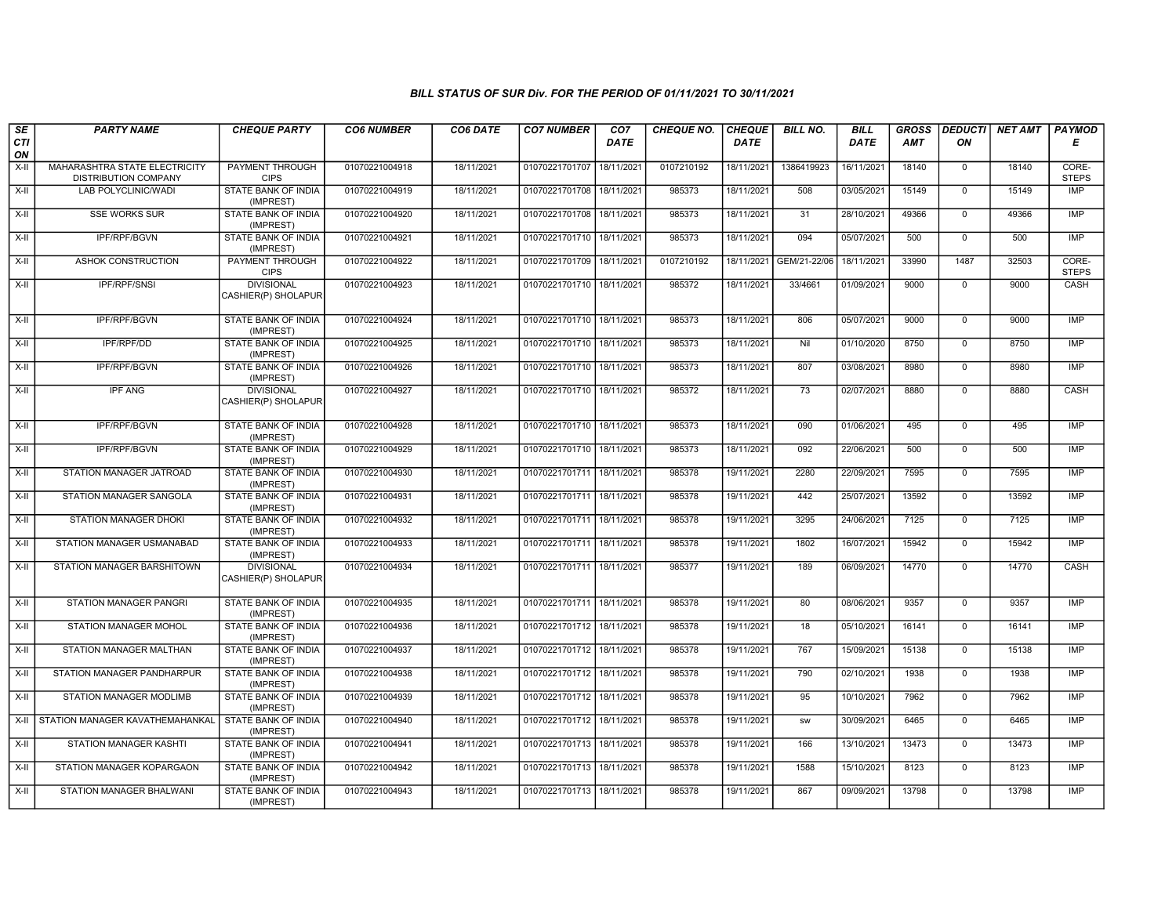| SE        | <b>PARTY NAME</b>                                     | <b>CHEQUE PARTY</b>                      | <b>CO6 NUMBER</b> | CO6 DATE   | <b>CO7 NUMBER</b>         | CO <sub>7</sub> | <b>CHEQUE NO.</b> | <b>CHEQUE</b> | <b>BILL NO.</b> | <b>BILL</b> | <b>GROSS</b> | <b>DEDUCTI</b> | NET AMT | <b>PAYMOD</b>         |
|-----------|-------------------------------------------------------|------------------------------------------|-------------------|------------|---------------------------|-----------------|-------------------|---------------|-----------------|-------------|--------------|----------------|---------|-----------------------|
| CTI<br>ON |                                                       |                                          |                   |            |                           | <b>DATE</b>     |                   | DATE          |                 | <b>DATE</b> | AMT          | ON             |         | Е                     |
| $X-II$    | MAHARASHTRA STATE ELECTRICITY<br>DISTRIBUTION COMPANY | PAYMENT THROUGH<br><b>CIPS</b>           | 01070221004918    | 18/11/2021 | 01070221701707            | 18/11/2021      | 0107210192        | 18/11/2021    | 1386419923      | 16/11/2021  | 18140        | $\mathbf{0}$   | 18140   | CORE-<br><b>STEPS</b> |
| X-II      | <b>LAB POLYCLINIC/WADI</b>                            | STATE BANK OF INDIA<br>(IMPREST)         | 01070221004919    | 18/11/2021 | 01070221701708 18/11/2021 |                 | 985373            | 18/11/2021    | 508             | 03/05/2021  | 15149        | $\mathbf 0$    | 15149   | <b>IMP</b>            |
| $X-H$     | <b>SSE WORKS SUR</b>                                  | STATE BANK OF INDIA<br>(IMPREST)         | 01070221004920    | 18/11/2021 | 01070221701708            | 18/11/2021      | 985373            | 18/11/2021    | 31              | 28/10/2021  | 49366        | $\mathsf{O}$   | 49366   | <b>IMP</b>            |
| $X-II$    | IPF/RPF/BGVN                                          | STATE BANK OF INDIA<br>(IMPREST)         | 01070221004921    | 18/11/2021 | 01070221701710 18/11/2021 |                 | 985373            | 18/11/2021    | 094             | 05/07/2021  | 500          | $\overline{0}$ | 500     | IMP                   |
| X-II      | ASHOK CONSTRUCTION                                    | PAYMENT THROUGH<br><b>CIPS</b>           | 01070221004922    | 18/11/2021 | 01070221701709 18/11/2021 |                 | 0107210192        | 18/11/2021    | GEM/21-22/06    | 18/11/2021  | 33990        | 1487           | 32503   | CORE-<br><b>STEPS</b> |
| X-II      | <b>IPF/RPF/SNSI</b>                                   | <b>DIVISIONAL</b><br>CASHIER(P) SHOLAPUR | 01070221004923    | 18/11/2021 | 01070221701710 18/11/2021 |                 | 985372            | 18/11/2021    | 33/4661         | 01/09/2021  | 9000         | $\Omega$       | 9000    | CASH                  |
| X-II      | IPF/RPF/BGVN                                          | <b>STATE BANK OF INDIA</b><br>(IMPREST)  | 01070221004924    | 18/11/2021 | 01070221701710 18/11/2021 |                 | 985373            | 18/11/2021    | 806             | 05/07/2021  | 9000         | $\mathbf{0}$   | 9000    | <b>IMP</b>            |
| X-II      | <b>IPF/RPF/DD</b>                                     | <b>STATE BANK OF INDIA</b><br>(IMPREST)  | 01070221004925    | 18/11/2021 | 01070221701710 18/11/2021 |                 | 985373            | 18/11/2021    | Nil             | 01/10/2020  | 8750         | $\mathbf 0$    | 8750    | IMP                   |
| X-II      | IPF/RPF/BGVN                                          | STATE BANK OF INDIA<br>(IMPREST)         | 01070221004926    | 18/11/2021 | 01070221701710 18/11/2021 |                 | 985373            | 18/11/2021    | 807             | 03/08/2021  | 8980         | $\mathbf 0$    | 8980    | <b>IMP</b>            |
| X-II      | <b>IPF ANG</b>                                        | <b>DIVISIONAL</b><br>CASHIER(P) SHOLAPUR | 01070221004927    | 18/11/2021 | 01070221701710            | 18/11/2021      | 985372            | 18/11/2021    | 73              | 02/07/2021  | 8880         | $\overline{0}$ | 8880    | CASH                  |
| X-II      | IPF/RPF/BGVN                                          | <b>STATE BANK OF INDIA</b><br>(IMPREST)  | 01070221004928    | 18/11/2021 | 01070221701710 18/11/2021 |                 | 985373            | 18/11/2021    | 090             | 01/06/2021  | 495          | $\mathbf 0$    | 495     | <b>IMP</b>            |
| X-II      | <b>IPF/RPF/BGVN</b>                                   | STATE BANK OF INDIA<br>(IMPREST)         | 01070221004929    | 18/11/2021 | 01070221701710 18/11/2021 |                 | 985373            | 18/11/2021    | 092             | 22/06/2021  | 500          | $\mathbf 0$    | 500     | <b>IMP</b>            |
| $X-II$    | STATION MANAGER JATROAD                               | <b>STATE BANK OF INDIA</b><br>(IMPREST)  | 01070221004930    | 18/11/2021 | 01070221701711            | 18/11/2021      | 985378            | 19/11/2021    | 2280            | 22/09/2021  | 7595         | $\mathbf 0$    | 7595    | <b>IMP</b>            |
| $X-H$     | STATION MANAGER SANGOLA                               | <b>STATE BANK OF INDIA</b><br>(IMPREST)  | 01070221004931    | 18/11/2021 | 01070221701711            | 18/11/2021      | 985378            | 19/11/2021    | 442             | 25/07/2021  | 13592        | $\mathbf 0$    | 13592   | <b>IMP</b>            |
| $X-H$     | <b>STATION MANAGER DHOKI</b>                          | <b>STATE BANK OF INDIA</b><br>(IMPREST)  | 01070221004932    | 18/11/2021 | 01070221701711 18/11/2021 |                 | 985378            | 19/11/2021    | 3295            | 24/06/2021  | 7125         | $\mathbf 0$    | 7125    | <b>IMP</b>            |
| $X-H$     | STATION MANAGER USMANABAD                             | <b>STATE BANK OF INDIA</b><br>(IMPREST)  | 01070221004933    | 18/11/2021 | 01070221701711            | 18/11/2021      | 985378            | 19/11/2021    | 1802            | 16/07/2021  | 15942        | $\mathbf 0$    | 15942   | <b>IMP</b>            |
| X-II      | STATION MANAGER BARSHITOWN                            | <b>DIVISIONAL</b><br>CASHIER(P) SHOLAPUR | 01070221004934    | 18/11/2021 | 01070221701711            | 18/11/2021      | 985377            | 19/11/2021    | 189             | 06/09/2021  | 14770        | $\mathbf 0$    | 14770   | CASH                  |
| $X-II$    | <b>STATION MANAGER PANGRI</b>                         | <b>STATE BANK OF INDIA</b><br>(IMPREST)  | 01070221004935    | 18/11/2021 | 01070221701711            | 18/11/2021      | 985378            | 19/11/2021    | 80              | 08/06/2021  | 9357         | $\mathbf 0$    | 9357    | <b>IMP</b>            |
| X-II      | STATION MANAGER MOHOL                                 | STATE BANK OF INDIA<br>(IMPREST)         | 01070221004936    | 18/11/2021 | 01070221701712 18/11/2021 |                 | 985378            | 19/11/2021    | 18              | 05/10/2021  | 16141        | $\mathbf{0}$   | 16141   | <b>IMP</b>            |
| X-II      | STATION MANAGER MALTHAN                               | <b>STATE BANK OF INDIA</b><br>(IMPREST)  | 01070221004937    | 18/11/2021 | 01070221701712 18/11/2021 |                 | 985378            | 19/11/2021    | 767             | 15/09/2021  | 15138        | $\Omega$       | 15138   | <b>IMP</b>            |
| $X-H$     | STATION MANAGER PANDHARPUR                            | <b>STATE BANK OF INDIA</b><br>(IMPREST)  | 01070221004938    | 18/11/2021 | 01070221701712 18/11/2021 |                 | 985378            | 19/11/2021    | 790             | 02/10/2021  | 1938         | $\mathbf 0$    | 1938    | <b>IMP</b>            |
| X-II      | STATION MANAGER MODLIMB                               | STATE BANK OF INDIA<br>(IMPREST)         | 01070221004939    | 18/11/2021 | 01070221701712 18/11/2021 |                 | 985378            | 19/11/2021    | 95              | 10/10/2021  | 7962         | $\mathbf 0$    | 7962    | <b>IMP</b>            |
|           | X-II STATION MANAGER KAVATHEMAHANKAL                  | STATE BANK OF INDIA<br>(IMPREST)         | 01070221004940    | 18/11/2021 | 01070221701712 18/11/2021 |                 | 985378            | 19/11/2021    | <b>SW</b>       | 30/09/2021  | 6465         | $\mathbf 0$    | 6465    | <b>IMP</b>            |
| $X-II$    | STATION MANAGER KASHTI                                | STATE BANK OF INDIA<br>(IMPREST)         | 01070221004941    | 18/11/2021 | 01070221701713 18/11/2021 |                 | 985378            | 19/11/2021    | 166             | 13/10/2021  | 13473        | $\mathbf 0$    | 13473   | <b>IMP</b>            |
| $X-H$     | STATION MANAGER KOPARGAON                             | <b>STATE BANK OF INDIA</b><br>(IMPREST)  | 01070221004942    | 18/11/2021 | 01070221701713 18/11/2021 |                 | 985378            | 19/11/2021    | 1588            | 15/10/2021  | 8123         | $\mathbf{0}$   | 8123    | <b>IMP</b>            |
| $X-H$     | STATION MANAGER BHALWANI                              | <b>STATE BANK OF INDIA</b><br>(IMPREST)  | 01070221004943    | 18/11/2021 | 01070221701713 18/11/2021 |                 | 985378            | 19/11/2021    | 867             | 09/09/2021  | 13798        | $\mathbf 0$    | 13798   | <b>IMP</b>            |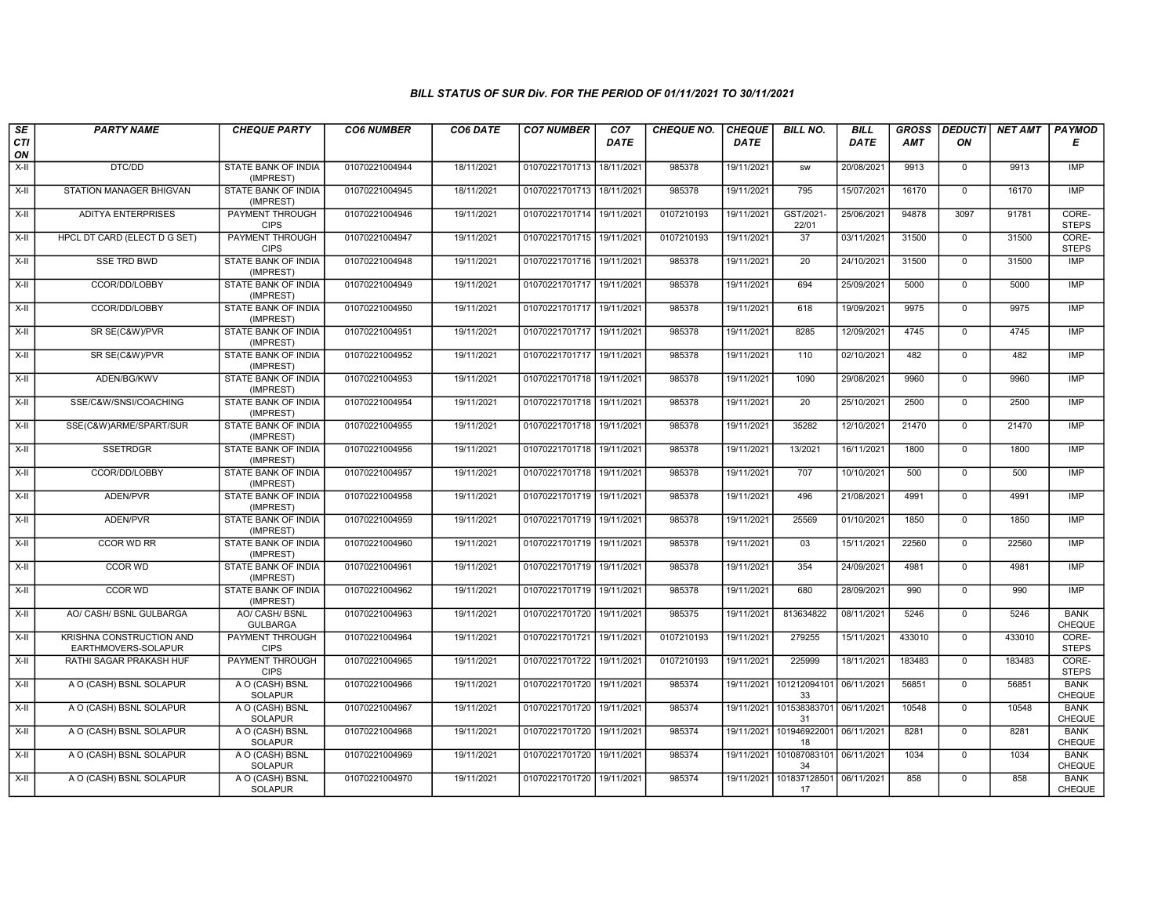| SE        | <b>PARTY NAME</b>                                      | <b>CHEQUE PARTY</b>                     | <b>CO6 NUMBER</b> | CO6 DATE   | <b>CO7 NUMBER</b>         | CO7         | <b>CHEQUE NO.</b> | <b>CHEQUE</b> | <b>BILL NO.</b>               | <b>BILL</b> | <b>GROSS</b> | <b>DEDUCTI</b> | <b>NET AMT</b> | <b>PAYMOD</b>                |
|-----------|--------------------------------------------------------|-----------------------------------------|-------------------|------------|---------------------------|-------------|-------------------|---------------|-------------------------------|-------------|--------------|----------------|----------------|------------------------------|
| CTI<br>ON |                                                        |                                         |                   |            |                           | <b>DATE</b> |                   | <b>DATE</b>   |                               | DATE        | AMT          | ON             |                | Е                            |
| $X-II$    | DTC/DD                                                 | <b>STATE BANK OF INDIA</b><br>(IMPREST) | 01070221004944    | 18/11/2021 | 01070221701713            | 18/11/2021  | 985378            | 19/11/2021    | <b>SW</b>                     | 20/08/2021  | 9913         | $\mathbf 0$    | 9913           | IMP                          |
| $X-H$     | STATION MANAGER BHIGVAN                                | <b>STATE BANK OF INDIA</b><br>(IMPREST) | 01070221004945    | 18/11/2021 | 01070221701713 18/11/2021 |             | 985378            | 19/11/2021    | 795                           | 15/07/2021  | 16170        | $\Omega$       | 16170          | <b>IMP</b>                   |
| X-II      | <b>ADITYA ENTERPRISES</b>                              | PAYMENT THROUGH<br><b>CIPS</b>          | 01070221004946    | 19/11/2021 | 01070221701714 19/11/2021 |             | 0107210193        | 19/11/2021    | GST/2021-<br>22/01            | 25/06/2021  | 94878        | 3097           | 91781          | CORE-<br><b>STEPS</b>        |
| $X-II$    | HPCL DT CARD (ELECT D G SET)                           | <b>PAYMENT THROUGH</b><br><b>CIPS</b>   | 01070221004947    | 19/11/2021 | 01070221701715 19/11/2021 |             | 0107210193        | 19/11/2021    | $\overline{37}$               | 03/11/2021  | 31500        | $\mathbf 0$    | 31500          | CORE-<br><b>STEPS</b>        |
| $X-H$     | <b>SSE TRD BWD</b>                                     | <b>STATE BANK OF INDIA</b><br>(IMPREST) | 01070221004948    | 19/11/2021 | 01070221701716 19/11/2021 |             | 985378            | 19/11/2021    | $\overline{20}$               | 24/10/2021  | 31500        | $\mathbf 0$    | 31500          | <b>IMP</b>                   |
| $X-H$     | CCOR/DD/LOBBY                                          | <b>STATE BANK OF INDIA</b><br>(IMPREST) | 01070221004949    | 19/11/2021 | 01070221701717 19/11/2021 |             | 985378            | 19/11/2021    | 694                           | 25/09/2021  | 5000         | $\overline{0}$ | 5000           | <b>IMP</b>                   |
| X-II      | CCOR/DD/LOBBY                                          | STATE BANK OF INDIA<br>(IMPREST)        | 01070221004950    | 19/11/2021 | 01070221701717 19/11/2021 |             | 985378            | 19/11/2021    | 618                           | 19/09/2021  | 9975         | $\mathbf 0$    | 9975           | <b>IMP</b>                   |
| $X-II$    | SR SE(C&W)/PVR                                         | <b>STATE BANK OF INDIA</b><br>(IMPREST) | 01070221004951    | 19/11/2021 | 01070221701717 19/11/2021 |             | 985378            | 19/11/2021    | 8285                          | 12/09/2021  | 4745         | $\overline{0}$ | 4745           | IMP                          |
| $X-H$     | SR SE(C&W)/PVR                                         | <b>STATE BANK OF INDIA</b><br>(IMPREST) | 01070221004952    | 19/11/2021 | 01070221701717 19/11/2021 |             | 985378            | 19/11/2021    | 110                           | 02/10/2021  | 482          | $\mathbf 0$    | 482            | <b>IMP</b>                   |
| X-II      | ADEN/BG/KWV                                            | STATE BANK OF INDIA<br>(IMPREST)        | 01070221004953    | 19/11/2021 | 01070221701718 19/11/2021 |             | 985378            | 19/11/2021    | 1090                          | 29/08/2021  | 9960         | $\mathbf 0$    | 9960           | <b>IMP</b>                   |
| $X-H$     | SSE/C&W/SNSI/COACHING                                  | STATE BANK OF INDIA<br>(IMPREST)        | 01070221004954    | 19/11/2021 | 01070221701718 19/11/2021 |             | 985378            | 19/11/2021    | 20                            | 25/10/2021  | 2500         | $\mathbf 0$    | 2500           | <b>IMP</b>                   |
| X-II      | SSE(C&W)ARME/SPART/SUR                                 | STATE BANK OF INDIA<br>(IMPREST)        | 01070221004955    | 19/11/2021 | 01070221701718 19/11/2021 |             | 985378            | 19/11/2021    | 35282                         | 12/10/2021  | 21470        | $\mathbf 0$    | 21470          | <b>IMP</b>                   |
| $X-H$     | <b>SSETRDGR</b>                                        | <b>STATE BANK OF INDIA</b><br>(IMPREST) | 01070221004956    | 19/11/2021 | 01070221701718 19/11/2021 |             | 985378            | 19/11/2021    | 13/2021                       | 16/11/2021  | 1800         | $\mathbf 0$    | 1800           | <b>IMP</b>                   |
| X-II      | CCOR/DD/LOBBY                                          | <b>STATE BANK OF INDIA</b><br>(IMPREST) | 01070221004957    | 19/11/2021 | 01070221701718 19/11/2021 |             | 985378            | 19/11/2021    | 707                           | 10/10/2021  | 500          | $\mathbf 0$    | 500            | <b>IMP</b>                   |
| X-II      | ADEN/PVR                                               | <b>STATE BANK OF INDIA</b><br>(IMPREST) | 01070221004958    | 19/11/2021 | 01070221701719            | 19/11/2021  | 985378            | 19/11/2021    | 496                           | 21/08/2021  | 4991         | $\Omega$       | 4991           | <b>IMP</b>                   |
| $X-H$     | ADEN/PVR                                               | STATE BANK OF INDIA<br>(IMPREST)        | 01070221004959    | 19/11/2021 | 01070221701719 19/11/2021 |             | 985378            | 19/11/2021    | 25569                         | 01/10/2021  | 1850         | $\mathbf 0$    | 1850           | <b>IMP</b>                   |
| $X-H$     | <b>CCOR WD RR</b>                                      | STATE BANK OF INDIA<br>(IMPREST)        | 01070221004960    | 19/11/2021 | 01070221701719 19/11/2021 |             | 985378            | 19/11/2021    | 03                            | 15/11/2021  | 22560        | $\overline{0}$ | 22560          | <b>IMP</b>                   |
| $X-H$     | <b>CCOR WD</b>                                         | <b>STATE BANK OF INDIA</b><br>(IMPREST) | 01070221004961    | 19/11/2021 | 01070221701719 19/11/2021 |             | 985378            | 19/11/2021    | 354                           | 24/09/2021  | 4981         | $\mathbf 0$    | 4981           | <b>IMP</b>                   |
| X-II      | CCOR WD                                                | STATE BANK OF INDIA<br>(IMPREST)        | 01070221004962    | 19/11/2021 | 01070221701719 19/11/2021 |             | 985378            | 19/11/2021    | 680                           | 28/09/2021  | 990          | $\mathbf 0$    | 990            | <b>IMP</b>                   |
| X-II      | AO/ CASH/ BSNL GULBARGA                                | AO/ CASH/ BSNL<br><b>GULBARGA</b>       | 01070221004963    | 19/11/2021 | 01070221701720            | 19/11/2021  | 985375            | 19/11/2021    | 813634822                     | 08/11/2021  | 5246         | $\mathbf{0}$   | 5246           | <b>BANK</b><br>CHEQUE        |
| X-II      | <b>KRISHNA CONSTRUCTION AND</b><br>EARTHMOVERS-SOLAPUR | <b>PAYMENT THROUGH</b><br><b>CIPS</b>   | 01070221004964    | 19/11/2021 | 01070221701721 19/11/2021 |             | 0107210193        | 19/11/2021    | 279255                        | 15/11/2021  | 433010       | $\mathbf 0$    | 433010         | CORE-<br><b>STEPS</b>        |
| $X-H$     | <b>RATHI SAGAR PRAKASH HUF</b>                         | <b>PAYMENT THROUGH</b><br><b>CIPS</b>   | 01070221004965    | 19/11/2021 | 01070221701722 19/11/2021 |             | 0107210193        | 19/11/2021    | 225999                        | 18/11/2021  | 183483       | $\overline{0}$ | 183483         | CORE-<br><b>STEPS</b>        |
| $X-H$     | A O (CASH) BSNL SOLAPUR                                | A O (CASH) BSNL<br><b>SOLAPUR</b>       | 01070221004966    | 19/11/2021 | 01070221701720            | 19/11/2021  | 985374            | 19/11/2021    | 101212094101<br>33            | 06/11/2021  | 56851        | $\mathbf 0$    | 56851          | <b>BANK</b><br>CHEQUE        |
| X-II      | A O (CASH) BSNL SOLAPUR                                | A O (CASH) BSNL<br><b>SOLAPUR</b>       | 01070221004967    | 19/11/2021 | 01070221701720 19/11/2021 |             | 985374            | 19/11/2021    | 101538383701<br>31            | 06/11/2021  | 10548        | $\Omega$       | 10548          | <b>BANK</b><br><b>CHEQUE</b> |
| $X-II$    | A O (CASH) BSNL SOLAPUR                                | A O (CASH) BSNL<br><b>SOLAPUR</b>       | 01070221004968    | 19/11/2021 | 01070221701720 19/11/2021 |             | 985374            | 19/11/2021    | 101946922001<br>18            | 06/11/2021  | 8281         | $\mathbf{0}$   | 8281           | <b>BANK</b><br>CHEQUE        |
| X-II      | A O (CASH) BSNL SOLAPUR                                | A O (CASH) BSNL<br><b>SOLAPUR</b>       | 01070221004969    | 19/11/2021 | 01070221701720 19/11/2021 |             | 985374            | 19/11/2021    | 101087083101<br>34            | 06/11/2021  | 1034         | $\mathbf 0$    | 1034           | <b>BANK</b><br><b>CHEQUE</b> |
| X-II      | A O (CASH) BSNL SOLAPUR                                | A O (CASH) BSNL<br><b>SOLAPUR</b>       | 01070221004970    | 19/11/2021 | 01070221701720 19/11/2021 |             | 985374            | 19/11/2021    | 101837128501 06/11/2021<br>17 |             | 858          | $\mathbf 0$    | 858            | <b>BANK</b><br><b>CHEQUE</b> |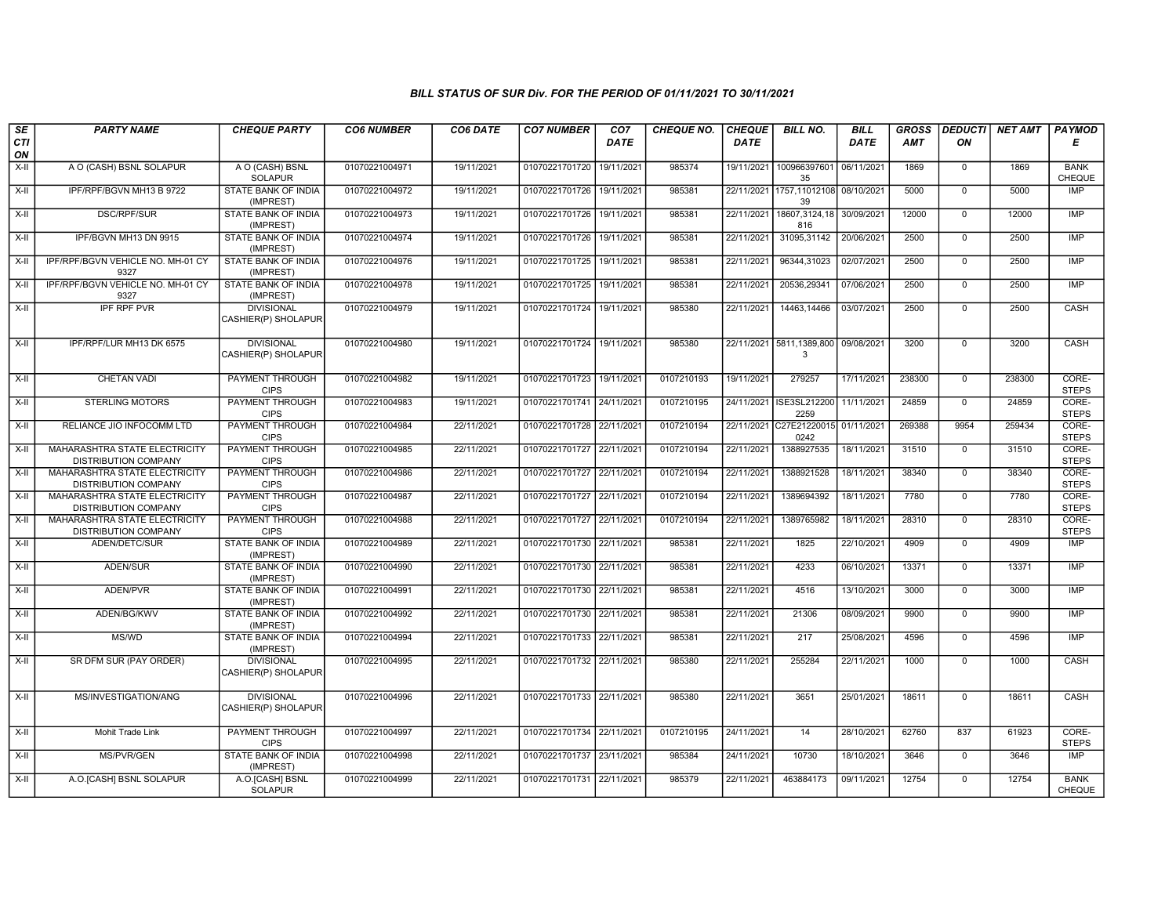| SE               | <b>PARTY NAME</b>                                            | <b>CHEQUE PARTY</b>                      | <b>CO6 NUMBER</b> | CO6 DATE   | <b>CO7 NUMBER</b>         | CO7         | <b>CHEQUE NO.</b> | <b>CHEQUE</b> | <b>BILL NO.</b>               | <b>BILL</b> | <b>GROSS</b> | <b>DEDUCTI</b> | <b>NET AMT</b> | PAYMOD                       |
|------------------|--------------------------------------------------------------|------------------------------------------|-------------------|------------|---------------------------|-------------|-------------------|---------------|-------------------------------|-------------|--------------|----------------|----------------|------------------------------|
| <b>CTI</b><br>ON |                                                              |                                          |                   |            |                           | <b>DATE</b> |                   | <b>DATE</b>   |                               | DATE        | <b>AMT</b>   | ON             |                | Е                            |
| $X-II$           | A O (CASH) BSNL SOLAPUR                                      | A O (CASH) BSNL<br><b>SOLAPUR</b>        | 01070221004971    | 19/11/2021 | 01070221701720            | 19/11/2021  | 985374            | 19/11/2021    | 100966397601<br>35            | 06/11/2021  | 1869         | $\mathbf 0$    | 1869           | <b>BANK</b><br><b>CHEQUE</b> |
| $X-H$            | IPF/RPF/BGVN MH13 B 9722                                     | <b>STATE BANK OF INDIA</b><br>(IMPREST)  | 01070221004972    | 19/11/2021 | 01070221701726 19/11/2021 |             | 985381            | 22/11/2021    | 1757,11012108<br>39           | 08/10/2021  | 5000         | $\mathbf 0$    | 5000           | <b>IMP</b>                   |
| X-II             | DSC/RPF/SUR                                                  | STATE BANK OF INDIA<br>(IMPREST)         | 01070221004973    | 19/11/2021 | 01070221701726 19/11/2021 |             | 985381            | 22/11/2021    | 18607,3124,18<br>816          | 30/09/2021  | 12000        | $\mathbf 0$    | 12000          | <b>IMP</b>                   |
| $X-II$           | IPF/BGVN MH13 DN 9915                                        | <b>STATE BANK OF INDIA</b><br>(IMPREST)  | 01070221004974    | 19/11/2021 | 01070221701726            | 19/11/2021  | 985381            | 22/11/2021    | 31095,31142                   | 20/06/2021  | 2500         | $\overline{0}$ | 2500           | IMP                          |
| X-II             | IPF/RPF/BGVN VEHICLE NO. MH-01 CY<br>9327                    | STATE BANK OF INDIA<br>(IMPREST)         | 01070221004976    | 19/11/2021 | 01070221701725 19/11/2021 |             | 985381            | 22/11/2021    | 96344,31023                   | 02/07/2021  | 2500         | $\mathbf 0$    | 2500           | <b>IMP</b>                   |
| X-II             | IPF/RPF/BGVN VEHICLE NO. MH-01 CY<br>9327                    | STATE BANK OF INDIA<br>(IMPREST)         | 01070221004978    | 19/11/2021 | 01070221701725 19/11/2021 |             | 985381            | 22/11/2021    | 20536,29341                   | 07/06/2021  | 2500         | $\mathbf 0$    | 2500           | IMP                          |
| $X-H$            | <b>IPF RPF PVR</b>                                           | <b>DIVISIONAL</b><br>CASHIER(P) SHOLAPUR | 01070221004979    | 19/11/2021 | 01070221701724            | 19/11/2021  | 985380            | 22/11/2021    | 14463,14466                   | 03/07/2021  | 2500         | $\mathbf{0}$   | 2500           | CASH                         |
| $X-H$            | IPF/RPF/LUR MH13 DK 6575                                     | <b>DIVISIONAL</b><br>CASHIER(P) SHOLAPUR | 01070221004980    | 19/11/2021 | 01070221701724 19/11/2021 |             | 985380            |               | 22/11/2021 5811,1389,800<br>3 | 09/08/2021  | 3200         | $\mathbf 0$    | 3200           | <b>CASH</b>                  |
| $X-II$           | <b>CHETAN VADI</b>                                           | PAYMENT THROUGH<br><b>CIPS</b>           | 01070221004982    | 19/11/2021 | 01070221701723            | 19/11/2021  | 0107210193        | 19/11/2021    | 279257                        | 17/11/2021  | 238300       | $\mathbf{0}$   | 238300         | CORE-<br><b>STEPS</b>        |
| $X-H$            | <b>STERLING MOTORS</b>                                       | <b>PAYMENT THROUGH</b><br><b>CIPS</b>    | 01070221004983    | 19/11/2021 | 01070221701741 24/11/2021 |             | 0107210195        | 24/11/2021    | ISE3SL212200<br>2259          | 11/11/2021  | 24859        | $\overline{0}$ | 24859          | CORE-<br><b>STEPS</b>        |
| X-II             | RELIANCE JIO INFOCOMM LTD                                    | PAYMENT THROUGH<br><b>CIPS</b>           | 01070221004984    | 22/11/2021 | 01070221701728 22/11/2021 |             | 0107210194        | 22/11/2021    | C27E21220015<br>0242          | 01/11/2021  | 269388       | 9954           | 259434         | CORE-<br><b>STEPS</b>        |
| X-II             | MAHARASHTRA STATE ELECTRICITY<br><b>DISTRIBUTION COMPANY</b> | PAYMENT THROUGH<br><b>CIPS</b>           | 01070221004985    | 22/11/2021 | 01070221701727 22/11/202  |             | 0107210194        | 22/11/2021    | 1388927535                    | 18/11/2021  | 31510        | $\mathbf 0$    | 31510          | CORE-<br><b>STEPS</b>        |
| $X-II$           | MAHARASHTRA STATE ELECTRICITY<br><b>DISTRIBUTION COMPANY</b> | <b>PAYMENT THROUGH</b><br><b>CIPS</b>    | 01070221004986    | 22/11/2021 | 01070221701727 22/11/2021 |             | 0107210194        | 22/11/2021    | 1388921528                    | 18/11/2021  | 38340        | $\mathbf 0$    | 38340          | CORE-<br><b>STEPS</b>        |
| $X-II$           | MAHARASHTRA STATE ELECTRICITY<br>DISTRIBUTION COMPANY        | <b>PAYMENT THROUGH</b><br><b>CIPS</b>    | 01070221004987    | 22/11/2021 | 01070221701727 22/11/2021 |             | 0107210194        | 22/11/2021    | 1389694392                    | 18/11/2021  | 7780         | $\mathbf 0$    | 7780           | CORE-<br><b>STEPS</b>        |
| $X-II$           | MAHARASHTRA STATE ELECTRICITY<br>DISTRIBUTION COMPANY        | <b>PAYMENT THROUGH</b><br><b>CIPS</b>    | 01070221004988    | 22/11/2021 | 01070221701727 22/11/2021 |             | 0107210194        | 22/11/2021    | 1389765982                    | 18/11/2021  | 28310        | $\overline{0}$ | 28310          | CORE-<br><b>STEPS</b>        |
| X-II             | ADEN/DETC/SUR                                                | STATE BANK OF INDIA<br>(IMPREST)         | 01070221004989    | 22/11/2021 | 01070221701730 22/11/2021 |             | 985381            | 22/11/2021    | 1825                          | 22/10/2021  | 4909         | $\mathbf 0$    | 4909           | <b>IMP</b>                   |
| $X-II$           | ADEN/SUR                                                     | STATE BANK OF INDIA<br>(IMPREST)         | 01070221004990    | 22/11/2021 | 01070221701730 22/11/2021 |             | 985381            | 22/11/2021    | 4233                          | 06/10/2021  | 13371        | $\mathbf 0$    | 13371          | <b>IMP</b>                   |
| $X-H$            | ADEN/PVR                                                     | <b>STATE BANK OF INDIA</b><br>(IMPREST)  | 01070221004991    | 22/11/2021 | 01070221701730 22/11/2021 |             | 985381            | 22/11/2021    | 4516                          | 13/10/2021  | 3000         | $\mathbf 0$    | 3000           | <b>IMP</b>                   |
| X-II             | ADEN/BG/KWV                                                  | STATE BANK OF INDIA<br>(IMPREST)         | 01070221004992    | 22/11/2021 | 01070221701730 22/11/2021 |             | 985381            | 22/11/2021    | 21306                         | 08/09/2021  | 9900         | $\mathbf{0}$   | 9900           | <b>IMP</b>                   |
| X-II             | MS/WD                                                        | STATE BANK OF INDIA<br>(IMPREST)         | 01070221004994    | 22/11/2021 | 01070221701733 22/11/2021 |             | 985381            | 22/11/2021    | 217                           | 25/08/2021  | 4596         | $\mathbf 0$    | 4596           | <b>IMP</b>                   |
| $X-II$           | SR DFM SUR (PAY ORDER)                                       | <b>DIVISIONAL</b><br>CASHIER(P) SHOLAPUR | 01070221004995    | 22/11/2021 | 01070221701732 22/11/2021 |             | 985380            | 22/11/2021    | 255284                        | 22/11/2021  | 1000         | $\mathbf{0}$   | 1000           | CASH                         |
| $X-H$            | MS/INVESTIGATION/ANG                                         | <b>DIVISIONAL</b><br>CASHIER(P) SHOLAPUR | 01070221004996    | 22/11/2021 | 01070221701733 22/11/2021 |             | 985380            | 22/11/2021    | 3651                          | 25/01/2021  | 18611        | $\mathbf{0}$   | 18611          | CASH                         |
| X-II             | Mohit Trade Link                                             | <b>PAYMENT THROUGH</b><br><b>CIPS</b>    | 01070221004997    | 22/11/2021 | 01070221701734 22/11/2021 |             | 0107210195        | 24/11/2021    | 14                            | 28/10/2021  | 62760        | 837            | 61923          | CORE-<br><b>STEPS</b>        |
| X-II             | MS/PVR/GEN                                                   | <b>STATE BANK OF INDIA</b><br>IMPREST)   | 01070221004998    | 22/11/2021 | 01070221701737 23/11/2021 |             | 985384            | 24/11/2021    | 10730                         | 18/10/2021  | 3646         | $\mathsf{O}$   | 3646           | <b>IMP</b>                   |
| X-II             | A.O.[CASH] BSNL SOLAPUR                                      | A.O.[CASH] BSNL<br><b>SOLAPUR</b>        | 01070221004999    | 22/11/2021 | 01070221701731 22/11/2021 |             | 985379            | 22/11/2021    | 463884173                     | 09/11/2021  | 12754        | $\mathbf 0$    | 12754          | <b>BANK</b><br><b>CHEQUE</b> |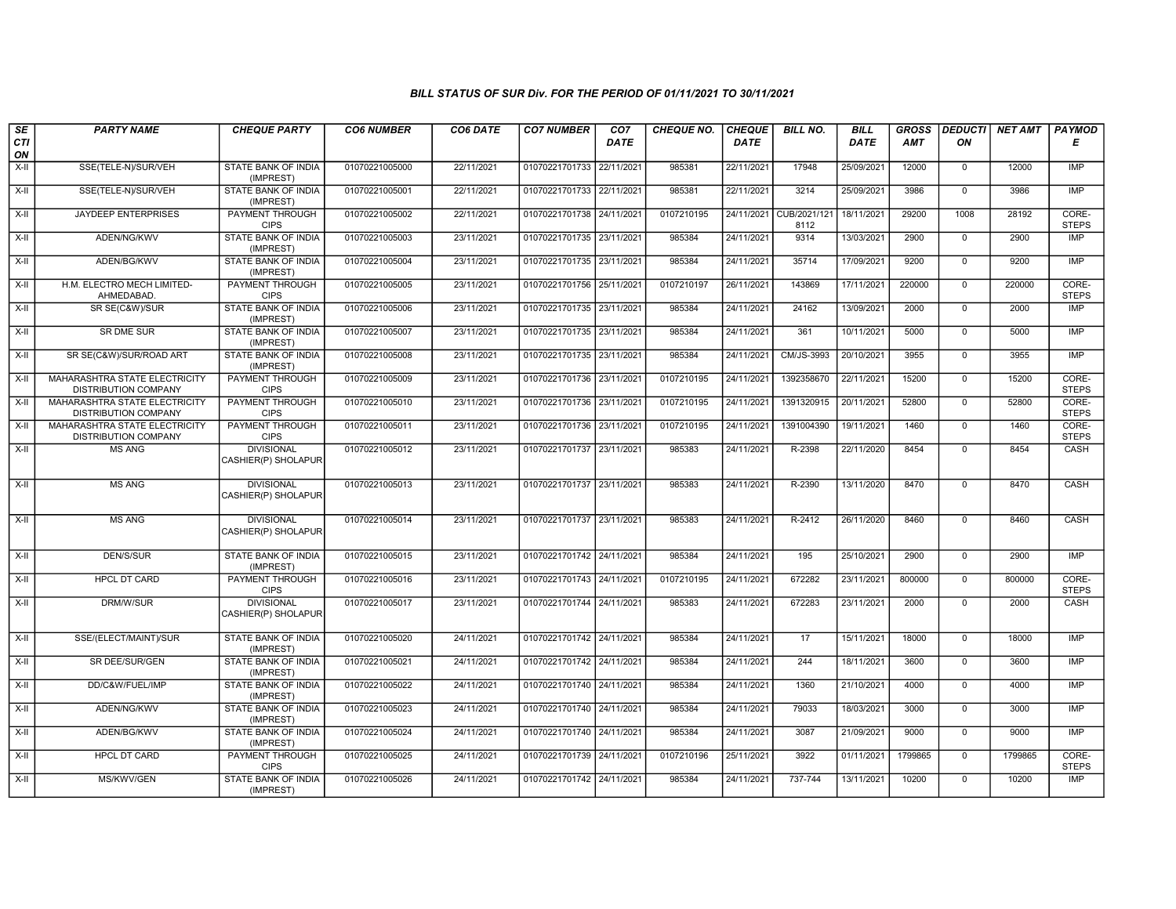| SE        | <b>PARTY NAME</b>                                                   | <b>CHEQUE PARTY</b>                      | <b>CO6 NUMBER</b> | CO6 DATE   | <b>CO7 NUMBER</b>         | CO <sub>7</sub> | CHEQUE NO. | <b>CHEQUE</b> | <b>BILL NO.</b>      | <b>BILL</b> | <b>GROSS</b> | <b>DEDUCTI</b> | NET AMT | PAYMOD                |
|-----------|---------------------------------------------------------------------|------------------------------------------|-------------------|------------|---------------------------|-----------------|------------|---------------|----------------------|-------------|--------------|----------------|---------|-----------------------|
| CTI<br>ON |                                                                     |                                          |                   |            |                           | <b>DATE</b>     |            | <b>DATE</b>   |                      | <b>DATE</b> | AMT          | ON             |         | Е                     |
| $X-H$     | SSE(TELE-N)/SUR/VEH                                                 | <b>STATE BANK OF INDIA</b><br>(IMPREST)  | 01070221005000    | 22/11/2021 | 01070221701733            | 22/11/2021      | 985381     | 22/11/2021    | 17948                | 25/09/2021  | 12000        | $\overline{0}$ | 12000   | <b>IMP</b>            |
| $X-H$     | SSE(TELE-N)/SUR/VEH                                                 | <b>STATE BANK OF INDIA</b><br>(IMPREST)  | 01070221005001    | 22/11/2021 | 01070221701733 22/11/2021 |                 | 985381     | 22/11/2021    | 3214                 | 25/09/2021  | 3986         | $\overline{0}$ | 3986    | <b>IMP</b>            |
| X-II      | <b>JAYDEEP ENTERPRISES</b>                                          | PAYMENT THROUGH<br><b>CIPS</b>           | 01070221005002    | 22/11/2021 | 01070221701738 24/11/2021 |                 | 0107210195 | 24/11/2021    | CUB/2021/121<br>8112 | 18/11/2021  | 29200        | 1008           | 28192   | CORE-<br><b>STEPS</b> |
| $X-II$    | ADEN/NG/KWV                                                         | STATE BANK OF INDIA<br>(IMPREST)         | 01070221005003    | 23/11/2021 | 01070221701735 23/11/2021 |                 | 985384     | 24/11/2021    | 9314                 | 13/03/2021  | 2900         | $\overline{0}$ | 2900    | IMP                   |
| $X-H$     | ADEN/BG/KWV                                                         | <b>STATE BANK OF INDIA</b><br>(IMPREST)  | 01070221005004    | 23/11/2021 | 01070221701735 23/11/2021 |                 | 985384     | 24/11/2021    | 35714                | 17/09/2021  | 9200         | $\overline{0}$ | 9200    | IMP                   |
| X-II      | H.M. ELECTRO MECH LIMITED-<br>AHMEDABAD.                            | <b>PAYMENT THROUGH</b><br><b>CIPS</b>    | 01070221005005    | 23/11/2021 | 01070221701756 25/11/2021 |                 | 0107210197 | 26/11/2021    | 143869               | 17/11/2021  | 220000       | $\overline{0}$ | 220000  | CORE-<br><b>STEPS</b> |
| X-II      | SR SE(C&W)/SUR                                                      | STATE BANK OF INDIA<br>(IMPREST)         | 01070221005006    | 23/11/2021 | 01070221701735 23/11/2021 |                 | 985384     | 24/11/2021    | 24162                | 13/09/2021  | 2000         | $\mathbf{0}$   | 2000    | IMP                   |
| $X-H$     | <b>SR DME SUR</b>                                                   | <b>STATE BANK OF INDIA</b><br>(IMPREST)  | 01070221005007    | 23/11/2021 | 01070221701735 23/11/2021 |                 | 985384     | 24/11/2021    | 361                  | 10/11/2021  | 5000         | $\overline{0}$ | 5000    | IMP                   |
| $X-H$     | SR SE(C&W)/SUR/ROAD ART                                             | <b>STATE BANK OF INDIA</b><br>(IMPREST)  | 01070221005008    | 23/11/2021 | 01070221701735 23/11/2021 |                 | 985384     | 24/11/2021    | CM/JS-3993           | 20/10/2021  | 3955         | $\overline{0}$ | 3955    | <b>IMP</b>            |
| $X-H$     | MAHARASHTRA STATE ELECTRICITY<br>DISTRIBUTION COMPANY               | <b>PAYMENT THROUGH</b><br><b>CIPS</b>    | 01070221005009    | 23/11/2021 | 01070221701736 23/11/2021 |                 | 0107210195 | 24/11/2021    | 1392358670           | 22/11/2021  | 15200        | $\overline{0}$ | 15200   | CORE-<br><b>STEPS</b> |
| $X-II$    | MAHARASHTRA STATE ELECTRICITY<br><b>DISTRIBUTION COMPANY</b>        | PAYMENT THROUGH<br><b>CIPS</b>           | 01070221005010    | 23/11/2021 | 01070221701736 23/11/2021 |                 | 0107210195 | 24/11/2021    | 1391320915           | 20/11/2021  | 52800        | $\mathbf 0$    | 52800   | CORE-<br><b>STEPS</b> |
| $X-H$     | <b>MAHARASHTRA STATE ELECTRICITY</b><br><b>DISTRIBUTION COMPANY</b> | PAYMENT THROUGH<br><b>CIPS</b>           | 01070221005011    | 23/11/2021 | 01070221701736 23/11/2021 |                 | 0107210195 | 24/11/2021    | 1391004390           | 19/11/2021  | 1460         | $\mathbf{0}$   | 1460    | CORE-<br><b>STEPS</b> |
| $X-H$     | <b>MS ANG</b>                                                       | <b>DIVISIONAL</b><br>CASHIER(P) SHOLAPUR | 01070221005012    | 23/11/2021 | 01070221701737 23/11/2021 |                 | 985383     | 24/11/2021    | R-2398               | 22/11/2020  | 8454         | $\overline{0}$ | 8454    | <b>CASH</b>           |
| X-II      | <b>MS ANG</b>                                                       | <b>DIVISIONAL</b><br>CASHIER(P) SHOLAPUR | 01070221005013    | 23/11/2021 | 01070221701737 23/11/2021 |                 | 985383     | 24/11/2021    | R-2390               | 13/11/2020  | 8470         | $\mathbf{0}$   | 8470    | CASH                  |
| X-II      | <b>MS ANG</b>                                                       | <b>DIVISIONAL</b><br>CASHIER(P) SHOLAPUR | 01070221005014    | 23/11/2021 | 01070221701737 23/11/2021 |                 | 985383     | 24/11/2021    | R-2412               | 26/11/2020  | 8460         | $\mathbf 0$    | 8460    | CASH                  |
| X-II      | <b>DEN/S/SUR</b>                                                    | <b>STATE BANK OF INDIA</b><br>(IMPREST)  | 01070221005015    | 23/11/2021 | 01070221701742 24/11/2021 |                 | 985384     | 24/11/2021    | 195                  | 25/10/2021  | 2900         | $\mathsf{O}$   | 2900    | <b>IMP</b>            |
| $X-H$     | <b>HPCL DT CARD</b>                                                 | <b>PAYMENT THROUGH</b><br><b>CIPS</b>    | 01070221005016    | 23/11/2021 | 01070221701743 24/11/2021 |                 | 0107210195 | 24/11/2021    | 672282               | 23/11/2021  | 800000       | $\overline{0}$ | 800000  | CORE-<br><b>STEPS</b> |
| X-II      | DRM/W/SUR                                                           | <b>DIVISIONAL</b><br>CASHIER(P) SHOLAPUR | 01070221005017    | 23/11/2021 | 01070221701744 24/11/2021 |                 | 985383     | 24/11/2021    | 672283               | 23/11/2021  | 2000         | $\mathbf 0$    | 2000    | CASH                  |
| X-II      | SSE/(ELECT/MAINT)/SUR                                               | <b>STATE BANK OF INDIA</b><br>(IMPREST)  | 01070221005020    | 24/11/2021 | 01070221701742 24/11/2021 |                 | 985384     | 24/11/2021    | 17                   | 15/11/2021  | 18000        | $\mathbf 0$    | 18000   | <b>IMP</b>            |
| X-II      | SR DEE/SUR/GEN                                                      | STATE BANK OF INDIA<br>(IMPREST)         | 01070221005021    | 24/11/2021 | 01070221701742 24/11/2021 |                 | 985384     | 24/11/2021    | 244                  | 18/11/2021  | 3600         | $\mathbf 0$    | 3600    | <b>IMP</b>            |
| $X-II$    | DD/C&W/FUEL/IMP                                                     | STATE BANK OF INDIA<br>(IMPREST)         | 01070221005022    | 24/11/2021 | 01070221701740 24/11/2021 |                 | 985384     | 24/11/2021    | 1360                 | 21/10/2021  | 4000         | $\overline{0}$ | 4000    | IMP                   |
| $X-II$    | ADEN/NG/KWV                                                         | <b>STATE BANK OF INDIA</b><br>(IMPREST)  | 01070221005023    | 24/11/2021 | 01070221701740 24/11/2021 |                 | 985384     | 24/11/2021    | 79033                | 18/03/2021  | 3000         | $\overline{0}$ | 3000    | <b>IMP</b>            |
| X-II      | ADEN/BG/KWV                                                         | <b>STATE BANK OF INDIA</b><br>(IMPREST)  | 01070221005024    | 24/11/2021 | 01070221701740 24/11/2021 |                 | 985384     | 24/11/2021    | 3087                 | 21/09/2021  | 9000         | $\overline{0}$ | 9000    | <b>IMP</b>            |
| $X-II$    | <b>HPCL DT CARD</b>                                                 | PAYMENT THROUGH<br><b>CIPS</b>           | 01070221005025    | 24/11/2021 | 01070221701739            | 24/11/2021      | 0107210196 | 25/11/2021    | 3922                 | 01/11/2021  | 1799865      | $\mathsf 0$    | 1799865 | CORE-<br><b>STEPS</b> |
| X-II      | MS/KWV/GEN                                                          | STATE BANK OF INDIA<br>(IMPREST)         | 01070221005026    | 24/11/2021 | 01070221701742 24/11/2021 |                 | 985384     | 24/11/2021    | 737-744              | 13/11/2021  | 10200        | $\mathbf{0}$   | 10200   | <b>IMP</b>            |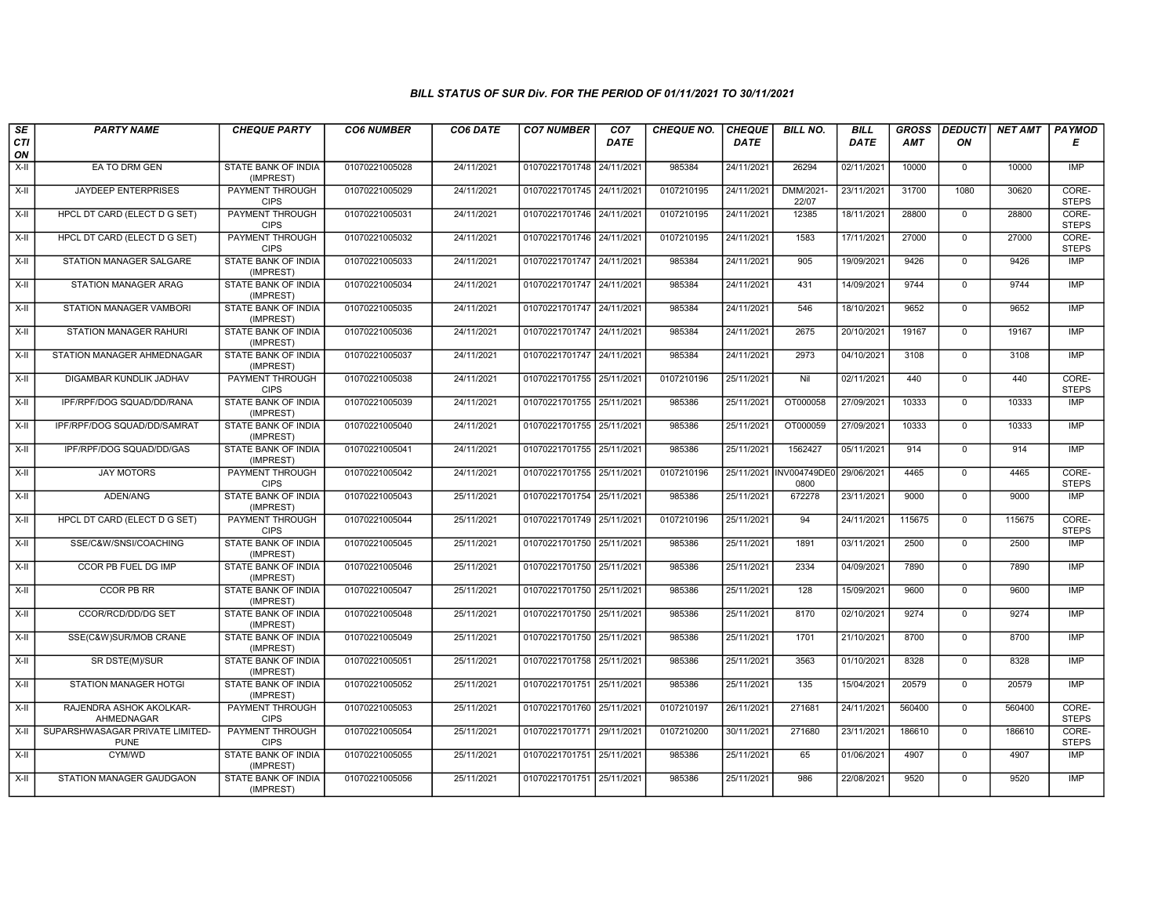| SE        | <b>PARTY NAME</b>                              | <b>CHEQUE PARTY</b>                     | <b>CO6 NUMBER</b> | CO6 DATE   | <b>CO7 NUMBER</b>         | CO <sub>7</sub> | <b>CHEQUE NO.</b> | <b>CHEQUE</b> | <b>BILL NO.</b>     | <b>BILL</b> | <b>GROSS</b> | <b>DEDUCTI</b> | NET AMT | <b>PAYMOD</b>         |
|-----------|------------------------------------------------|-----------------------------------------|-------------------|------------|---------------------------|-----------------|-------------------|---------------|---------------------|-------------|--------------|----------------|---------|-----------------------|
| CTI<br>ON |                                                |                                         |                   |            |                           | <b>DATE</b>     |                   | <b>DATE</b>   |                     | DATE        | AMT          | ON             |         | Е                     |
| $X-H$     | EA TO DRM GEN                                  | STATE BANK OF INDIA<br>(IMPREST)        | 01070221005028    | 24/11/2021 | 01070221701748 24/11/2021 |                 | 985384            | 24/11/2021    | 26294               | 02/11/2021  | 10000        | $\mathbf 0$    | 10000   | <b>IMP</b>            |
| X-II      | <b>JAYDEEP ENTERPRISES</b>                     | <b>PAYMENT THROUGH</b><br><b>CIPS</b>   | 01070221005029    | 24/11/2021 | 01070221701745 24/11/2021 |                 | 0107210195        | 24/11/2021    | DMM/2021-<br>22/07  | 23/11/2021  | 31700        | 1080           | 30620   | CORE-<br><b>STEPS</b> |
| $X-H$     | <b>HPCL DT CARD (ELECT D G SET)</b>            | PAYMENT THROUGH<br><b>CIPS</b>          | 01070221005031    | 24/11/2021 | 01070221701746 24/11/2021 |                 | 0107210195        | 24/11/2021    | 12385               | 18/11/2021  | 28800        | $\mathbf 0$    | 28800   | CORE-<br><b>STEPS</b> |
| $X-II$    | HPCL DT CARD (ELECT D G SET)                   | PAYMENT THROUGH<br><b>CIPS</b>          | 01070221005032    | 24/11/2021 | 01070221701746 24/11/2021 |                 | 0107210195        | 24/11/2021    | 1583                | 17/11/2021  | 27000        | $\overline{0}$ | 27000   | CORE-<br><b>STEPS</b> |
| $X-H$     | STATION MANAGER SALGARE                        | <b>STATE BANK OF INDIA</b><br>(IMPREST) | 01070221005033    | 24/11/2021 | 01070221701747 24/11/2021 |                 | 985384            | 24/11/2021    | 905                 | 19/09/2021  | 9426         | $\mathbf 0$    | 9426    | IMP                   |
| X-II      | <b>STATION MANAGER ARAG</b>                    | <b>STATE BANK OF INDIA</b><br>(IMPREST) | 01070221005034    | 24/11/2021 | 01070221701747 24/11/2021 |                 | 985384            | 24/11/2021    | 431                 | 14/09/2021  | 9744         | $\Omega$       | 9744    | <b>IMP</b>            |
| X-II      | STATION MANAGER VAMBORI                        | STATE BANK OF INDIA<br>(IMPREST)        | 01070221005035    | 24/11/2021 | 01070221701747 24/11/2021 |                 | 985384            | 24/11/2021    | 546                 | 18/10/2021  | 9652         | $\mathbf{0}$   | 9652    | <b>IMP</b>            |
| X-II      | <b>STATION MANAGER RAHURI</b>                  | STATE BANK OF INDIA<br>(IMPREST)        | 01070221005036    | 24/11/2021 | 01070221701747 24/11/2021 |                 | 985384            | 24/11/2021    | 2675                | 20/10/2021  | 19167        | $\Omega$       | 19167   | <b>IMP</b>            |
| X-II      | STATION MANAGER AHMEDNAGAR                     | STATE BANK OF INDIA<br>(IMPREST)        | 01070221005037    | 24/11/2021 | 01070221701747 24/11/2021 |                 | 985384            | 24/11/2021    | 2973                | 04/10/2021  | 3108         | $\mathbf 0$    | 3108    | <b>IMP</b>            |
| $X-H$     | DIGAMBAR KUNDLIK JADHAV                        | <b>PAYMENT THROUGH</b><br><b>CIPS</b>   | 01070221005038    | 24/11/2021 | 01070221701755 25/11/2021 |                 | 0107210196        | 25/11/2021    | Nil                 | 02/11/2021  | 440          | $\overline{0}$ | 440     | CORE-<br><b>STEPS</b> |
| X-II      | IPF/RPF/DOG SQUAD/DD/RANA                      | STATE BANK OF INDIA<br>(IMPREST)        | 01070221005039    | 24/11/2021 | 01070221701755 25/11/2021 |                 | 985386            | 25/11/2021    | OT000058            | 27/09/2021  | 10333        | $\mathbf 0$    | 10333   | <b>IMP</b>            |
| $X-II$    | IPF/RPF/DOG SQUAD/DD/SAMRAT                    | STATE BANK OF INDIA<br>(IMPREST)        | 01070221005040    | 24/11/2021 | 01070221701755 25/11/2021 |                 | 985386            | 25/11/2021    | OT000059            | 27/09/2021  | 10333        | $\Omega$       | 10333   | IMP                   |
| X-II      | IPF/RPF/DOG SQUAD/DD/GAS                       | <b>STATE BANK OF INDIA</b><br>(IMPREST) | 01070221005041    | 24/11/2021 | 01070221701755 25/11/2021 |                 | 985386            | 25/11/2021    | 1562427             | 05/11/2021  | 914          | $\mathbf 0$    | 914     | <b>IMP</b>            |
| $X-H$     | <b>JAY MOTORS</b>                              | <b>PAYMENT THROUGH</b><br><b>CIPS</b>   | 01070221005042    | 24/11/2021 | 01070221701755 25/11/2021 |                 | 0107210196        | 25/11/2021    | NV004749DE0<br>0800 | 29/06/2021  | 4465         | $\mathbf 0$    | 4465    | CORE-<br><b>STEPS</b> |
| X-II      | ADEN/ANG                                       | STATE BANK OF INDIA<br>(IMPREST)        | 01070221005043    | 25/11/2021 | 01070221701754 25/11/2021 |                 | 985386            | 25/11/2021    | 672278              | 23/11/2021  | 9000         | $\Omega$       | 9000    | <b>IMP</b>            |
| X-II      | HPCL DT CARD (ELECT D G SET)                   | <b>PAYMENT THROUGH</b><br><b>CIPS</b>   | 01070221005044    | 25/11/2021 | 01070221701749 25/11/2021 |                 | 0107210196        | 25/11/2021    | 94                  | 24/11/2021  | 115675       | $\Omega$       | 115675  | CORE-<br><b>STEPS</b> |
| $X-H$     | SSE/C&W/SNSI/COACHING                          | <b>STATE BANK OF INDIA</b><br>(IMPREST) | 01070221005045    | 25/11/2021 | 01070221701750 25/11/2021 |                 | 985386            | 25/11/2021    | 1891                | 03/11/2021  | 2500         | $\mathbf{0}$   | 2500    | <b>IMP</b>            |
| $X-H$     | <b>CCOR PB FUEL DG IMP</b>                     | <b>STATE BANK OF INDIA</b><br>(IMPREST) | 01070221005046    | 25/11/2021 | 01070221701750 25/11/2021 |                 | 985386            | 25/11/2021    | 2334                | 04/09/2021  | 7890         | $\overline{0}$ | 7890    | <b>IMP</b>            |
| X-II      | <b>CCOR PB RR</b>                              | STATE BANK OF INDIA<br>(IMPREST)        | 01070221005047    | 25/11/2021 | 01070221701750 25/11/2021 |                 | 985386            | 25/11/2021    | 128                 | 15/09/2021  | 9600         | $\mathbf 0$    | 9600    | <b>IMP</b>            |
| $X-H$     | CCOR/RCD/DD/DG SET                             | STATE BANK OF INDIA<br>(IMPREST)        | 01070221005048    | 25/11/2021 | 01070221701750 25/11/2021 |                 | 985386            | 25/11/2021    | 8170                | 02/10/2021  | 9274         | $\Omega$       | 9274    | IMP                   |
| $X-II$    | SSE(C&W)SUR/MOB CRANE                          | STATE BANK OF INDIA<br>(IMPREST)        | 01070221005049    | 25/11/2021 | 01070221701750 25/11/2021 |                 | 985386            | 25/11/2021    | 1701                | 21/10/2021  | 8700         | $\mathbf{0}$   | 8700    | <b>IMP</b>            |
| X-II      | SR DSTE(M)/SUR                                 | <b>STATE BANK OF INDIA</b><br>(IMPREST) | 01070221005051    | 25/11/2021 | 01070221701758 25/11/2021 |                 | 985386            | 25/11/2021    | 3563                | 01/10/2021  | 8328         | $\mathbf 0$    | 8328    | <b>IMP</b>            |
| X-II      | STATION MANAGER HOTGI                          | STATE BANK OF INDIA<br>(IMPREST)        | 01070221005052    | 25/11/2021 | 01070221701751 25/11/2021 |                 | 985386            | 25/11/2021    | 135                 | 15/04/2021  | 20579        | $\mathbf 0$    | 20579   | <b>IMP</b>            |
| $X-H$     | RAJENDRA ASHOK AKOLKAR-<br>AHMEDNAGAR          | PAYMENT THROUGH<br><b>CIPS</b>          | 01070221005053    | 25/11/2021 | 01070221701760 25/11/2021 |                 | 0107210197        | 26/11/2021    | 271681              | 24/11/2021  | 560400       | $\mathbf{0}$   | 560400  | CORE-<br><b>STEPS</b> |
| $X-II$    | SUPARSHWASAGAR PRIVATE LIMITED-<br><b>PUNE</b> | <b>PAYMENT THROUGH</b><br><b>CIPS</b>   | 01070221005054    | 25/11/2021 | 01070221701771 29/11/2021 |                 | 0107210200        | 30/11/2021    | 271680              | 23/11/2021  | 186610       | $\Omega$       | 186610  | CORE-<br><b>STEPS</b> |
| $X-H$     | CYM/WD                                         | <b>STATE BANK OF INDIA</b><br>(IMPREST) | 01070221005055    | 25/11/2021 | 01070221701751 25/11/2021 |                 | 985386            | 25/11/2021    | 65                  | 01/06/2021  | 4907         | $\mathbf 0$    | 4907    | <b>IMP</b>            |
| $X-H$     | STATION MANAGER GAUDGAON                       | STATE BANK OF INDIA<br>(IMPREST)        | 01070221005056    | 25/11/2021 | 01070221701751 25/11/2021 |                 | 985386            | 25/11/2021    | 986                 | 22/08/2021  | 9520         | $\Omega$       | 9520    | <b>IMP</b>            |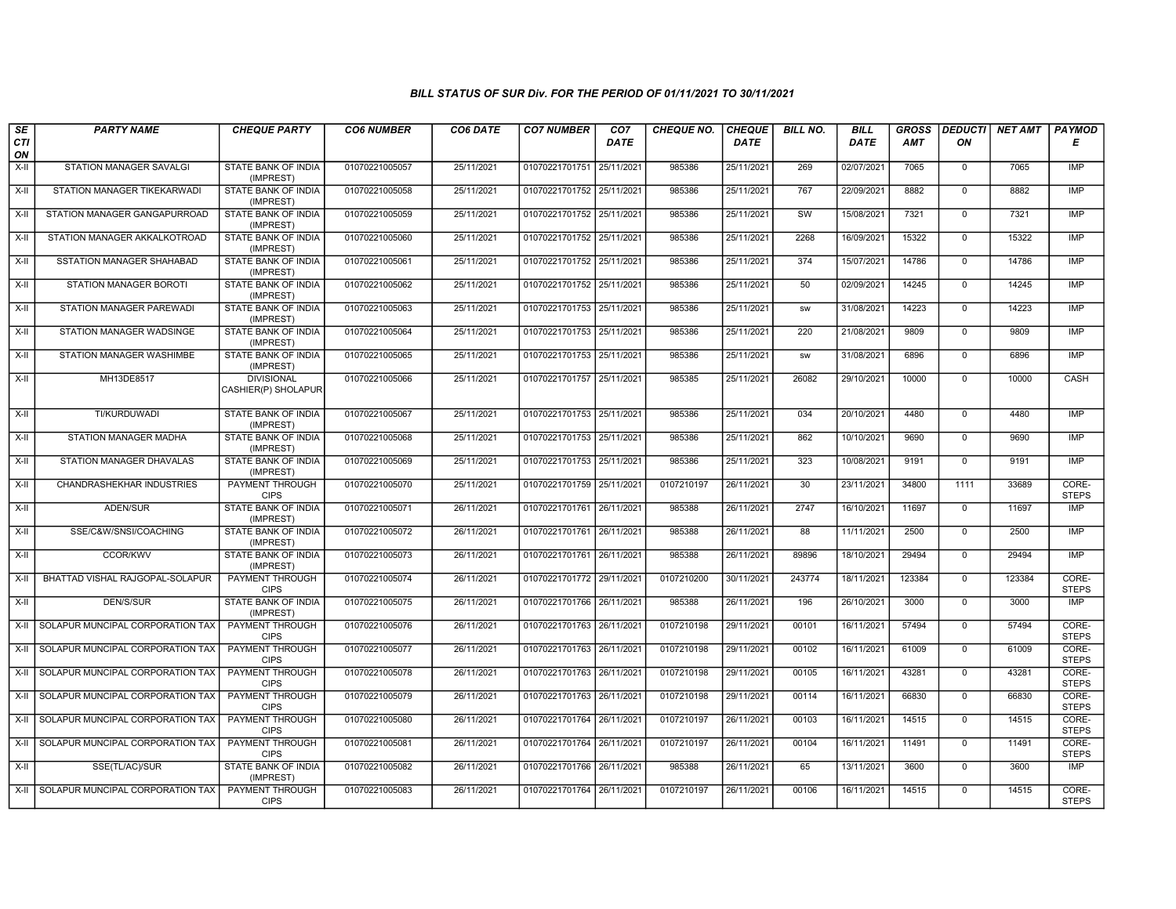| SE<br><b>CTI</b> | <b>PARTY NAME</b>                     | <b>CHEQUE PARTY</b>                      | <b>CO6 NUMBER</b> | CO6 DATE   | <b>CO7 NUMBER</b>         | CO <sub>7</sub><br><b>DATE</b> | <b>CHEQUE NO.</b> | <b>CHEQUE</b><br><b>DATE</b> | <b>BILL NO.</b> | <b>BILL</b><br><b>DATE</b> | <b>GROSS</b><br>AMT | ON           | <b>DEDUCTI NET AMT</b> | <b>PAYMOD</b><br>Е    |
|------------------|---------------------------------------|------------------------------------------|-------------------|------------|---------------------------|--------------------------------|-------------------|------------------------------|-----------------|----------------------------|---------------------|--------------|------------------------|-----------------------|
| ON               |                                       |                                          |                   |            |                           |                                |                   |                              |                 |                            |                     |              |                        |                       |
| X-II             | STATION MANAGER SAVALGI               | STATE BANK OF INDIA<br>(IMPREST)         | 01070221005057    | 25/11/2021 | 01070221701751 25/11/2021 |                                | 985386            | 25/11/2021                   | 269             | 02/07/2021                 | 7065                | $\mathbf 0$  | 7065                   | IMP                   |
| X-II             | STATION MANAGER TIKEKARWADI           | STATE BANK OF INDIA<br>(IMPREST)         | 01070221005058    | 25/11/2021 | 01070221701752 25/11/2021 |                                | 985386            | 25/11/2021                   | 767             | 22/09/2021                 | 8882                | $\Omega$     | 8882                   | IMP                   |
| $X-H$            | STATION MANAGER GANGAPURROAD          | <b>STATE BANK OF INDIA</b><br>(IMPREST)  | 01070221005059    | 25/11/2021 | 01070221701752 25/11/2021 |                                | 985386            | 25/11/2021                   | SW              | 15/08/2021                 | 7321                | $\mathbf 0$  | 7321                   | IMP                   |
| X-II             | STATION MANAGER AKKALKOTROAD          | STATE BANK OF INDIA<br>(IMPREST)         | 01070221005060    | 25/11/2021 | 01070221701752 25/11/2021 |                                | 985386            | 25/11/2021                   | 2268            | 16/09/2021                 | 15322               | $\mathbf{0}$ | 15322                  | IMP                   |
| X-II             | <b>SSTATION MANAGER SHAHABAD</b>      | <b>STATE BANK OF INDIA</b><br>(IMPREST)  | 01070221005061    | 25/11/2021 | 01070221701752 25/11/2021 |                                | 985386            | 25/11/2021                   | 374             | 15/07/2021                 | 14786               | $\mathbf 0$  | 14786                  | <b>IMP</b>            |
| X-II             | <b>STATION MANAGER BOROTI</b>         | <b>STATE BANK OF INDIA</b><br>(IMPREST)  | 01070221005062    | 25/11/2021 | 01070221701752 25/11/2021 |                                | 985386            | 25/11/2021                   | 50              | 02/09/2021                 | 14245               | $\Omega$     | 14245                  | IMP                   |
| $X-II$           | STATION MANAGER PAREWADI              | STATE BANK OF INDIA<br>(IMPREST)         | 01070221005063    | 25/11/2021 | 01070221701753 25/11/2021 |                                | 985386            | 25/11/2021                   | <b>SW</b>       | 31/08/2021                 | 14223               | $\mathbf 0$  | 14223                  | IMP                   |
| X-II             | STATION MANAGER WADSINGE              | STATE BANK OF INDIA<br>(IMPREST)         | 01070221005064    | 25/11/2021 | 01070221701753 25/11/2021 |                                | 985386            | 25/11/2021                   | 220             | 21/08/2021                 | 9809                | $\mathbf{0}$ | 9809                   | IMP                   |
| X-II             | STATION MANAGER WASHIMBE              | STATE BANK OF INDIA<br>(IMPREST)         | 01070221005065    | 25/11/2021 | 01070221701753 25/11/2021 |                                | 985386            | 25/11/2021                   | <b>SW</b>       | 31/08/2021                 | 6896                | $\mathbf 0$  | 6896                   | <b>IMP</b>            |
| X-II             | MH13DE8517                            | <b>DIVISIONAL</b><br>CASHIER(P) SHOLAPUR | 01070221005066    | 25/11/2021 | 01070221701757 25/11/2021 |                                | 985385            | 25/11/2021                   | 26082           | 29/10/2021                 | 10000               | $\Omega$     | 10000                  | CASH                  |
| X-II             | TI/KURDUWADI                          | STATE BANK OF INDIA<br>(IMPREST)         | 01070221005067    | 25/11/2021 | 01070221701753 25/11/2021 |                                | 985386            | 25/11/2021                   | 034             | 20/10/2021                 | 4480                | $\mathbf{0}$ | 4480                   | IMP                   |
| X-II             | STATION MANAGER MADHA                 | <b>STATE BANK OF INDIA</b><br>(IMPREST)  | 01070221005068    | 25/11/2021 | 01070221701753 25/11/2021 |                                | 985386            | 25/11/2021                   | 862             | 10/10/2021                 | 9690                | $\mathbf 0$  | 9690                   | <b>IMP</b>            |
| X-II             | STATION MANAGER DHAVALAS              | STATE BANK OF INDIA<br>(IMPREST)         | 01070221005069    | 25/11/2021 | 01070221701753 25/11/2021 |                                | 985386            | 25/11/2021                   | 323             | 10/08/2021                 | 9191                | $\mathbf{0}$ | 9191                   | IMP                   |
| X-II             | CHANDRASHEKHAR INDUSTRIES             | PAYMENT THROUGH<br><b>CIPS</b>           | 01070221005070    | 25/11/2021 | 01070221701759 25/11/2021 |                                | 0107210197        | 26/11/2021                   | 30              | 23/11/2021                 | 34800               | 1111         | 33689                  | CORE-<br><b>STEPS</b> |
| X-II             | ADEN/SUR                              | STATE BANK OF INDIA<br>(IMPREST)         | 01070221005071    | 26/11/2021 | 01070221701761 26/11/2021 |                                | 985388            | 26/11/2021                   | 2747            | 16/10/2021                 | 11697               | $\mathbf 0$  | 11697                  | IMP                   |
| X-II             | SSE/C&W/SNSI/COACHING                 | <b>STATE BANK OF INDIA</b><br>(IMPREST)  | 01070221005072    | 26/11/2021 | 01070221701761 26/11/2021 |                                | 985388            | 26/11/2021                   | 88              | 11/11/2021                 | 2500                | $\mathsf{O}$ | 2500                   | <b>IMP</b>            |
| X-II             | <b>CCOR/KWV</b>                       | STATE BANK OF INDIA<br>(IMPREST)         | 01070221005073    | 26/11/2021 | 01070221701761 26/11/2021 |                                | 985388            | 26/11/2021                   | 89896           | 18/10/2021                 | 29494               | $\mathbf 0$  | 29494                  | <b>IMP</b>            |
| X-II             | BHATTAD VISHAL RAJGOPAL-SOLAPUR       | PAYMENT THROUGH<br><b>CIPS</b>           | 01070221005074    | 26/11/2021 | 01070221701772 29/11/2021 |                                | 0107210200        | 30/11/2021                   | 243774          | 18/11/2021                 | 123384              | $\mathbf 0$  | 123384                 | CORE-<br><b>STEPS</b> |
| X-II             | DEN/S/SUR                             | <b>STATE BANK OF INDIA</b><br>(IMPREST)  | 01070221005075    | 26/11/2021 | 01070221701766 26/11/2021 |                                | 985388            | 26/11/2021                   | 196             | 26/10/2021                 | 3000                | $\mathbf 0$  | 3000                   | <b>IMP</b>            |
| X-II             | SOLAPUR MUNCIPAL CORPORATION TAX      | <b>PAYMENT THROUGH</b><br><b>CIPS</b>    | 01070221005076    | 26/11/2021 | 01070221701763 26/11/2021 |                                | 0107210198        | 29/11/2021                   | 00101           | 16/11/2021                 | 57494               | $\mathsf{O}$ | 57494                  | CORE-<br><b>STEPS</b> |
| X-II             | SOLAPUR MUNCIPAL CORPORATION TAX      | <b>PAYMENT THROUGH</b><br><b>CIPS</b>    | 01070221005077    | 26/11/2021 | 01070221701763 26/11/2021 |                                | 0107210198        | 29/11/2021                   | 00102           | 16/11/2021                 | 61009               | $\mathbf 0$  | 61009                  | CORE-<br><b>STEPS</b> |
| X-II             | SOLAPUR MUNCIPAL CORPORATION TAX      | PAYMENT THROUGH<br><b>CIPS</b>           | 01070221005078    | 26/11/2021 | 01070221701763 26/11/202  |                                | 0107210198        | 29/11/2021                   | 00105           | 16/11/2021                 | 43281               | $\Omega$     | 43281                  | CORE-<br><b>STEPS</b> |
| X-II             | SOLAPUR MUNCIPAL CORPORATION TAX      | <b>PAYMENT THROUGH</b><br><b>CIPS</b>    | 01070221005079    | 26/11/2021 | 01070221701763            | 26/11/2021                     | 0107210198        | 29/11/2021                   | 00114           | 16/11/2021                 | 66830               | $\mathsf{O}$ | 66830                  | CORE-<br><b>STEPS</b> |
| X-II             | SOLAPUR MUNCIPAL CORPORATION TAX      | <b>PAYMENT THROUGH</b><br><b>CIPS</b>    | 01070221005080    | 26/11/2021 | 01070221701764 26/11/2021 |                                | 0107210197        | 26/11/2021                   | 00103           | 16/11/2021                 | 14515               | $\mathbf 0$  | 14515                  | CORE-<br><b>STEPS</b> |
| X-II             | SOLAPUR MUNCIPAL CORPORATION TAX      | <b>PAYMENT THROUGH</b><br><b>CIPS</b>    | 01070221005081    | 26/11/2021 | 01070221701764 26/11/2021 |                                | 0107210197        | 26/11/2021                   | 00104           | 16/11/2021                 | 11491               | $\mathbf 0$  | 11491                  | CORE-<br><b>STEPS</b> |
| X-II             | SSE(TL/AC)/SUR                        | STATE BANK OF INDIA<br>(IMPREST)         | 01070221005082    | 26/11/2021 | 01070221701766 26/11/2021 |                                | 985388            | 26/11/2021                   | 65              | 13/11/2021                 | 3600                | $\mathbf 0$  | 3600                   | IMP                   |
|                  | X-II SOLAPUR MUNCIPAL CORPORATION TAX | <b>PAYMENT THROUGH</b><br><b>CIPS</b>    | 01070221005083    | 26/11/2021 | 01070221701764 26/11/2021 |                                | 0107210197        | 26/11/2021                   | 00106           | 16/11/2021                 | 14515               | $\mathsf{O}$ | 14515                  | CORE-<br><b>STEPS</b> |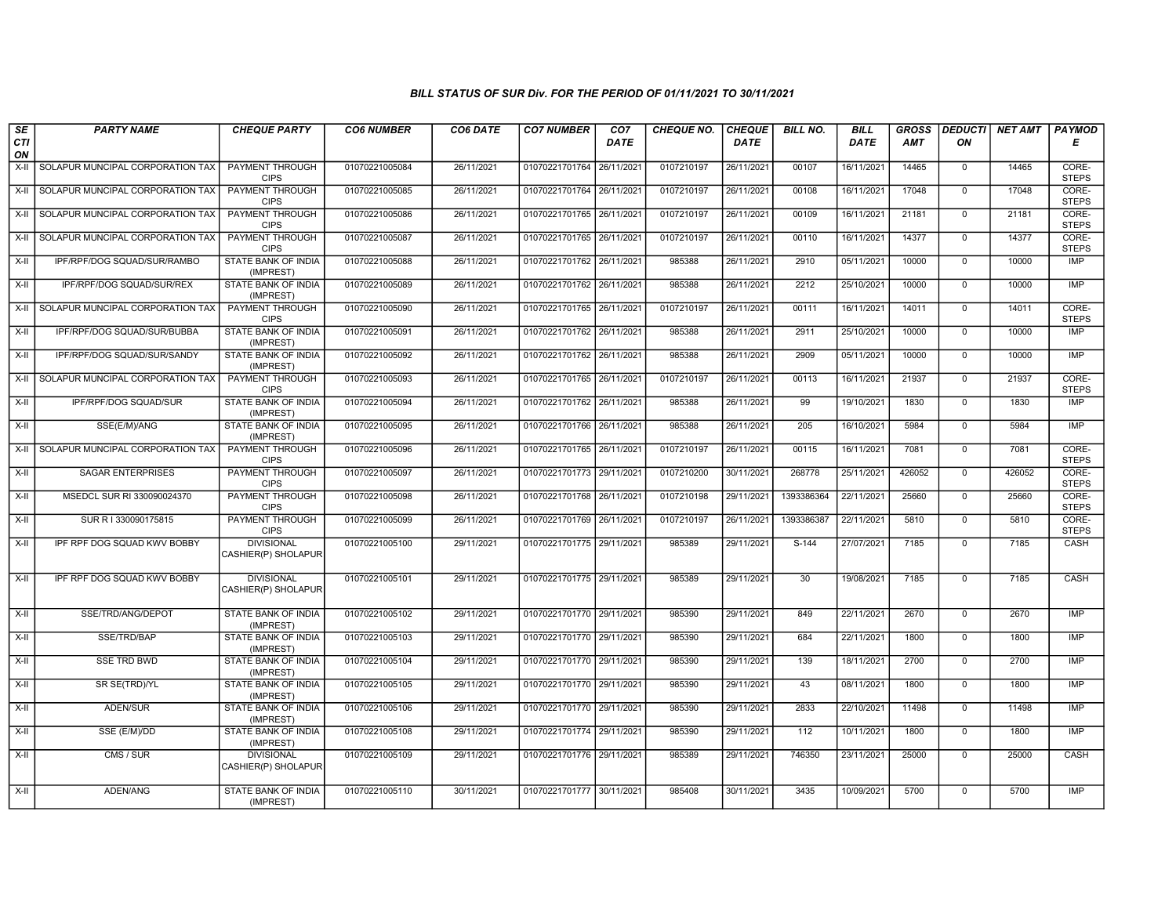| SE        | <b>PARTY NAME</b>                | <b>CHEQUE PARTY</b>                      | <b>CO6 NUMBER</b> | CO6 DATE   | <b>CO7 NUMBER</b>         | CO <sub>7</sub> | <b>CHEQUE NO.</b> | <b>CHEQUE</b> | <b>BILL NO.</b> | <b>BILL</b> | <b>GROSS</b> | <b>DEDUCTI</b> | NET AMT | <b>PAYMOD</b>         |
|-----------|----------------------------------|------------------------------------------|-------------------|------------|---------------------------|-----------------|-------------------|---------------|-----------------|-------------|--------------|----------------|---------|-----------------------|
| CTI<br>ON |                                  |                                          |                   |            |                           | DATE            |                   | <b>DATE</b>   |                 | DATE        | AMT          | ON             |         | E                     |
| $X-H$     | SOLAPUR MUNCIPAL CORPORATION TAX | <b>PAYMENT THROUGH</b><br><b>CIPS</b>    | 01070221005084    | 26/11/2021 | 01070221701764 26/11/2021 |                 | 0107210197        | 26/11/2021    | 00107           | 16/11/2021  | 14465        | $\overline{0}$ | 14465   | CORE-<br><b>STEPS</b> |
| X-II      | SOLAPUR MUNCIPAL CORPORATION TAX | <b>PAYMENT THROUGH</b><br><b>CIPS</b>    | 01070221005085    | 26/11/2021 | 01070221701764 26/11/2021 |                 | 0107210197        | 26/11/2021    | 00108           | 16/11/2021  | 17048        | $\mathbf{0}$   | 17048   | CORE-<br><b>STEPS</b> |
| X-II      | SOLAPUR MUNCIPAL CORPORATION TAX | PAYMENT THROUGH<br><b>CIPS</b>           | 01070221005086    | 26/11/2021 | 01070221701765 26/11/2021 |                 | 0107210197        | 26/11/2021    | 00109           | 16/11/2021  | 21181        | $\Omega$       | 21181   | CORE-<br><b>STEPS</b> |
| $X-H$     | SOLAPUR MUNCIPAL CORPORATION TAX | PAYMENT THROUGH<br><b>CIPS</b>           | 01070221005087    | 26/11/2021 | 01070221701765 26/11/2021 |                 | 0107210197        | 26/11/2021    | 00110           | 16/11/2021  | 14377        | $\mathbf{0}$   | 14377   | CORE-<br><b>STEPS</b> |
| X-II      | IPF/RPF/DOG SQUAD/SUR/RAMBO      | <b>STATE BANK OF INDIA</b><br>(IMPREST)  | 01070221005088    | 26/11/2021 | 01070221701762 26/11/2021 |                 | 985388            | 26/11/2021    | 2910            | 05/11/2021  | 10000        | $\mathbf 0$    | 10000   | <b>IMP</b>            |
| X-II      | IPF/RPF/DOG SQUAD/SUR/REX        | STATE BANK OF INDIA<br>(IMPREST)         | 01070221005089    | 26/11/2021 | 01070221701762 26/11/2021 |                 | 985388            | 26/11/2021    | 2212            | 25/10/2021  | 10000        | $\Omega$       | 10000   | <b>IMP</b>            |
| X-II      | SOLAPUR MUNCIPAL CORPORATION TAX | PAYMENT THROUGH<br><b>CIPS</b>           | 01070221005090    | 26/11/2021 | 01070221701765 26/11/2021 |                 | 0107210197        | 26/11/2021    | 00111           | 16/11/2021  | 14011        | $\mathbf 0$    | 14011   | CORE-<br><b>STEPS</b> |
| $X-II$    | IPF/RPF/DOG SQUAD/SUR/BUBBA      | <b>STATE BANK OF INDIA</b><br>(IMPREST)  | 01070221005091    | 26/11/2021 | 01070221701762 26/11/2021 |                 | 985388            | 26/11/2021    | 2911            | 25/10/2021  | 10000        | $\mathbf 0$    | 10000   | <b>IMP</b>            |
| $X-H$     | IPF/RPF/DOG SQUAD/SUR/SANDY      | STATE BANK OF INDIA<br>(IMPREST)         | 01070221005092    | 26/11/2021 | 01070221701762 26/11/2021 |                 | 985388            | 26/11/2021    | 2909            | 05/11/2021  | 10000        | $\mathbf 0$    | 10000   | IMP                   |
| X-II      | SOLAPUR MUNCIPAL CORPORATION TAX | <b>PAYMENT THROUGH</b><br><b>CIPS</b>    | 01070221005093    | 26/11/2021 | 01070221701765 26/11/2021 |                 | 0107210197        | 26/11/2021    | 00113           | 16/11/2021  | 21937        | $\Omega$       | 21937   | CORE-<br><b>STEPS</b> |
| X-II      | IPF/RPF/DOG SQUAD/SUR            | STATE BANK OF INDIA<br>(IMPREST)         | 01070221005094    | 26/11/2021 | 01070221701762 26/11/2021 |                 | 985388            | 26/11/2021    | 99              | 19/10/2021  | 1830         | $\mathbf{0}$   | 1830    | <b>IMP</b>            |
| $X-H$     | SSE(E/M)/ANG                     | STATE BANK OF INDIA<br>(IMPREST)         | 01070221005095    | 26/11/2021 | 01070221701766 26/11/2021 |                 | 985388            | 26/11/2021    | 205             | 16/10/2021  | 5984         | $\mathbf 0$    | 5984    | <b>IMP</b>            |
| $X-II$    | SOLAPUR MUNCIPAL CORPORATION TAX | <b>PAYMENT THROUGH</b><br><b>CIPS</b>    | 01070221005096    | 26/11/2021 | 01070221701765 26/11/2021 |                 | 0107210197        | 26/11/2021    | 00115           | 16/11/2021  | 7081         | $\Omega$       | 7081    | CORE-<br><b>STEPS</b> |
| $X-H$     | <b>SAGAR ENTERPRISES</b>         | <b>PAYMENT THROUGH</b><br><b>CIPS</b>    | 01070221005097    | 26/11/2021 | 01070221701773 29/11/2021 |                 | 0107210200        | 30/11/2021    | 268778          | 25/11/2021  | 426052       | $\overline{0}$ | 426052  | CORE-<br><b>STEPS</b> |
| X-II      | MSEDCL SUR RI 330090024370       | PAYMENT THROUGH<br><b>CIPS</b>           | 01070221005098    | 26/11/2021 | 01070221701768 26/11/2021 |                 | 0107210198        | 29/11/2021    | 1393386364      | 22/11/2021  | 25660        | $\mathsf{O}$   | 25660   | CORE-<br><b>STEPS</b> |
| $X-H$     | SUR R I 330090175815             | <b>PAYMENT THROUGH</b><br><b>CIPS</b>    | 01070221005099    | 26/11/2021 | 01070221701769 26/11/2021 |                 | 0107210197        | 26/11/2021    | 1393386387      | 22/11/2021  | 5810         | $\overline{0}$ | 5810    | CORE-<br><b>STEPS</b> |
| X-II      | IPF RPF DOG SQUAD KWV BOBBY      | <b>DIVISIONAL</b><br>CASHIER(P) SHOLAPUR | 01070221005100    | 29/11/2021 | 01070221701775 29/11/2021 |                 | 985389            | 29/11/2021    | S-144           | 27/07/2021  | 7185         | $\mathbf 0$    | 7185    | CASH                  |
| X-II      | IPF RPF DOG SQUAD KWV BOBBY      | <b>DIVISIONAL</b><br>CASHIER(P) SHOLAPUR | 01070221005101    | 29/11/2021 | 01070221701775 29/11/2021 |                 | 985389            | 29/11/2021    | 30              | 19/08/2021  | 7185         | $\mathbf 0$    | 7185    | CASH                  |
| $X-H$     | SSE/TRD/ANG/DEPOT                | <b>STATE BANK OF INDIA</b><br>(IMPREST)  | 01070221005102    | 29/11/2021 | 01070221701770 29/11/2021 |                 | 985390            | 29/11/2021    | 849             | 22/11/2021  | 2670         | $\Omega$       | 2670    | <b>IMP</b>            |
| $X-II$    | SSE/TRD/BAP                      | STATE BANK OF INDIA<br>(IMPREST)         | 01070221005103    | 29/11/2021 | 01070221701770 29/11/2021 |                 | 985390            | 29/11/2021    | 684             | 22/11/2021  | 1800         | $\mathbf 0$    | 1800    | <b>IMP</b>            |
| $X-II$    | <b>SSE TRD BWD</b>               | STATE BANK OF INDIA<br>(IMPREST)         | 01070221005104    | 29/11/2021 | 01070221701770 29/11/2021 |                 | 985390            | 29/11/2021    | 139             | 18/11/2021  | 2700         | $\mathsf{O}$   | 2700    | <b>IMP</b>            |
| $X-H$     | SR SE(TRD)/YL                    | STATE BANK OF INDIA<br>(IMPREST)         | 01070221005105    | 29/11/2021 | 01070221701770 29/11/2021 |                 | 985390            | 29/11/2021    | 43              | 08/11/2021  | 1800         | $\mathbf 0$    | 1800    | <b>IMP</b>            |
| $X-H$     | ADEN/SUR                         | <b>STATE BANK OF INDIA</b><br>(IMPREST)  | 01070221005106    | 29/11/2021 | 01070221701770 29/11/2021 |                 | 985390            | 29/11/2021    | 2833            | 22/10/2021  | 11498        | $\overline{0}$ | 11498   | <b>IMP</b>            |
| X-II      | SSE (E/M)/DD                     | STATE BANK OF INDIA<br>(IMPREST)         | 01070221005108    | 29/11/2021 | 01070221701774 29/11/2021 |                 | 985390            | 29/11/2021    | 112             | 10/11/2021  | 1800         | $\mathbf{0}$   | 1800    | <b>IMP</b>            |
| X-II      | CMS / SUR                        | <b>DIVISIONAL</b><br>CASHIER(P) SHOLAPUR | 01070221005109    | 29/11/2021 | 01070221701776 29/11/2021 |                 | 985389            | 29/11/2021    | 746350          | 23/11/2021  | 25000        | $\mathbf 0$    | 25000   | CASH                  |
| X-II      | ADEN/ANG                         | <b>STATE BANK OF INDIA</b><br>(IMPREST)  | 01070221005110    | 30/11/2021 | 01070221701777 30/11/2021 |                 | 985408            | 30/11/2021    | 3435            | 10/09/2021  | 5700         | $\mathbf 0$    | 5700    | <b>IMP</b>            |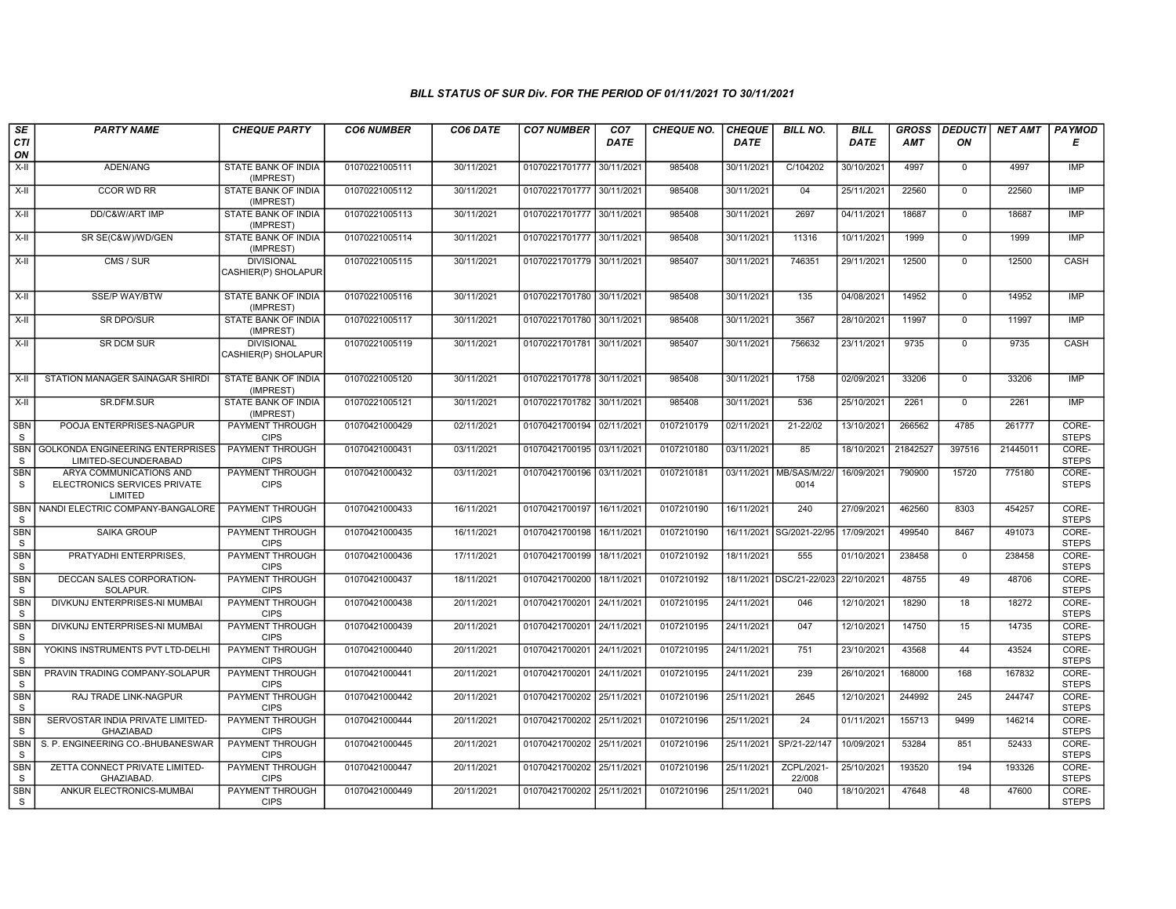| SE              | <b>PARTY NAME</b>                                                  | <b>CHEQUE PARTY</b>                      | <b>CO6 NUMBER</b> | CO6 DATE   | <b>CO7 NUMBER</b>         | CO <sub>7</sub> | <b>CHEQUE NO.</b> | <b>CHEQUE</b> | <b>BILL NO.</b>          | <b>BILL</b> | <b>GROSS</b> | <b>DEDUCTI</b> | <b>NET AMT</b> | <b>PAYMOD</b>         |
|-----------------|--------------------------------------------------------------------|------------------------------------------|-------------------|------------|---------------------------|-----------------|-------------------|---------------|--------------------------|-------------|--------------|----------------|----------------|-----------------------|
| CTI<br>ON       |                                                                    |                                          |                   |            |                           | <b>DATE</b>     |                   | <b>DATE</b>   |                          | <b>DATE</b> | <b>AMT</b>   | ON             |                | Е                     |
| $X-H$           | ADEN/ANG                                                           | STATE BANK OF INDIA<br>(IMPREST)         | 01070221005111    | 30/11/2021 | 01070221701777 30/11/2021 |                 | 985408            | 30/11/2021    | C/104202                 | 30/10/2021  | 4997         | $\mathbf{0}$   | 4997           | IMP                   |
| $X-H$           | <b>CCOR WD RR</b>                                                  | <b>STATE BANK OF INDIA</b><br>(IMPREST)  | 01070221005112    | 30/11/2021 | 01070221701777 30/11/2021 |                 | 985408            | 30/11/2021    | 04                       | 25/11/2021  | 22560        | $\mathbf{0}$   | 22560          | <b>IMP</b>            |
| $X-H$           | DD/C&W/ART IMP                                                     | STATE BANK OF INDIA<br>(IMPREST)         | 01070221005113    | 30/11/2021 | 01070221701777 30/11/2021 |                 | 985408            | 30/11/2021    | 2697                     | 04/11/2021  | 18687        | 0              | 18687          | <b>IMP</b>            |
| X-II            | SR SE(C&W)/WD/GEN                                                  | STATE BANK OF INDIA<br>(IMPREST)         | 01070221005114    | 30/11/2021 | 01070221701777 30/11/2021 |                 | 985408            | 30/11/2021    | 11316                    | 10/11/2021  | 1999         | $\mathbf{0}$   | 1999           | <b>IMP</b>            |
| X-II            | $\overline{CMS / SUB}$                                             | <b>DIVISIONAL</b><br>CASHIER(P) SHOLAPUR | 01070221005115    | 30/11/2021 | 01070221701779 30/11/2021 |                 | 985407            | 30/11/2021    | 746351                   | 29/11/2021  | 12500        | $\mathbf{0}$   | 12500          | <b>CASH</b>           |
| X-II            | <b>SSE/P WAY/BTW</b>                                               | STATE BANK OF INDIA<br>(IMPREST)         | 01070221005116    | 30/11/2021 | 01070221701780            | 30/11/2021      | 985408            | 30/11/2021    | 135                      | 04/08/2021  | 14952        | $\mathbf{0}$   | 14952          | <b>IMP</b>            |
| X-II            | <b>SR DPO/SUR</b>                                                  | STATE BANK OF INDIA<br>(IMPREST)         | 01070221005117    | 30/11/2021 | 01070221701780 30/11/2021 |                 | 985408            | 30/11/2021    | 3567                     | 28/10/2021  | 11997        | $\mathbf 0$    | 11997          | <b>IMP</b>            |
| $X-H$           | <b>SR DCM SUR</b>                                                  | <b>DIVISIONAL</b><br>CASHIER(P) SHOLAPUR | 01070221005119    | 30/11/2021 | 01070221701781 30/11/2021 |                 | 985407            | 30/11/2021    | 756632                   | 23/11/2021  | 9735         | $\mathsf{O}$   | 9735           | <b>CASH</b>           |
| $X-II$          | STATION MANAGER SAINAGAR SHIRDI                                    | STATE BANK OF INDIA<br>(IMPREST)         | 01070221005120    | 30/11/2021 | 01070221701778 30/11/2021 |                 | 985408            | 30/11/2021    | 1758                     | 02/09/2021  | 33206        | $\mathbf{0}$   | 33206          | <b>IMP</b>            |
| $X-H$           | SR.DFM.SUR                                                         | STATE BANK OF INDIA<br>(IMPREST)         | 01070221005121    | 30/11/2021 | 01070221701782 30/11/2021 |                 | 985408            | 30/11/2021    | 536                      | 25/10/2021  | 2261         | $\overline{0}$ | 2261           | <b>IMP</b>            |
| <b>SBN</b><br>S | POOJA ENTERPRISES-NAGPUR                                           | PAYMENT THROUGH<br><b>CIPS</b>           | 01070421000429    | 02/11/2021 | 01070421700194 02/11/2021 |                 | 0107210179        | 02/11/2021    | 21-22/02                 | 13/10/2021  | 266562       | 4785           | 261777         | CORE-<br><b>STEPS</b> |
| <b>SBN</b><br>S | <b>GOLKONDA ENGINEERING ENTERPRISES</b><br>LIMITED-SECUNDERABAD    | PAYMENT THROUGH<br><b>CIPS</b>           | 01070421000431    | 03/11/2021 | 01070421700195 03/11/2021 |                 | 0107210180        | 03/11/2021    | 85                       | 18/10/2021  | 21842527     | 397516         | 21445011       | CORE-<br><b>STEPS</b> |
| <b>SBN</b><br>S | ARYA COMMUNICATIONS AND<br>ELECTRONICS SERVICES PRIVATE<br>LIMITED | PAYMENT THROUGH<br><b>CIPS</b>           | 01070421000432    | 03/11/2021 | 01070421700196 03/11/2021 |                 | 0107210181        | 03/11/2021    | MB/SAS/M/22/<br>0014     | 16/09/2021  | 790900       | 15720          | 775180         | CORE-<br><b>STEPS</b> |
| <b>SBN</b><br>S | NANDI ELECTRIC COMPANY-BANGALORE                                   | PAYMENT THROUGH<br><b>CIPS</b>           | 01070421000433    | 16/11/2021 | 01070421700197            | 16/11/2021      | 0107210190        | 16/11/2021    | 240                      | 27/09/2021  | 462560       | 8303           | 454257         | CORE-<br><b>STEPS</b> |
| <b>SBN</b><br>S | <b>SAIKA GROUP</b>                                                 | <b>PAYMENT THROUGH</b><br><b>CIPS</b>    | 01070421000435    | 16/11/2021 | 01070421700198            | 16/11/2021      | 0107210190        |               | 16/11/2021 SG/2021-22/95 | 17/09/2021  | 499540       | 8467           | 491073         | CORE-<br><b>STEPS</b> |
| <b>SBN</b><br>S | PRATYADHI ENTERPRISES,                                             | <b>PAYMENT THROUGH</b><br><b>CIPS</b>    | 01070421000436    | 17/11/2021 | 01070421700199            | 18/11/2021      | 0107210192        | 18/11/2021    | 555                      | 01/10/2021  | 238458       | $\mathbf 0$    | 238458         | CORE-<br><b>STEPS</b> |
| <b>SBN</b><br>S | DECCAN SALES CORPORATION-<br>SOLAPUR.                              | <b>PAYMENT THROUGH</b><br><b>CIPS</b>    | 01070421000437    | 18/11/2021 | 01070421700200            | 18/11/202       | 0107210192        |               | 18/11/2021 DSC/21-22/023 | 22/10/2021  | 48755        | 49             | 48706          | CORE-<br><b>STEPS</b> |
| <b>SBN</b><br>S | DIVKUNJ ENTERPRISES-NI MUMBAI                                      | PAYMENT THROUGH<br><b>CIPS</b>           | 01070421000438    | 20/11/2021 | 01070421700201            | 24/11/2021      | 0107210195        | 24/11/2021    | 046                      | 12/10/2021  | 18290        | 18             | 18272          | CORE-<br><b>STEPS</b> |
| <b>SBN</b><br>S | DIVKUNJ ENTERPRISES-NI MUMBAI                                      | <b>PAYMENT THROUGH</b><br><b>CIPS</b>    | 01070421000439    | 20/11/2021 | 01070421700201            | 24/11/2021      | 0107210195        | 24/11/2021    | 047                      | 12/10/2021  | 14750        | 15             | 14735          | CORE-<br><b>STEPS</b> |
| SBN<br>S        | YOKINS INSTRUMENTS PVT LTD-DELHI                                   | <b>PAYMENT THROUGH</b><br><b>CIPS</b>    | 01070421000440    | 20/11/2021 | 01070421700201 24/11/2021 |                 | 0107210195        | 24/11/2021    | 751                      | 23/10/2021  | 43568        | 44             | 43524          | CORE-<br><b>STEPS</b> |
| <b>SBN</b><br>S | PRAVIN TRADING COMPANY-SOLAPUR                                     | <b>PAYMENT THROUGH</b><br><b>CIPS</b>    | 01070421000441    | 20/11/2021 | 01070421700201 24/11/2021 |                 | 0107210195        | 24/11/2021    | 239                      | 26/10/2021  | 168000       | 168            | 167832         | CORE-<br><b>STEPS</b> |
| <b>SBN</b><br>S | RAJ TRADE LINK-NAGPUR                                              | PAYMENT THROUGH<br><b>CIPS</b>           | 01070421000442    | 20/11/2021 | 01070421700202 25/11/2021 |                 | 0107210196        | 25/11/2021    | 2645                     | 12/10/2021  | 244992       | 245            | 244747         | CORE-<br><b>STEPS</b> |
| <b>SBN</b><br>S | SERVOSTAR INDIA PRIVATE LIMITED-<br><b>GHAZIABAD</b>               | PAYMENT THROUGH<br><b>CIPS</b>           | 01070421000444    | 20/11/2021 | 01070421700202 25/11/2021 |                 | 0107210196        | 25/11/2021    | 24                       | 01/11/2021  | 155713       | 9499           | 146214         | CORE-<br><b>STEPS</b> |
| <b>SBN</b><br>S | S. P. ENGINEERING CO.-BHUBANESWAR                                  | <b>PAYMENT THROUGH</b><br><b>CIPS</b>    | 01070421000445    | 20/11/2021 | 01070421700202 25/11/2021 |                 | 0107210196        | 25/11/2021    | SP/21-22/147             | 10/09/2021  | 53284        | 851            | 52433          | CORE-<br><b>STEPS</b> |
| <b>SBN</b><br>S | ZETTA CONNECT PRIVATE LIMITED-<br><b>GHAZIABAD</b>                 | <b>PAYMENT THROUGH</b><br><b>CIPS</b>    | 01070421000447    | 20/11/2021 | 01070421700202            | 25/11/2021      | 0107210196        | 25/11/2021    | ZCPL/2021<br>22/008      | 25/10/2021  | 193520       | 194            | 193326         | CORE-<br><b>STEPS</b> |
| <b>SBN</b><br>S | ANKUR ELECTRONICS-MUMBAI                                           | PAYMENT THROUGH<br><b>CIPS</b>           | 01070421000449    | 20/11/2021 | 01070421700202 25/11/2021 |                 | 0107210196        | 25/11/2021    | 040                      | 18/10/2021  | 47648        | 48             | 47600          | CORE-<br><b>STEPS</b> |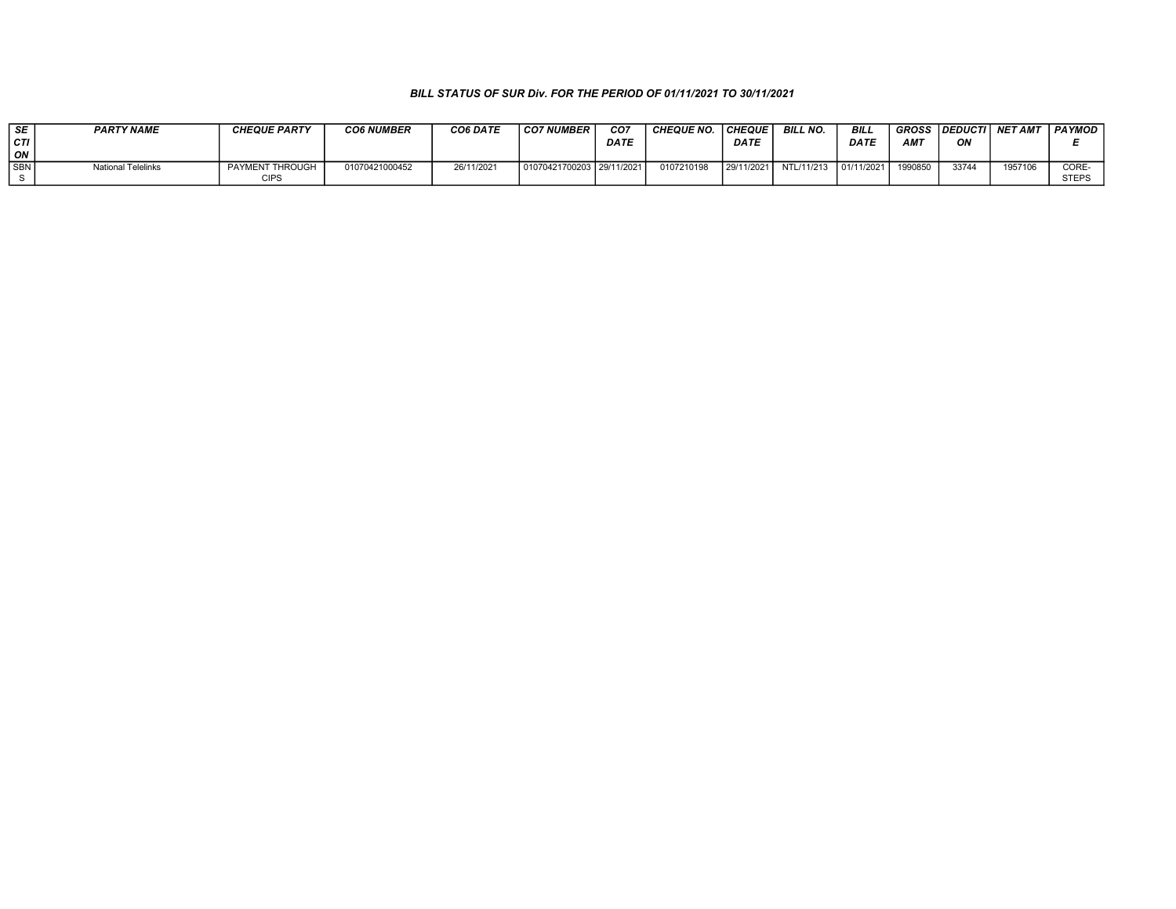| i SE     | <b>PARTY NAME</b>         | <b>CHEQUE PARTY</b> | <b>CO6 NUMBER</b> | CO6 DATE   | ' CO7 NUMBER ∟            | CO7         | <b>CHEQUE NO.</b> | <b>CHEQUE</b> | <b>BILL NO.</b> | BILI        | <b>GROSS</b>    | <b>IDEDUCTI</b> | <b>NET AMT</b> | PAYMOD |
|----------|---------------------------|---------------------|-------------------|------------|---------------------------|-------------|-------------------|---------------|-----------------|-------------|-----------------|-----------------|----------------|--------|
| $ c\pi $ |                           |                     |                   |            |                           | <b>DATE</b> |                   | <b>DATE</b>   |                 | <b>DATE</b> | AM <sub>7</sub> | ΟN              |                |        |
| ON       |                           |                     |                   |            |                           |             |                   |               |                 |             |                 |                 |                |        |
| I SBN I  | <b>National Telelinks</b> | PAYMENT THROUGH     | 01070421000452    | 26/11/2021 | 01070421700203 29/11/2021 |             | 0107210198        | 29/11/2021    | NTL/11/213      | 01/11/2021  | 1990850         | 33744           | 1957106        | CORE-  |
|          |                           | CIPS                |                   |            |                           |             |                   |               |                 |             |                 |                 |                | STEPS  |